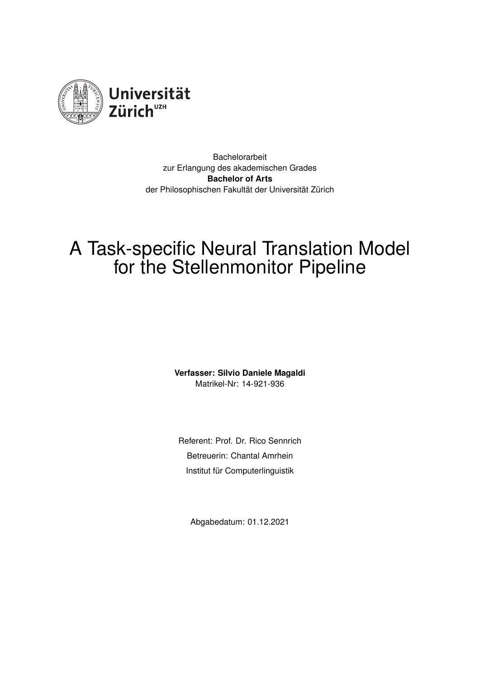

Bachelorarbeit zur Erlangung des akademischen Grades **Bachelor of Arts** der Philosophischen Fakultät der Universität Zürich

# A Task-specific Neural Translation Model for the Stellenmonitor Pipeline

**Verfasser: Silvio Daniele Magaldi** Matrikel-Nr: 14-921-936

Referent: Prof. Dr. Rico Sennrich Betreuerin: Chantal Amrhein Institut für Computerlinguistik

Abgabedatum: 01.12.2021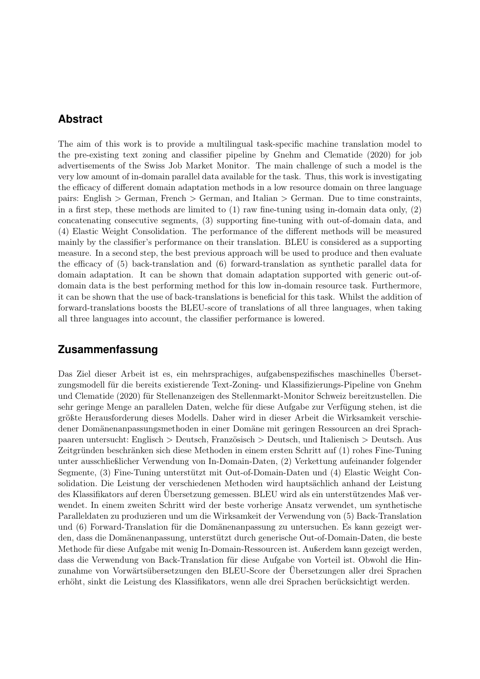## <span id="page-1-0"></span>**Abstract**

The aim of this work is to provide a multilingual task-specific machine translation model to the pre-existing text zoning and classifier pipeline by Gnehm and Clematide (2020) for job advertisements of the Swiss Job Market Monitor. The main challenge of such a model is the very low amount of in-domain parallel data available for the task. Thus, this work is investigating the efficacy of different domain adaptation methods in a low resource domain on three language pairs: English > German, French > German, and Italian > German. Due to time constraints, in a first step, these methods are limited to (1) raw fine-tuning using in-domain data only, (2) concatenating consecutive segments, (3) supporting fine-tuning with out-of-domain data, and (4) Elastic Weight Consolidation. The performance of the different methods will be measured mainly by the classifier's performance on their translation. BLEU is considered as a supporting measure. In a second step, the best previous approach will be used to produce and then evaluate the efficacy of (5) back-translation and (6) forward-translation as synthetic parallel data for domain adaptation. It can be shown that domain adaptation supported with generic out-ofdomain data is the best performing method for this low in-domain resource task. Furthermore, it can be shown that the use of back-translations is beneficial for this task. Whilst the addition of forward-translations boosts the BLEU-score of translations of all three languages, when taking all three languages into account, the classifier performance is lowered.

## **Zusammenfassung**

Das Ziel dieser Arbeit ist es, ein mehrsprachiges, aufgabenspezifisches maschinelles Übersetzungsmodell für die bereits existierende Text-Zoning- und Klassifizierungs-Pipeline von Gnehm und Clematide (2020) für Stellenanzeigen des Stellenmarkt-Monitor Schweiz bereitzustellen. Die sehr geringe Menge an parallelen Daten, welche für diese Aufgabe zur Verfügung stehen, ist die größte Herausforderung dieses Modells. Daher wird in dieser Arbeit die Wirksamkeit verschiedener Domänenanpassungsmethoden in einer Domäne mit geringen Ressourcen an drei Sprachpaaren untersucht: Englisch > Deutsch, Französisch > Deutsch, und Italienisch > Deutsch. Aus Zeitgründen beschränken sich diese Methoden in einem ersten Schritt auf (1) rohes Fine-Tuning unter ausschließlicher Verwendung von In-Domain-Daten, (2) Verkettung aufeinander folgender Segmente, (3) Fine-Tuning unterstützt mit Out-of-Domain-Daten und (4) Elastic Weight Consolidation. Die Leistung der verschiedenen Methoden wird hauptsächlich anhand der Leistung des Klassifikators auf deren Übersetzung gemessen. BLEU wird als ein unterstützendes Maß verwendet. In einem zweiten Schritt wird der beste vorherige Ansatz verwendet, um synthetische Paralleldaten zu produzieren und um die Wirksamkeit der Verwendung von (5) Back-Translation und (6) Forward-Translation für die Domänenanpassung zu untersuchen. Es kann gezeigt werden, dass die Domänenanpassung, unterstützt durch generische Out-of-Domain-Daten, die beste Methode für diese Aufgabe mit wenig In-Domain-Ressourcen ist. Außerdem kann gezeigt werden, dass die Verwendung von Back-Translation für diese Aufgabe von Vorteil ist. Obwohl die Hinzunahme von Vorwärtsübersetzungen den BLEU-Score der Übersetzungen aller drei Sprachen erhöht, sinkt die Leistung des Klassifikators, wenn alle drei Sprachen berücksichtigt werden.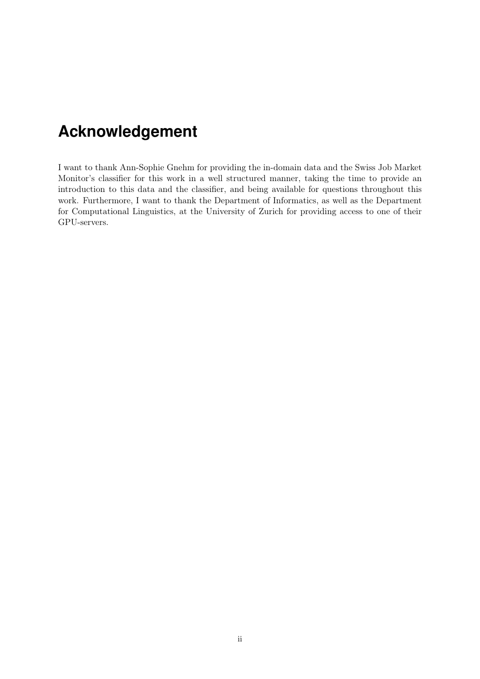## <span id="page-2-0"></span>**Acknowledgement**

I want to thank Ann-Sophie Gnehm for providing the in-domain data and the Swiss Job Market Monitor's classifier for this work in a well structured manner, taking the time to provide an introduction to this data and the classifier, and being available for questions throughout this work. Furthermore, I want to thank the Department of Informatics, as well as the Department for Computational Linguistics, at the University of Zurich for providing access to one of their GPU-servers.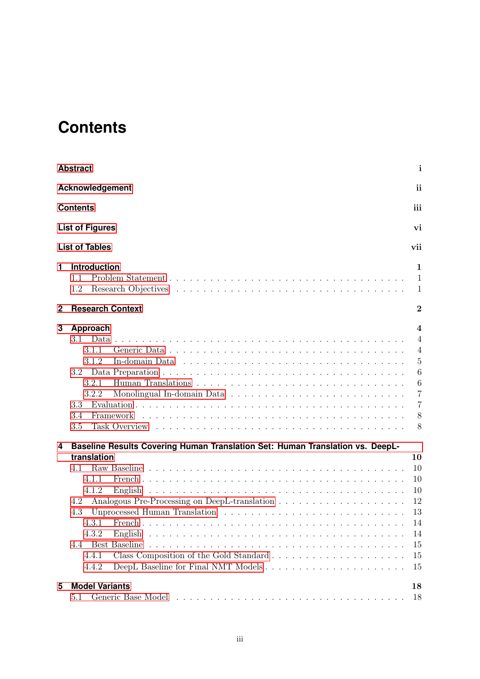## <span id="page-3-0"></span>**Contents**

|    | <b>Abstract</b>                                                                                                                                                                                                                                                                                                                                                                                                                                         | $\mathbf{i}$                                                                                                                   |
|----|---------------------------------------------------------------------------------------------------------------------------------------------------------------------------------------------------------------------------------------------------------------------------------------------------------------------------------------------------------------------------------------------------------------------------------------------------------|--------------------------------------------------------------------------------------------------------------------------------|
|    | Acknowledgement                                                                                                                                                                                                                                                                                                                                                                                                                                         | ii                                                                                                                             |
|    | <b>Contents</b>                                                                                                                                                                                                                                                                                                                                                                                                                                         | iii                                                                                                                            |
|    | <b>List of Figures</b>                                                                                                                                                                                                                                                                                                                                                                                                                                  | vi                                                                                                                             |
|    | <b>List of Tables</b>                                                                                                                                                                                                                                                                                                                                                                                                                                   | vii                                                                                                                            |
| 1. | Introduction<br>1.1<br>1.2                                                                                                                                                                                                                                                                                                                                                                                                                              | 1<br>$\mathbf{1}$<br>$\mathbf{1}$                                                                                              |
| 2  | <b>Research Context</b>                                                                                                                                                                                                                                                                                                                                                                                                                                 | $\overline{2}$                                                                                                                 |
| 3  | Approach<br>3.1<br>3.1.1<br>3.1.2<br>In-domain Data $\ldots \ldots \ldots \ldots \ldots \ldots \ldots \ldots \ldots \ldots \ldots \ldots$<br>3.2<br>3.2.1<br>3.2.2<br>3.3<br>3.4<br>Framework<br>3.5<br>Task Overview response to the contract of the contract of the contract of the contract of the contract of the contract of the contract of the contract of the contract of the contract of the contract of the contract of the                   | $\overline{4}$<br>$\overline{4}$<br>$\overline{4}$<br>$\overline{5}$<br>6<br>$\boldsymbol{6}$<br>7<br>$\overline{7}$<br>8<br>8 |
| 4  | Baseline Results Covering Human Translation Set: Human Translation vs. DeepL-<br>translation<br>4.1<br>4.1.1<br>4.1.2<br>4.2<br>Unprocessed Human Translation (a) and a series of the series of Human Translation (b) and a series of the series of the series of the series of the series of the series of the series of the series of the series of the seri<br>4.3<br>4.3.1 French<br>4.3.2<br>4.4.1<br>DeepL Baseline for Final NMT Models<br>4.4.2 | 10<br>10<br>10<br>10<br>12<br>13<br>14<br>14<br>15<br>15<br>15                                                                 |
| 5  | <b>Model Variants</b><br>5.1                                                                                                                                                                                                                                                                                                                                                                                                                            | 18<br>18                                                                                                                       |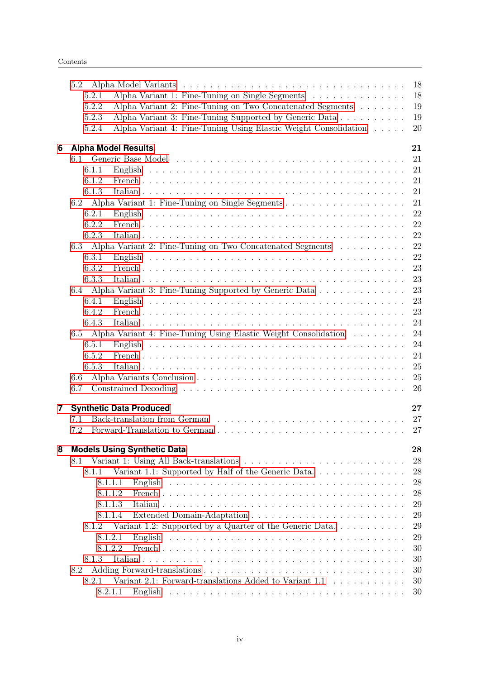|   | 5.2                                                                      | 18 |
|---|--------------------------------------------------------------------------|----|
|   | Alpha Variant 1: Fine-Tuning on Single Segments<br>5.2.1                 | 18 |
|   | 5.2.2<br>Alpha Variant 2: Fine-Tuning on Two Concatenated Segments       | 19 |
|   | Alpha Variant 3: Fine-Tuning Supported by Generic Data<br>5.2.3          | 19 |
|   | Alpha Variant 4: Fine-Tuning Using Elastic Weight Consolidation<br>5.2.4 | 20 |
|   |                                                                          |    |
| 6 | <b>Alpha Model Results</b>                                               | 21 |
|   |                                                                          | 21 |
|   | 6.1.1                                                                    | 21 |
|   | 6.1.2                                                                    | 21 |
|   | 6.1.3                                                                    | 21 |
|   | 6.2                                                                      | 21 |
|   | 6.2.1                                                                    | 22 |
|   | 6.2.2                                                                    | 22 |
|   | 6.2.3                                                                    | 22 |
|   | Alpha Variant 2: Fine-Tuning on Two Concatenated Segments<br>6.3         | 22 |
|   | 6.3.1                                                                    | 22 |
|   | 6.3.2                                                                    | 23 |
|   | 6.3.3                                                                    | 23 |
|   | 6.4 Alpha Variant 3: Fine-Tuning Supported by Generic Data               | 23 |
|   | 6.4.1                                                                    | 23 |
|   | 6.4.2                                                                    | 23 |
|   |                                                                          |    |
|   | 6.4.3                                                                    | 24 |
|   | 6.5<br>Alpha Variant 4: Fine-Tuning Using Elastic Weight Consolidation   | 24 |
|   | 6.5.1                                                                    | 24 |
|   | 6.5.2                                                                    | 24 |
|   | 6.5.3                                                                    | 25 |
|   | 6.6                                                                      | 25 |
|   | 6.7                                                                      | 26 |
| 7 | <b>Synthetic Data Produced</b>                                           | 27 |
|   | 7.1                                                                      | 27 |
|   | 7.2                                                                      | 27 |
|   |                                                                          |    |
| 8 | <b>Models Using Synthetic Data</b>                                       | 28 |
|   | 8.1                                                                      | 28 |
|   | Variant 1.1: Supported by Half of the Generic Data<br>8.1.1              | 28 |
|   | 8.1.1.1                                                                  | 28 |
|   | 8.1.1.2                                                                  | 28 |
|   | 8.1.1.3                                                                  | 29 |
|   | 8.1.1.4                                                                  | 29 |
|   | Variant 1.2: Supported by a Quarter of the Generic Data<br>8.1.2         | 29 |
|   |                                                                          |    |
|   | 8.1.2.1                                                                  | 29 |
|   | 8.1.2.2                                                                  | 30 |
|   | 8.1.3                                                                    | 30 |
|   | 8.2                                                                      | 30 |
|   | Variant 2.1: Forward-translations Added to Variant 1.1<br>8.2.1          | 30 |
|   | 8.2.1.1                                                                  | 30 |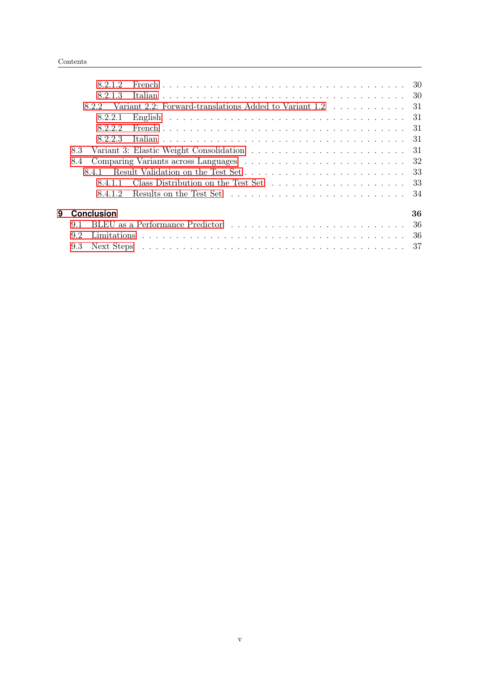|   | 8.2.1.2                                                                                                                                                                                                                              |     |
|---|--------------------------------------------------------------------------------------------------------------------------------------------------------------------------------------------------------------------------------------|-----|
|   | 8.2.1.3                                                                                                                                                                                                                              |     |
|   | Variant 2.2: Forward-translations Added to Variant 1.2 31<br>822                                                                                                                                                                     |     |
|   | 8.2.2.1                                                                                                                                                                                                                              |     |
|   | 8.2.2.2                                                                                                                                                                                                                              |     |
|   | 8.2.2.3                                                                                                                                                                                                                              |     |
|   | 8.3                                                                                                                                                                                                                                  |     |
|   | 8.4                                                                                                                                                                                                                                  |     |
|   | 8.4.1                                                                                                                                                                                                                                |     |
|   | 8411                                                                                                                                                                                                                                 |     |
|   | 8.4.1.2                                                                                                                                                                                                                              |     |
| 9 | <b>Conclusion</b>                                                                                                                                                                                                                    | 36  |
|   | BLEU as a Performance Predictor (a) respectively and the set of the set of the set of the set of the set of the set of the set of the set of the set of the set of the set of the set of the set of the set of the set of the<br>9.1 | -36 |
|   | 9.2                                                                                                                                                                                                                                  | -36 |
|   | 9.3                                                                                                                                                                                                                                  |     |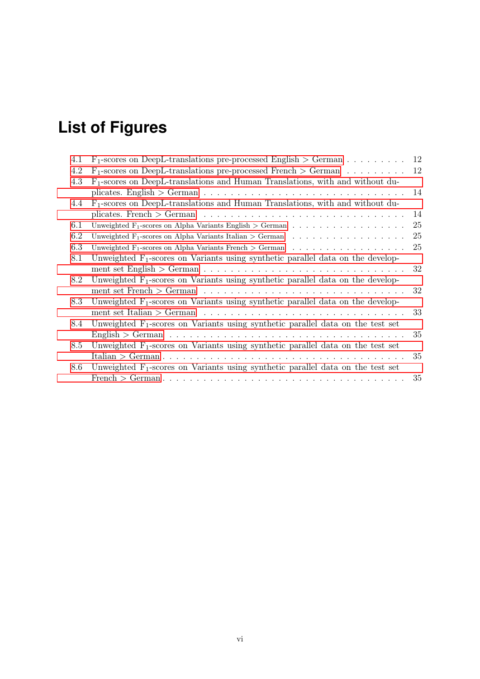# <span id="page-6-0"></span>**List of Figures**

| 4.1 | $F_1$ -scores on DeepL-translations pre-processed English > German                                              | 12 |
|-----|-----------------------------------------------------------------------------------------------------------------|----|
| 4.2 | $F_1$ -scores on DeepL-translations pre-processed French > German                                               | 12 |
| 4.3 | $F_1$ -scores on DeepL-translations and Human Translations, with and without du-                                |    |
|     |                                                                                                                 | 14 |
| 4.4 | $F_1$ -scores on DeepL-translations and Human Translations, with and without du-                                |    |
|     |                                                                                                                 | 14 |
| 6.1 | Unweighted $F_1$ -scores on Alpha Variants English > German                                                     | 25 |
| 6.2 | Unweighted F <sub>1</sub> -scores on Alpha Variants Italian > German                                            | 25 |
| 6.3 | Unweighted F <sub>1</sub> -scores on Alpha Variants French $>$ German                                           | 25 |
| 8.1 | Unweighted $F_1$ -scores on Variants using synthetic parallel data on the develop-                              |    |
|     |                                                                                                                 | 32 |
| 8.2 | Unweighted $F_1$ -scores on Variants using synthetic parallel data on the develop-                              |    |
|     | ment set French $>$ German $\ldots \ldots \ldots \ldots \ldots \ldots \ldots \ldots \ldots \ldots \ldots$       | 32 |
| 8.3 | Unweighted $F_1$ -scores on Variants using synthetic parallel data on the develop-                              |    |
|     | ment set Italian > German $\dots \dots \dots \dots \dots \dots \dots \dots \dots \dots \dots \dots \dots \dots$ | 33 |
| 8.4 | Unweighted $F_1$ -scores on Variants using synthetic parallel data on the test set                              |    |
|     |                                                                                                                 | 35 |
| 8.5 | Unweighted $F_1$ -scores on Variants using synthetic parallel data on the test set                              |    |
|     |                                                                                                                 | 35 |
| 8.6 | Unweighted $F_1$ -scores on Variants using synthetic parallel data on the test set                              |    |
|     |                                                                                                                 | 35 |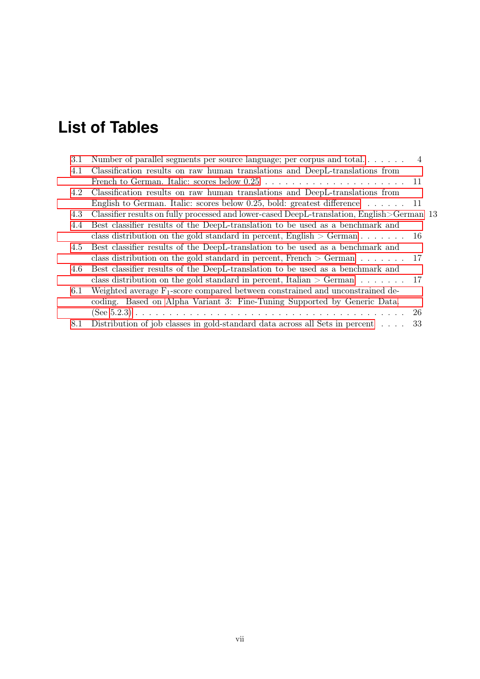# <span id="page-7-0"></span>**List of Tables**

| 3.1 | Number of parallel segments per source language; per corpus and total $4$                  |     |
|-----|--------------------------------------------------------------------------------------------|-----|
| 4.1 | Classification results on raw human translations and DeepL-translations from               |     |
|     |                                                                                            |     |
| 4.2 | Classification results on raw human translations and DeepL-translations from               |     |
|     | English to German. Italic: scores below 0.25, bold: greatest difference $\dots \dots$ 11   |     |
| 4.3 | Classifier results on fully processed and lower-cased DeepL-translation, English>German 13 |     |
| 4.4 | Best classifier results of the DeepL-translation to be used as a benchmark and             |     |
|     | class distribution on the gold standard in percent, English $>$ German 16                  |     |
| 4.5 | Best classifier results of the DeepL-translation to be used as a benchmark and             |     |
|     | class distribution on the gold standard in percent, French $>$ German 17                   |     |
| 4.6 | Best classifier results of the DeepL-translation to be used as a benchmark and             |     |
|     | class distribution on the gold standard in percent, Italian $>$ German 17                  |     |
| 6.1 | Weighted average $F_1$ -score compared between constrained and unconstrained de-           |     |
|     | coding. Based on Alpha Variant 3: Fine-Tuning Supported by Generic Data.                   |     |
|     |                                                                                            | -26 |
| 8.1 | Distribution of job classes in gold-standard data across all Sets in percent               | 33  |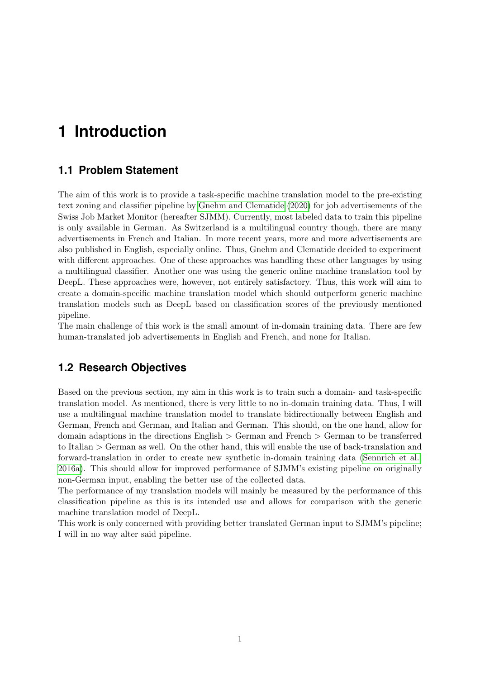## <span id="page-8-0"></span>**1 Introduction**

## <span id="page-8-1"></span>**1.1 Problem Statement**

The aim of this work is to provide a task-specific machine translation model to the pre-existing text zoning and classifier pipeline by [Gnehm and Clematide](#page-45-0) [\(2020\)](#page-45-0) for job advertisements of the Swiss Job Market Monitor (hereafter SJMM). Currently, most labeled data to train this pipeline is only available in German. As Switzerland is a multilingual country though, there are many advertisements in French and Italian. In more recent years, more and more advertisements are also published in English, especially online. Thus, Gnehm and Clematide decided to experiment with different approaches. One of these approaches was handling these other languages by using a multilingual classifier. Another one was using the generic online machine translation tool by DeepL. These approaches were, however, not entirely satisfactory. Thus, this work will aim to create a domain-specific machine translation model which should outperform generic machine translation models such as DeepL based on classification scores of the previously mentioned pipeline.

The main challenge of this work is the small amount of in-domain training data. There are few human-translated job advertisements in English and French, and none for Italian.

### <span id="page-8-2"></span>**1.2 Research Objectives**

Based on the previous section, my aim in this work is to train such a domain- and task-specific translation model. As mentioned, there is very little to no in-domain training data. Thus, I will use a multilingual machine translation model to translate bidirectionally between English and German, French and German, and Italian and German. This should, on the one hand, allow for domain adaptions in the directions English > German and French > German to be transferred to Italian > German as well. On the other hand, this will enable the use of back-translation and forward-translation in order to create new synthetic in-domain training data [\(Sennrich et al.,](#page-46-0) [2016a\)](#page-46-0). This should allow for improved performance of SJMM's existing pipeline on originally non-German input, enabling the better use of the collected data.

The performance of my translation models will mainly be measured by the performance of this classification pipeline as this is its intended use and allows for comparison with the generic machine translation model of DeepL.

This work is only concerned with providing better translated German input to SJMM's pipeline; I will in no way alter said pipeline.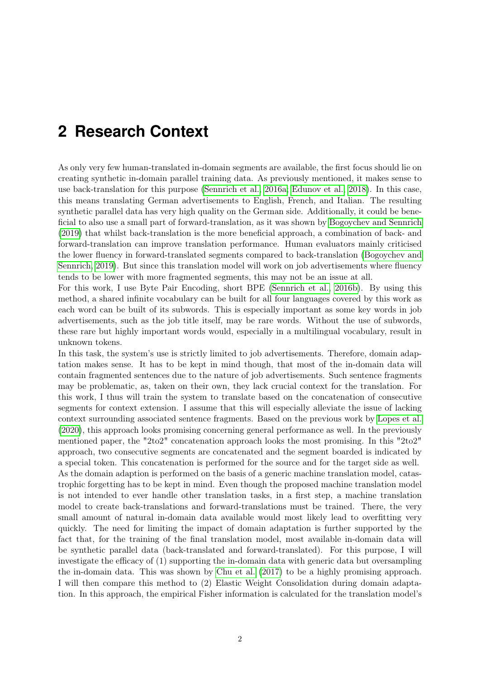## <span id="page-9-0"></span>**2 Research Context**

As only very few human-translated in-domain segments are available, the first focus should lie on creating synthetic in-domain parallel training data. As previously mentioned, it makes sense to use back-translation for this purpose [\(Sennrich et al., 2016a;](#page-46-0) [Edunov et al., 2018\)](#page-45-1). In this case, this means translating German advertisements to English, French, and Italian. The resulting synthetic parallel data has very high quality on the German side. Additionally, it could be beneficial to also use a small part of forward-translation, as it was shown by [Bogoychev and Sennrich](#page-45-2) [\(2019\)](#page-45-2) that whilst back-translation is the more beneficial approach, a combination of back- and forward-translation can improve translation performance. Human evaluators mainly criticised the lower fluency in forward-translated segments compared to back-translation [\(Bogoychev and](#page-45-2) [Sennrich, 2019\)](#page-45-2). But since this translation model will work on job advertisements where fluency tends to be lower with more fragmented segments, this may not be an issue at all.

For this work, I use Byte Pair Encoding, short BPE [\(Sennrich et al., 2016b\)](#page-46-1). By using this method, a shared infinite vocabulary can be built for all four languages covered by this work as each word can be built of its subwords. This is especially important as some key words in job advertisements, such as the job title itself, may be rare words. Without the use of subwords, these rare but highly important words would, especially in a multilingual vocabulary, result in unknown tokens.

In this task, the system's use is strictly limited to job advertisements. Therefore, domain adaptation makes sense. It has to be kept in mind though, that most of the in-domain data will contain fragmented sentences due to the nature of job advertisements. Such sentence fragments may be problematic, as, taken on their own, they lack crucial context for the translation. For this work, I thus will train the system to translate based on the concatenation of consecutive segments for context extension. I assume that this will especially alleviate the issue of lacking context surrounding associated sentence fragments. Based on the previous work by [Lopes et al.](#page-45-3) [\(2020\)](#page-45-3), this approach looks promising concerning general performance as well. In the previously mentioned paper, the "2to2" concatenation approach looks the most promising. In this "2to2" approach, two consecutive segments are concatenated and the segment boarded is indicated by a special token. This concatenation is performed for the source and for the target side as well. As the domain adaption is performed on the basis of a generic machine translation model, catastrophic forgetting has to be kept in mind. Even though the proposed machine translation model is not intended to ever handle other translation tasks, in a first step, a machine translation model to create back-translations and forward-translations must be trained. There, the very small amount of natural in-domain data available would most likely lead to overfitting very quickly. The need for limiting the impact of domain adaptation is further supported by the fact that, for the training of the final translation model, most available in-domain data will be synthetic parallel data (back-translated and forward-translated). For this purpose, I will investigate the efficacy of (1) supporting the in-domain data with generic data but oversampling the in-domain data. This was shown by [Chu et al.](#page-45-4) [\(2017\)](#page-45-4) to be a highly promising approach. I will then compare this method to (2) Elastic Weight Consolidation during domain adaptation. In this approach, the empirical Fisher information is calculated for the translation model's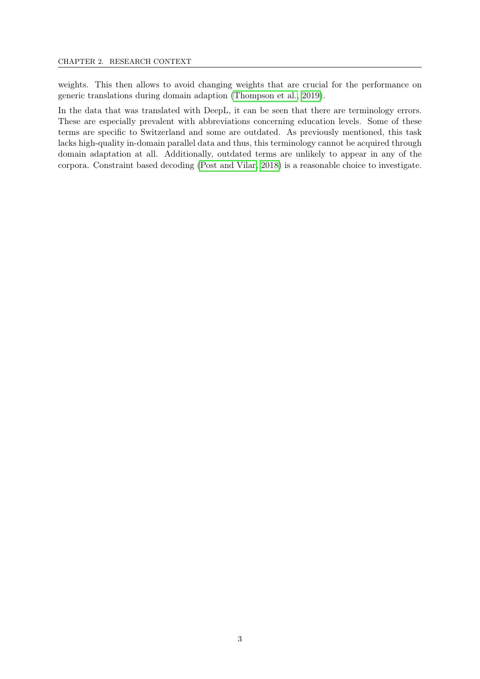weights. This then allows to avoid changing weights that are crucial for the performance on generic translations during domain adaption [\(Thompson et al., 2019\)](#page-46-2).

In the data that was translated with DeepL, it can be seen that there are terminology errors. These are especially prevalent with abbreviations concerning education levels. Some of these terms are specific to Switzerland and some are outdated. As previously mentioned, this task lacks high-quality in-domain parallel data and thus, this terminology cannot be acquired through domain adaptation at all. Additionally, outdated terms are unlikely to appear in any of the corpora. Constraint based decoding [\(Post and Vilar, 2018\)](#page-46-3) is a reasonable choice to investigate.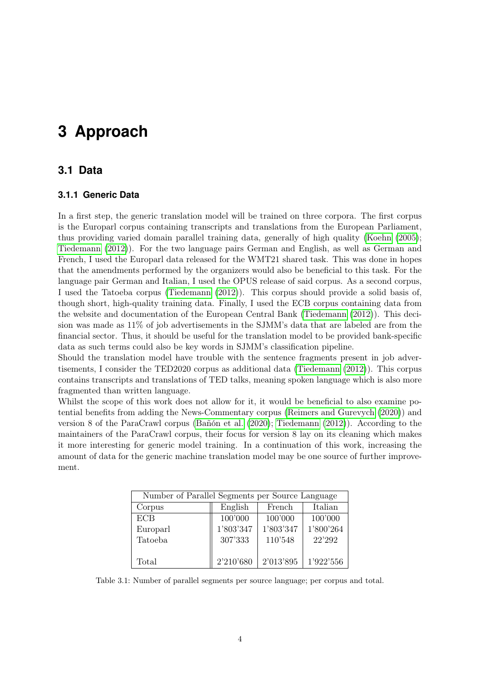## <span id="page-11-0"></span>**3 Approach**

### <span id="page-11-1"></span>**3.1 Data**

#### <span id="page-11-2"></span>**3.1.1 Generic Data**

In a first step, the generic translation model will be trained on three corpora. The first corpus is the Europarl corpus containing transcripts and translations from the European Parliament, thus providing varied domain parallel training data, generally of high quality [\(Koehn](#page-45-5) [\(2005\)](#page-45-5); [Tiedemann](#page-46-4) [\(2012\)](#page-46-4)). For the two language pairs German and English, as well as German and French, I used the Europarl data released for the WMT21 shared task. This was done in hopes that the amendments performed by the organizers would also be beneficial to this task. For the language pair German and Italian, I used the OPUS release of said corpus. As a second corpus, I used the Tatoeba corpus [\(Tiedemann](#page-46-4) [\(2012\)](#page-46-4)). This corpus should provide a solid basis of, though short, high-quality training data. Finally, I used the ECB corpus containing data from the website and documentation of the European Central Bank [\(Tiedemann](#page-46-4) [\(2012\)](#page-46-4)). This decision was made as 11% of job advertisements in the SJMM's data that are labeled are from the financial sector. Thus, it should be useful for the translation model to be provided bank-specific data as such terms could also be key words in SJMM's classification pipeline.

Should the translation model have trouble with the sentence fragments present in job advertisements, I consider the TED2020 corpus as additional data [\(Tiedemann](#page-46-4) [\(2012\)](#page-46-4)). This corpus contains transcripts and translations of TED talks, meaning spoken language which is also more fragmented than written language.

Whilst the scope of this work does not allow for it, it would be beneficial to also examine potential benefits from adding the News-Commentary corpus [\(Reimers and Gurevych](#page-46-5) [\(2020\)](#page-46-5)) and version 8 of the ParaCrawl corpus [\(Bañón et al.](#page-45-6) [\(2020\)](#page-45-6); [Tiedemann](#page-46-4) [\(2012\)](#page-46-4)). According to the maintainers of the ParaCrawl corpus, their focus for version 8 lay on its cleaning which makes it more interesting for generic model training. In a continuation of this work, increasing the amount of data for the generic machine translation model may be one source of further improvement.

<span id="page-11-3"></span>

| Number of Parallel Segments per Source Language |           |           |           |  |  |  |  |  |  |
|-------------------------------------------------|-----------|-----------|-----------|--|--|--|--|--|--|
| Corpus                                          | English   | French    | Italian   |  |  |  |  |  |  |
| <b>ECB</b>                                      | 100'000   | 100'000   | 100'000   |  |  |  |  |  |  |
| Europarl                                        | 1'803'347 | 1'803'347 | 1'800'264 |  |  |  |  |  |  |
| Tatoeba                                         | 307'333   | 110'548   | 22'292    |  |  |  |  |  |  |
|                                                 |           |           |           |  |  |  |  |  |  |
| Total                                           | 2'210'680 | 2'013'895 | 1'922'556 |  |  |  |  |  |  |

Table 3.1: Number of parallel segments per source language; per corpus and total.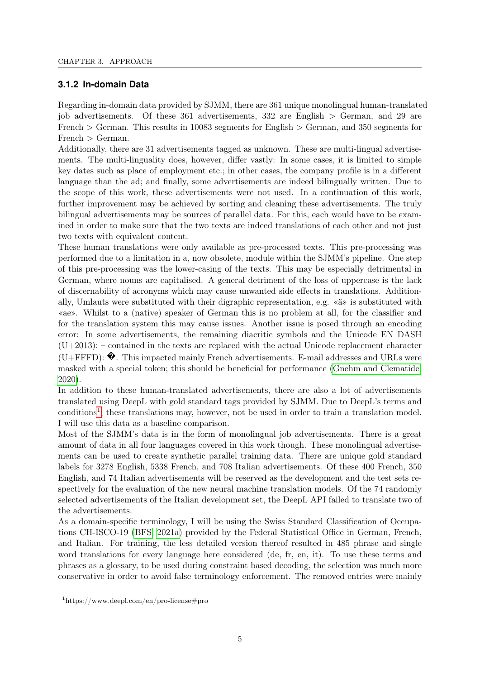#### <span id="page-12-0"></span>**3.1.2 In-domain Data**

Regarding in-domain data provided by SJMM, there are 361 unique monolingual human-translated job advertisements. Of these 361 advertisements, 332 are English > German, and 29 are French > German. This results in 10083 segments for English > German, and 350 segments for  $French > German$ .

Additionally, there are 31 advertisements tagged as unknown. These are multi-lingual advertisements. The multi-linguality does, however, differ vastly: In some cases, it is limited to simple key dates such as place of employment etc.; in other cases, the company profile is in a different language than the ad; and finally, some advertisements are indeed bilingually written. Due to the scope of this work, these advertisements were not used. In a continuation of this work, further improvement may be achieved by sorting and cleaning these advertisements. The truly bilingual advertisements may be sources of parallel data. For this, each would have to be examined in order to make sure that the two texts are indeed translations of each other and not just two texts with equivalent content.

These human translations were only available as pre-processed texts. This pre-processing was performed due to a limitation in a, now obsolete, module within the SJMM's pipeline. One step of this pre-processing was the lower-casing of the texts. This may be especially detrimental in German, where nouns are capitalised. A general detriment of the loss of uppercase is the lack of discernability of acronyms which may cause unwanted side effects in translations. Additionally, Umlauts were substituted with their digraphic representation, e.g. «ä» is substituted with «ae». Whilst to a (native) speaker of German this is no problem at all, for the classifier and for the translation system this may cause issues. Another issue is posed through an encoding error: In some advertisements, the remaining diacritic symbols and the Unicode EN DASH  $(U+2013)$ : – contained in the texts are replaced with the actual Unicode replacement character (U+FFFD):  $\hat{\mathbf{\Theta}}$ . This impacted mainly French advertisements. E-mail addresses and URLs were masked with a special token; this should be beneficial for performance [\(Gnehm and Clematide,](#page-45-0) [2020\)](#page-45-0).

In addition to these human-translated advertisements, there are also a lot of advertisements translated using DeepL with gold standard tags provided by SJMM. Due to DeepL's terms and conditions<sup>[1](#page-12-1)</sup>, these translations may, however, not be used in order to train a translation model. I will use this data as a baseline comparison.

Most of the SJMM's data is in the form of monolingual job advertisements. There is a great amount of data in all four languages covered in this work though. These monolingual advertisements can be used to create synthetic parallel training data. There are unique gold standard labels for 3278 English, 5338 French, and 708 Italian advertisements. Of these 400 French, 350 English, and 74 Italian advertisements will be reserved as the development and the test sets respectively for the evaluation of the new neural machine translation models. Of the 74 randomly selected advertisements of the Italian development set, the DeepL API failed to translate two of the advertisements.

As a domain-specific terminology, I will be using the Swiss Standard Classification of Occupations CH-ISCO-19 [\(BFS, 2021a\)](#page-45-7) provided by the Federal Statistical Office in German, French, and Italian. For training, the less detailed version thereof resulted in 485 phrase and single word translations for every language here considered (de, fr, en, it). To use these terms and phrases as a glossary, to be used during constraint based decoding, the selection was much more conservative in order to avoid false terminology enforcement. The removed entries were mainly

<span id="page-12-1"></span><sup>1</sup>https://www.deepl.com/en/pro-license#pro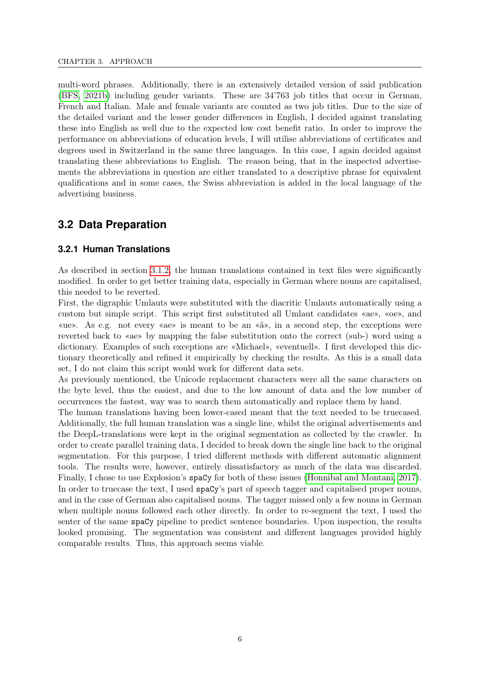multi-word phrases. Additionally, there is an extensively detailed version of said publication [\(BFS, 2021b\)](#page-45-8) including gender variants. These are 34'763 job titles that occur in German, French and Italian. Male and female variants are counted as two job titles. Due to the size of the detailed variant and the lesser gender differences in English, I decided against translating these into English as well due to the expected low cost benefit ratio. In order to improve the performance on abbreviations of education levels, I will utilise abbreviations of certificates and degrees used in Switzerland in the same three languages. In this case, I again decided against translating these abbreviations to English. The reason being, that in the inspected advertisements the abbreviations in question are either translated to a descriptive phrase for equivalent qualifications and in some cases, the Swiss abbreviation is added in the local language of the advertising business.

## <span id="page-13-0"></span>**3.2 Data Preparation**

#### <span id="page-13-1"></span>**3.2.1 Human Translations**

As described in section [3.1.2,](#page-12-0) the human translations contained in text files were significantly modified. In order to get better training data, especially in German where nouns are capitalised, this needed to be reverted.

First, the digraphic Umlauts were substituted with the diacritic Umlauts automatically using a custom but simple script. This script first substituted all Umlaut candidates «ae», «oe», and «ue». As e.g. not every «ae» is meant to be an «ä», in a second step, the exceptions were reverted back to «ae» by mapping the false substitution onto the correct (sub-) word using a dictionary. Examples of such exceptions are «Michael», «eventuell». I first developed this dictionary theoretically and refined it empirically by checking the results. As this is a small data set, I do not claim this script would work for different data sets.

As previously mentioned, the Unicode replacement characters were all the same characters on the byte level, thus the easiest, and due to the low amount of data and the low number of occurrences the fastest, way was to search them automatically and replace them by hand.

The human translations having been lower-cased meant that the text needed to be truecased. Additionally, the full human translation was a single line, whilst the original advertisements and the DeepL-translations were kept in the original segmentation as collected by the crawler. In order to create parallel training data, I decided to break down the single line back to the original segmentation. For this purpose, I tried different methods with different automatic alignment tools. The results were, however, entirely dissatisfactory as much of the data was discarded. Finally, I chose to use Explosion's spaCy for both of these issues [\(Honnibal and Montani, 2017\)](#page-45-9). In order to truecase the text, I used spaCy's part of speech tagger and capitalised proper nouns, and in the case of German also capitalised nouns. The tagger missed only a few nouns in German when multiple nouns followed each other directly. In order to re-segment the text, I used the senter of the same spaCy pipeline to predict sentence boundaries. Upon inspection, the results looked promising. The segmentation was consistent and different languages provided highly comparable results. Thus, this approach seems viable.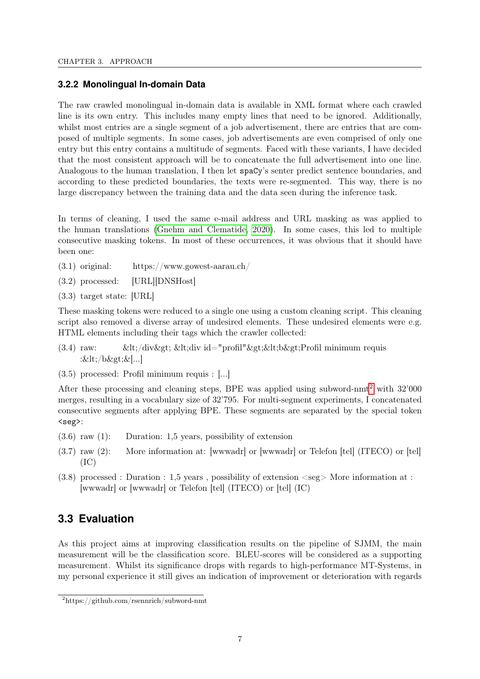#### <span id="page-14-0"></span>**3.2.2 Monolingual In-domain Data**

The raw crawled monolingual in-domain data is available in XML format where each crawled line is its own entry. This includes many empty lines that need to be ignored. Additionally, whilst most entries are a single segment of a job advertisement, there are entries that are composed of multiple segments. In some cases, job advertisements are even comprised of only one entry but this entry contains a multitude of segments. Faced with these variants, I have decided that the most consistent approach will be to concatenate the full advertisement into one line. Analogous to the human translation, I then let spaCy's senter predict sentence boundaries, and according to these predicted boundaries, the texts were re-segmented. This way, there is no large discrepancy between the training data and the data seen during the inference task.

In terms of cleaning, I used the same e-mail address and URL masking as was applied to the human translations [\(Gnehm and Clematide, 2020\)](#page-45-0). In some cases, this led to multiple consecutive masking tokens. In most of these occurrences, it was obvious that it should have been one:

- (3.1) original: https://www.gowest-aarau.ch/
- (3.2) processed: [URL][DNSHost]
- (3.3) target state: [URL]

These masking tokens were reduced to a single one using a custom cleaning script. This cleaning script also removed a diverse array of undesired elements. These undesired elements were e.g. HTML elements including their tags which the crawler collected:

- (3.4) raw:  $\< \< \frac{1}{2}$   $\< \frac{1}{2}$   $\< \frac{1}{2}$   $\< \frac{1}{2}$   $\< \frac{1}{2}$   $\< \frac{1}{2}$   $\< \frac{1}{2}$   $\< \frac{1}{2}$   $\< \frac{1}{2}$   $\< \frac{1}{2}$   $\< \frac{1}{2}$   $\< \frac{1}{2}$   $\< \frac{1}{2}$   $\< \frac{1}{2}$   $\< \frac{1}{$ :</b>&[...]
- (3.5) processed: Profil minimum requis : [...]

After these processing and cleaning steps, BPE was applied using subword-nmt[2](#page-14-2) with 32'000 merges, resulting in a vocabulary size of 32'795. For multi-segment experiments, I concatenated consecutive segments after applying BPE. These segments are separated by the special token <seg>:

- (3.6) raw (1): Duration: 1,5 years, possibility of extension
- (3.7) raw (2): More information at: [wwwadr] or [wwwadr] or Telefon [tel] (ITECO) or [tel]  $(IC)$
- $(3.8)$  processed : Duration : 1.5 years, possibility of extension  $\langle$ seg $\rangle$  More information at : [wwwadr] or [wwwadr] or Telefon [tel] (ITECO) or [tel] (IC)

## <span id="page-14-1"></span>**3.3 Evaluation**

As this project aims at improving classification results on the pipeline of SJMM, the main measurement will be the classification score. BLEU-scores will be considered as a supporting measurement. Whilst its significance drops with regards to high-performance MT-Systems, in my personal experience it still gives an indication of improvement or deterioration with regards

<span id="page-14-2"></span><sup>2</sup>https://github.com/rsennrich/subword-nmt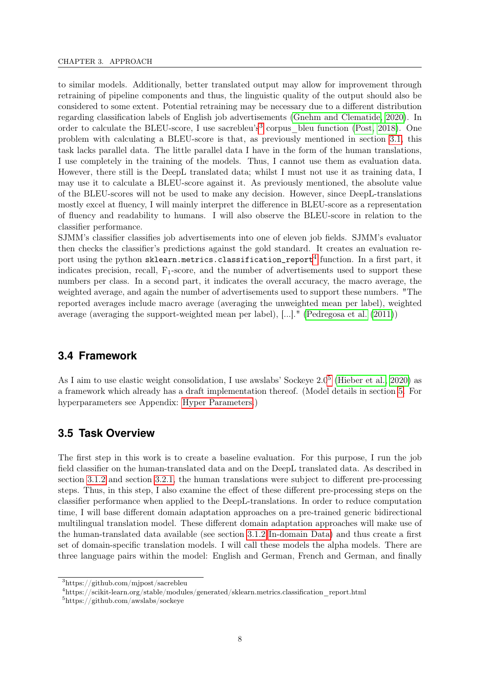to similar models. Additionally, better translated output may allow for improvement through retraining of pipeline components and thus, the linguistic quality of the output should also be considered to some extent. Potential retraining may be necessary due to a different distribution regarding classification labels of English job advertisements [\(Gnehm and Clematide, 2020\)](#page-45-0). In order to calculate the BLEU-score, I use sacrebleu's<sup>[3](#page-15-2)</sup> corpus\_bleu function [\(Post, 2018\)](#page-46-6). One problem with calculating a BLEU-score is that, as previously mentioned in section [3.1,](#page-11-1) this task lacks parallel data. The little parallel data I have in the form of the human translations, I use completely in the training of the models. Thus, I cannot use them as evaluation data. However, there still is the DeepL translated data; whilst I must not use it as training data, I may use it to calculate a BLEU-score against it. As previously mentioned, the absolute value of the BLEU-scores will not be used to make any decision. However, since DeepL-translations mostly excel at fluency, I will mainly interpret the difference in BLEU-score as a representation of fluency and readability to humans. I will also observe the BLEU-score in relation to the classifier performance.

SJMM's classifier classifies job advertisements into one of eleven job fields. SJMM's evaluator then checks the classifier's predictions against the gold standard. It creates an evaluation report using the python  $\mathtt{sklearn.metrics.classification\_report}^4$  $\mathtt{sklearn.metrics.classification\_report}^4$  function. In a first part, it indicates precision, recall,  $F_1$ -score, and the number of advertisements used to support these numbers per class. In a second part, it indicates the overall accuracy, the macro average, the weighted average, and again the number of advertisements used to support these numbers. "The reported averages include macro average (averaging the unweighted mean per label), weighted average (averaging the support-weighted mean per label), [...]." [\(Pedregosa et al.](#page-45-10) [\(2011\)](#page-45-10))

### <span id="page-15-0"></span>**3.4 Framework**

As I aim to use elastic weight consolidation, I use awslabs' Sockeye  $2.0<sup>5</sup>$  $2.0<sup>5</sup>$  $2.0<sup>5</sup>$  [\(Hieber et al., 2020\)](#page-45-11) as a framework which already has a draft implementation thereof. (Model details in section [5.](#page-25-0) For hyperparameters see Appendix: [Hyper Parameters.](#page-78-0))

### <span id="page-15-1"></span>**3.5 Task Overview**

The first step in this work is to create a baseline evaluation. For this purpose, I run the job field classifier on the human-translated data and on the DeepL translated data. As described in section [3.1.2](#page-12-0) and section [3.2.1,](#page-13-1) the human translations were subject to different pre-processing steps. Thus, in this step, I also examine the effect of these different pre-processing steps on the classifier performance when applied to the DeepL-translations. In order to reduce computation time, I will base different domain adaptation approaches on a pre-trained generic bidirectional multilingual translation model. These different domain adaptation approaches will make use of the human-translated data available (see section [3.1.2 In-domain Data\)](#page-12-0) and thus create a first set of domain-specific translation models. I will call these models the alpha models. There are three language pairs within the model: English and German, French and German, and finally

<span id="page-15-2"></span><sup>3</sup>https://github.com/mjpost/sacrebleu

<span id="page-15-3"></span><sup>4</sup>https://scikit-learn.org/stable/modules/generated/sklearn.metrics.classification\_report.html

<span id="page-15-4"></span><sup>5</sup>https://github.com/awslabs/sockeye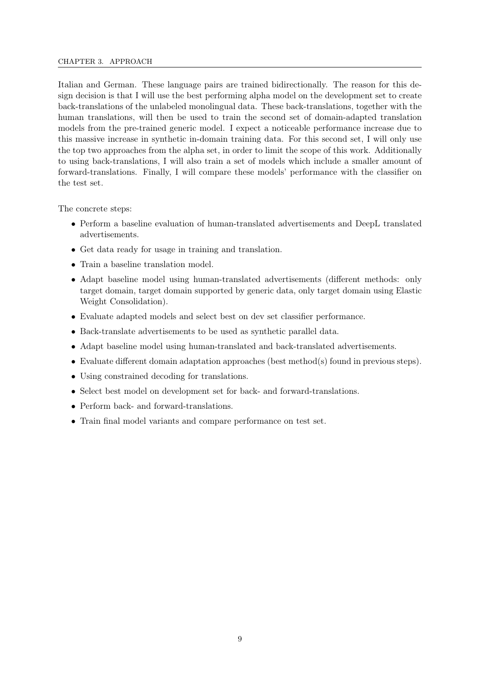#### CHAPTER 3. APPROACH

Italian and German. These language pairs are trained bidirectionally. The reason for this design decision is that I will use the best performing alpha model on the development set to create back-translations of the unlabeled monolingual data. These back-translations, together with the human translations, will then be used to train the second set of domain-adapted translation models from the pre-trained generic model. I expect a noticeable performance increase due to this massive increase in synthetic in-domain training data. For this second set, I will only use the top two approaches from the alpha set, in order to limit the scope of this work. Additionally to using back-translations, I will also train a set of models which include a smaller amount of forward-translations. Finally, I will compare these models' performance with the classifier on the test set.

The concrete steps:

- Perform a baseline evaluation of human-translated advertisements and DeepL translated advertisements.
- Get data ready for usage in training and translation.
- Train a baseline translation model.
- Adapt baseline model using human-translated advertisements (different methods: only target domain, target domain supported by generic data, only target domain using Elastic Weight Consolidation).
- Evaluate adapted models and select best on dev set classifier performance.
- Back-translate advertisements to be used as synthetic parallel data.
- Adapt baseline model using human-translated and back-translated advertisements.
- Evaluate different domain adaptation approaches (best method(s) found in previous steps).
- Using constrained decoding for translations.
- Select best model on development set for back- and forward-translations.
- Perform back- and forward-translations.
- Train final model variants and compare performance on test set.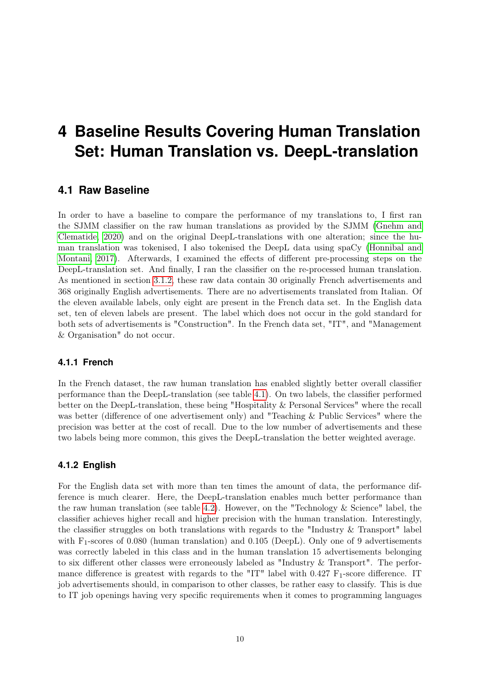## <span id="page-17-0"></span>**4 Baseline Results Covering Human Translation Set: Human Translation vs. DeepL-translation**

### <span id="page-17-1"></span>**4.1 Raw Baseline**

In order to have a baseline to compare the performance of my translations to, I first ran the SJMM classifier on the raw human translations as provided by the SJMM [\(Gnehm and](#page-45-0) [Clematide, 2020\)](#page-45-0) and on the original DeepL-translations with one alteration; since the human translation was tokenised, I also tokenised the DeepL data using spaCy [\(Honnibal and](#page-45-9) [Montani, 2017\)](#page-45-9). Afterwards, I examined the effects of different pre-processing steps on the DeepL-translation set. And finally, I ran the classifier on the re-processed human translation. As mentioned in section [3.1.2,](#page-12-0) these raw data contain 30 originally French advertisements and 368 originally English advertisements. There are no advertisements translated from Italian. Of the eleven available labels, only eight are present in the French data set. In the English data set, ten of eleven labels are present. The label which does not occur in the gold standard for both sets of advertisements is "Construction". In the French data set, "IT", and "Management & Organisation" do not occur.

#### <span id="page-17-2"></span>**4.1.1 French**

In the French dataset, the raw human translation has enabled slightly better overall classifier performance than the DeepL-translation (see table [4.1\)](#page-18-0). On two labels, the classifier performed better on the DeepL-translation, these being "Hospitality & Personal Services" where the recall was better (difference of one advertisement only) and "Teaching & Public Services" where the precision was better at the cost of recall. Due to the low number of advertisements and these two labels being more common, this gives the DeepL-translation the better weighted average.

#### <span id="page-17-3"></span>**4.1.2 English**

For the English data set with more than ten times the amount of data, the performance difference is much clearer. Here, the DeepL-translation enables much better performance than the raw human translation (see table [4.2\)](#page-18-0). However, on the "Technology & Science" label, the classifier achieves higher recall and higher precision with the human translation. Interestingly, the classifier struggles on both translations with regards to the "Industry & Transport" label with  $F_1$ -scores of 0.080 (human translation) and 0.105 (DeepL). Only one of 9 advertisements was correctly labeled in this class and in the human translation 15 advertisements belonging to six different other classes were erroneously labeled as "Industry & Transport". The performance difference is greatest with regards to the "IT" label with  $0.427 \text{ F}_1$ -score difference. IT job advertisements should, in comparison to other classes, be rather easy to classify. This is due to IT job openings having very specific requirements when it comes to programming languages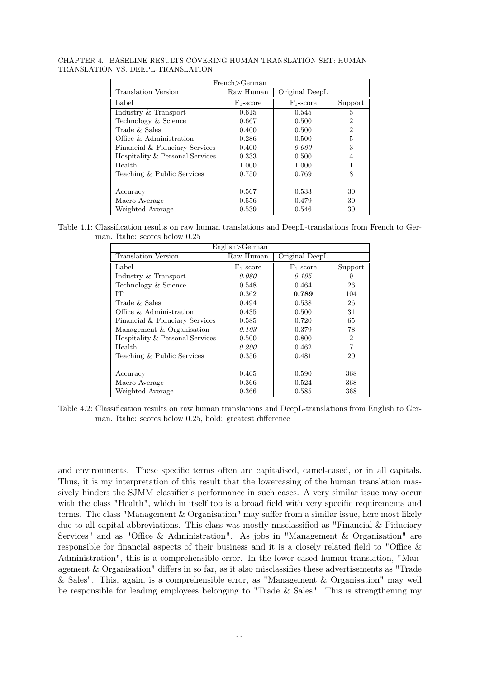<span id="page-18-0"></span>CHAPTER 4. BASELINE RESULTS COVERING HUMAN TRANSLATION SET: HUMAN TRANSLATION VS. DEEPL-TRANSLATION

| French > German                 |              |                |                |  |  |  |
|---------------------------------|--------------|----------------|----------------|--|--|--|
| Translation Version             | Raw Human    | Original DeepL |                |  |  |  |
| Label                           | $F_1$ -score | $F_1$ -score   | Support        |  |  |  |
| Industry & Transport            | 0.615        | 0.545          | 5              |  |  |  |
| Technology & Science            | 0.667        | 0.500          | $\overline{2}$ |  |  |  |
| Trade & Sales                   | 0.400        | 0.500          | $\mathfrak{D}$ |  |  |  |
| Office $\&$ Administration      | 0.286        | 0.500          | 5              |  |  |  |
| Financial & Fiduciary Services  | 0.400        | 0.000          | 3              |  |  |  |
| Hospitality & Personal Services | 0.333        | 0.500          | 4              |  |  |  |
| Health                          | 1.000        | 1.000          |                |  |  |  |
| Teaching & Public Services      | 0.750        | 0.769          | 8              |  |  |  |
|                                 |              |                |                |  |  |  |
| Accuracy                        | 0.567        | 0.533          | 30             |  |  |  |
| Macro Average                   | 0.556        | 0.479          | 30             |  |  |  |
| Weighted Average                | 0.539        | 0.546          | 30             |  |  |  |

Table 4.1: Classification results on raw human translations and DeepL-translations from French to German. Italic: scores below 0.25

| English > German                |              |                |                |  |  |  |  |
|---------------------------------|--------------|----------------|----------------|--|--|--|--|
| <b>Translation Version</b>      | Raw Human    | Original DeepL |                |  |  |  |  |
| Label                           | $F_1$ -score | $F_1$ -score   | Support        |  |  |  |  |
| Industry & Transport            | 0.080        | 0.105          | 9              |  |  |  |  |
| Technology & Science            | 0.548        | 0.464          | 26             |  |  |  |  |
| TТ                              | 0.362        | 0.789          | 104            |  |  |  |  |
| Trade $&$ Sales                 | 0.494        | 0.538          | 26             |  |  |  |  |
| Office & Administration         | 0.435        | 0.500          | 31             |  |  |  |  |
| Financial & Fiduciary Services  | 0.585        | 0.720          | 65             |  |  |  |  |
| Management & Organisation       | 0.103        | 0.379          | 78             |  |  |  |  |
| Hospitality & Personal Services | 0.500        | 0.800          | $\overline{2}$ |  |  |  |  |
| Health                          | 0.200        | 0.462          | $\overline{7}$ |  |  |  |  |
| Teaching & Public Services      | 0.356        | 0.481          | 20             |  |  |  |  |
|                                 |              |                |                |  |  |  |  |
| Accuracy                        | 0.405        | 0.590          | 368            |  |  |  |  |
| Macro Average                   | 0.366        | 0.524          | 368            |  |  |  |  |
| Weighted Average                | 0.366        | 0.585          | 368            |  |  |  |  |

Table 4.2: Classification results on raw human translations and DeepL-translations from English to German. Italic: scores below 0.25, bold: greatest difference

and environments. These specific terms often are capitalised, camel-cased, or in all capitals. Thus, it is my interpretation of this result that the lowercasing of the human translation massively hinders the SJMM classifier's performance in such cases. A very similar issue may occur with the class "Health", which in itself too is a broad field with very specific requirements and terms. The class "Management & Organisation" may suffer from a similar issue, here most likely due to all capital abbreviations. This class was mostly misclassified as "Financial  $\&$  Fiduciary Services" and as "Office & Administration". As jobs in "Management & Organisation" are responsible for financial aspects of their business and it is a closely related field to "Office & Administration", this is a comprehensible error. In the lower-cased human translation, "Management & Organisation" differs in so far, as it also misclassifies these advertisements as "Trade & Sales". This, again, is a comprehensible error, as "Management & Organisation" may well be responsible for leading employees belonging to "Trade  $&$  Sales". This is strengthening my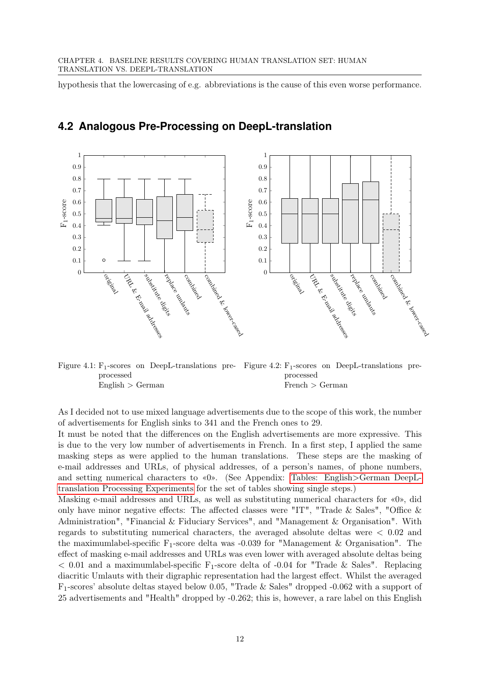hypothesis that the lowercasing of e.g. abbreviations is the cause of this even worse performance.



## <span id="page-19-0"></span>**4.2 Analogous Pre-Processing on DeepL-translation**

<span id="page-19-1"></span>

<span id="page-19-2"></span>As I decided not to use mixed language advertisements due to the scope of this work, the number of advertisements for English sinks to 341 and the French ones to 29.

It must be noted that the differences on the English advertisements are more expressive. This is due to the very low number of advertisements in French. In a first step, I applied the same masking steps as were applied to the human translations. These steps are the masking of e-mail addresses and URLs, of physical addresses, of a person's names, of phone numbers, and setting numerical characters to «0». (See Appendix: Tables: English>[German DeepL](#page-49-0)[translation Processing Experiments](#page-49-0) for the set of tables showing single steps.)

Masking e-mail addresses and URLs, as well as substituting numerical characters for «0», did only have minor negative effects: The affected classes were "IT", "Trade & Sales", "Office & Administration", "Financial & Fiduciary Services", and "Management & Organisation". With regards to substituting numerical characters, the averaged absolute deltas were < 0.02 and the maximumlabel-specific  $F_1$ -score delta was -0.039 for "Management & Organisation". The effect of masking e-mail addresses and URLs was even lower with averaged absolute deltas being  $< 0.01$  and a maximumlabel-specific F<sub>1</sub>-score delta of -0.04 for "Trade & Sales". Replacing diacritic Umlauts with their digraphic representation had the largest effect. Whilst the averaged F1-scores' absolute deltas stayed below 0.05, "Trade & Sales" dropped -0.062 with a support of 25 advertisements and "Health" dropped by -0.262; this is, however, a rare label on this English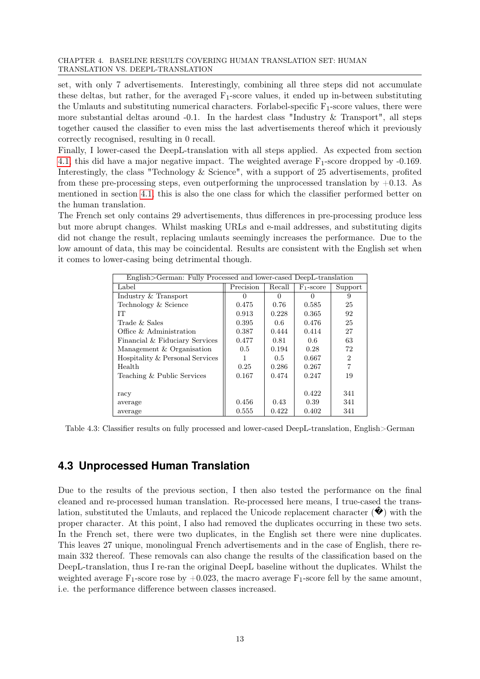#### CHAPTER 4. BASELINE RESULTS COVERING HUMAN TRANSLATION SET: HUMAN TRANSLATION VS. DEEPL-TRANSLATION

set, with only 7 advertisements. Interestingly, combining all three steps did not accumulate these deltas, but rather, for the averaged  $F_1$ -score values, it ended up in-between substituting the Umlauts and substituting numerical characters. For abel-specific  $F_1$ -score values, there were more substantial deltas around  $-0.1$ . In the hardest class "Industry & Transport", all steps together caused the classifier to even miss the last advertisements thereof which it previously correctly recognised, resulting in 0 recall.

Finally, I lower-cased the DeepL-translation with all steps applied. As expected from section [4.1,](#page-17-1) this did have a major negative impact. The weighted average  $F_1$ -score dropped by -0.169. Interestingly, the class "Technology & Science", with a support of 25 advertisements, profited from these pre-processing steps, even outperforming the unprocessed translation by  $+0.13$ . As mentioned in section [4.1,](#page-17-1) this is also the one class for which the classifier performed better on the human translation.

The French set only contains 29 advertisements, thus differences in pre-processing produce less but more abrupt changes. Whilst masking URLs and e-mail addresses, and substituting digits did not change the result, replacing umlauts seemingly increases the performance. Due to the low amount of data, this may be coincidental. Results are consistent with the English set when it comes to lower-casing being detrimental though.

<span id="page-20-1"></span>

| English>German: Fully Processed and lower-cased DeepL-translation |                  |          |              |                |  |  |  |  |
|-------------------------------------------------------------------|------------------|----------|--------------|----------------|--|--|--|--|
| Label                                                             | Precision        | Recall   | $F_1$ -score | Support        |  |  |  |  |
| Industry & Transport                                              | $\left( \right)$ | $\theta$ |              | 9              |  |  |  |  |
| Technology & Science                                              | 0.475            | 0.76     | 0.585        | 25             |  |  |  |  |
| IТ                                                                | 0.913            | 0.228    | 0.365        | 92             |  |  |  |  |
| Trade & Sales                                                     | 0.395            | 0.6      | 0.476        | 25             |  |  |  |  |
| Office & Administration                                           | 0.387            | 0.444    | 0.414        | 27             |  |  |  |  |
| Financial & Fiduciary Services                                    | 0.477            | 0.81     | 0.6          | 63             |  |  |  |  |
| Management & Organisation                                         | 0.5              | 0.194    | 0.28         | 72             |  |  |  |  |
| Hospitality & Personal Services                                   |                  | 0.5      | 0.667        | $\mathfrak{D}$ |  |  |  |  |
| Health                                                            | 0.25             | 0.286    | 0.267        | 7              |  |  |  |  |
| Teaching & Public Services                                        | 0.167            | 0.474    | 0.247        | 19             |  |  |  |  |
|                                                                   |                  |          |              |                |  |  |  |  |
| racy                                                              |                  |          | 0.422        | 341            |  |  |  |  |
| average                                                           | 0.456            | 0.43     | 0.39         | 341            |  |  |  |  |
| average                                                           | 0.555            | 0.422    | 0.402        | 341            |  |  |  |  |

Table 4.3: Classifier results on fully processed and lower-cased DeepL-translation, English>German

## <span id="page-20-0"></span>**4.3 Unprocessed Human Translation**

Due to the results of the previous section, I then also tested the performance on the final cleaned and re-processed human translation. Re-processed here means, I true-cased the translation, substituted the Umlauts, and replaced the Unicode replacement character  $(\mathbf{\blacklozenge})$  with the proper character. At this point, I also had removed the duplicates occurring in these two sets. In the French set, there were two duplicates, in the English set there were nine duplicates. This leaves 27 unique, monolingual French advertisements and in the case of English, there remain 332 thereof. These removals can also change the results of the classification based on the DeepL-translation, thus I re-ran the original DeepL baseline without the duplicates. Whilst the weighted average  $F_1$ -score rose by  $+0.023$ , the macro average  $F_1$ -score fell by the same amount, i.e. the performance difference between classes increased.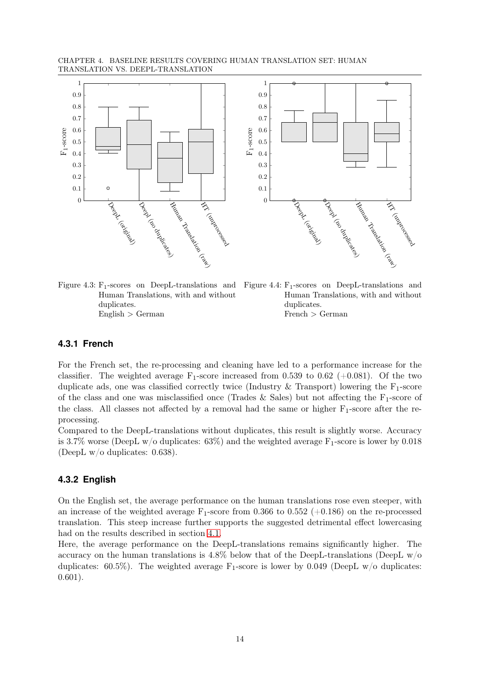CHAPTER 4. BASELINE RESULTS COVERING HUMAN TRANSLATION SET: HUMAN TRANSLATION VS. DEEPL-TRANSLATION



<span id="page-21-2"></span>Figure 4.3:  $F_1$ -scores on DeepL-translations and Human Translations, with and without duplicates.  $English > German$ 

<span id="page-21-3"></span>

T. (und rocessed d

#### <span id="page-21-0"></span>**4.3.1 French**

For the French set, the re-processing and cleaning have led to a performance increase for the classifier. The weighted average  $F_1$ -score increased from 0.539 to 0.62 (+0.081). Of the two duplicate ads, one was classified correctly twice (Industry  $\&$  Transport) lowering the F<sub>1</sub>-score of the class and one was misclassified once (Trades & Sales) but not affecting the  $F_1$ -score of the class. All classes not affected by a removal had the same or higher  $F_1$ -score after the reprocessing.

Compared to the DeepL-translations without duplicates, this result is slightly worse. Accuracy is 3.7% worse (DeepL w/o duplicates:  $63\%$ ) and the weighted average F<sub>1</sub>-score is lower by 0.018 (DeepL w/o duplicates: 0.638).

#### <span id="page-21-1"></span>**4.3.2 English**

On the English set, the average performance on the human translations rose even steeper, with an increase of the weighted average  $F_1$ -score from 0.366 to 0.552 (+0.186) on the re-processed translation. This steep increase further supports the suggested detrimental effect lowercasing had on the results described in section [4.1.](#page-17-1)

Here, the average performance on the DeepL-translations remains significantly higher. The accuracy on the human translations is  $4.8\%$  below that of the DeepL-translations (DeepL w/o duplicates: 60.5%). The weighted average  $F_1$ -score is lower by 0.049 (DeepL w/o duplicates: 0.601).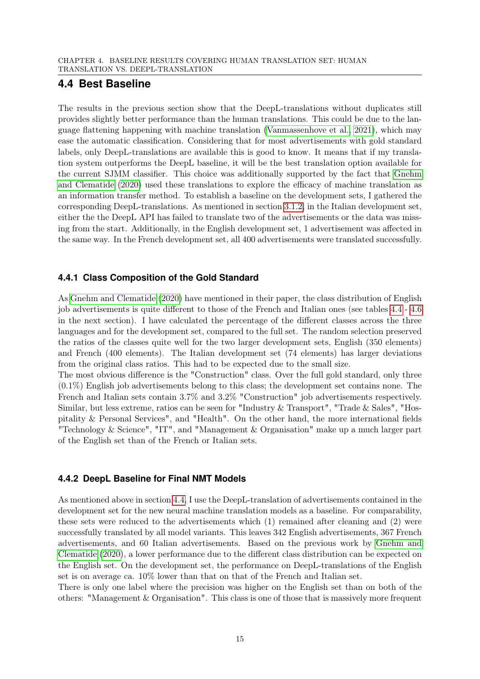## <span id="page-22-0"></span>**4.4 Best Baseline**

The results in the previous section show that the DeepL-translations without duplicates still provides slightly better performance than the human translations. This could be due to the language flattening happening with machine translation [\(Vanmassenhove et al., 2021\)](#page-46-7), which may ease the automatic classification. Considering that for most advertisements with gold standard labels, only DeepL-translations are available this is good to know. It means that if my translation system outperforms the DeepL baseline, it will be the best translation option available for the current SJMM classifier. This choice was additionally supported by the fact that [Gnehm](#page-45-0) [and Clematide](#page-45-0) [\(2020\)](#page-45-0) used these translations to explore the efficacy of machine translation as an information transfer method. To establish a baseline on the development sets, I gathered the corresponding DeepL-translations. As mentioned in section [3.1.2,](#page-12-0) in the Italian development set, either the the DeepL API has failed to translate two of the advertisements or the data was missing from the start. Additionally, in the English development set, 1 advertisement was affected in the same way. In the French development set, all 400 advertisements were translated successfully.

## <span id="page-22-1"></span>**4.4.1 Class Composition of the Gold Standard**

As [Gnehm and Clematide](#page-45-0) [\(2020\)](#page-45-0) have mentioned in their paper, the class distribution of English job advertisements is quite different to those of the French and Italian ones (see tables [4.4](#page-23-0) - [4.6](#page-24-1) in the next section). I have calculated the percentage of the different classes across the three languages and for the development set, compared to the full set. The random selection preserved the ratios of the classes quite well for the two larger development sets, English (350 elements) and French (400 elements). The Italian development set (74 elements) has larger deviations from the original class ratios. This had to be expected due to the small size.

The most obvious difference is the "Construction" class. Over the full gold standard, only three (0.1%) English job advertisements belong to this class; the development set contains none. The French and Italian sets contain 3.7% and 3.2% "Construction" job advertisements respectively. Similar, but less extreme, ratios can be seen for "Industry & Transport", "Trade & Sales", "Hospitality & Personal Services", and "Health". On the other hand, the more international fields "Technology & Science", "IT", and "Management & Organisation" make up a much larger part of the English set than of the French or Italian sets.

### <span id="page-22-2"></span>**4.4.2 DeepL Baseline for Final NMT Models**

As mentioned above in section [4.4,](#page-22-0) I use the DeepL-translation of advertisements contained in the development set for the new neural machine translation models as a baseline. For comparability, these sets were reduced to the advertisements which (1) remained after cleaning and (2) were successfully translated by all model variants. This leaves 342 English advertisements, 367 French advertisements, and 60 Italian advertisements. Based on the previous work by [Gnehm and](#page-45-0) [Clematide](#page-45-0) [\(2020\)](#page-45-0), a lower performance due to the different class distribution can be expected on the English set. On the development set, the performance on DeepL-translations of the English set is on average ca. 10% lower than that on that of the French and Italian set.

There is only one label where the precision was higher on the English set than on both of the others: "Management & Organisation". This class is one of those that is massively more frequent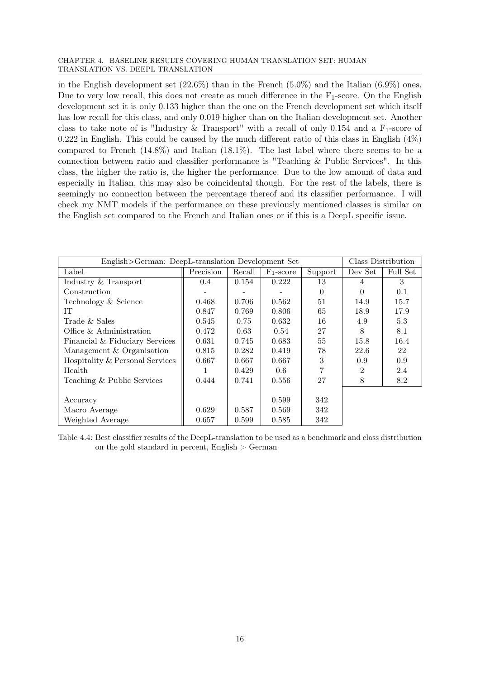#### CHAPTER 4. BASELINE RESULTS COVERING HUMAN TRANSLATION SET: HUMAN TRANSLATION VS. DEEPL-TRANSLATION

in the English development set  $(22.6\%)$  than in the French  $(5.0\%)$  and the Italian  $(6.9\%)$  ones. Due to very low recall, this does not create as much difference in the  $F_1$ -score. On the English development set it is only 0.133 higher than the one on the French development set which itself has low recall for this class, and only 0.019 higher than on the Italian development set. Another class to take note of is "Industry & Transport" with a recall of only 0.154 and a  $F_1$ -score of  $0.222$  in English. This could be caused by the much different ratio of this class in English  $(4\%)$ compared to French (14.8%) and Italian (18.1%). The last label where there seems to be a connection between ratio and classifier performance is "Teaching & Public Services". In this class, the higher the ratio is, the higher the performance. Due to the low amount of data and especially in Italian, this may also be coincidental though. For the rest of the labels, there is seemingly no connection between the percentage thereof and its classifier performance. I will check my NMT models if the performance on these previously mentioned classes is similar on the English set compared to the French and Italian ones or if this is a DeepL specific issue.

<span id="page-23-0"></span>

| English>German: DeepL-translation Development Set |           |        |              |          |                | Class Distribution |
|---------------------------------------------------|-----------|--------|--------------|----------|----------------|--------------------|
| Label                                             | Precision | Recall | $F_1$ -score | Support  | Dev Set        | Full Set           |
| Industry & Transport                              | 0.4       | 0.154  | 0.222        | 13       | 4              | 3                  |
| Construction                                      |           |        |              | $\Omega$ | $\Omega$       | 0.1                |
| Technology & Science                              | 0.468     | 0.706  | 0.562        | 51       | 14.9           | 15.7               |
| IT                                                | 0.847     | 0.769  | 0.806        | 65       | 18.9           | 17.9               |
| Trade & Sales                                     | 0.545     | 0.75   | 0.632        | 16       | 4.9            | 5.3                |
| Office & Administration                           | 0.472     | 0.63   | 0.54         | 27       | 8              | 8.1                |
| Financial & Fiduciary Services                    | 0.631     | 0.745  | 0.683        | 55       | 15.8           | 16.4               |
| Management & Organisation                         | 0.815     | 0.282  | 0.419        | 78       | 22.6           | 22                 |
| Hospitality & Personal Services                   | 0.667     | 0.667  | 0.667        | 3        | 0.9            | 0.9                |
| Health                                            |           | 0.429  | 0.6          | 7        | $\overline{2}$ | 2.4                |
| Teaching & Public Services                        | 0.444     | 0.741  | 0.556        | 27       | 8              | 8.2                |
|                                                   |           |        |              |          |                |                    |
| Accuracy                                          |           |        | 0.599        | 342      |                |                    |
| Macro Average                                     | 0.629     | 0.587  | 0.569        | 342      |                |                    |
| Weighted Average                                  | 0.657     | 0.599  | 0.585        | 342      |                |                    |

Table 4.4: Best classifier results of the DeepL-translation to be used as a benchmark and class distribution on the gold standard in percent, English  $>$  German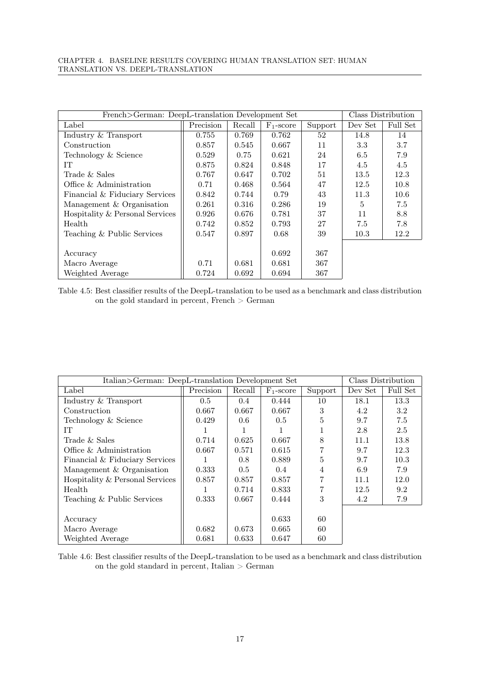<span id="page-24-0"></span>

| French>German: DeepL-translation Development Set |           |        |              |         | Class Distribution |          |
|--------------------------------------------------|-----------|--------|--------------|---------|--------------------|----------|
| Label                                            | Precision | Recall | $F_1$ -score | Support | Dev Set            | Full Set |
| Industry & Transport                             | 0.755     | 0.769  | 0.762        | 52      | 14.8               | 14       |
| Construction                                     | 0.857     | 0.545  | 0.667        | 11      | 3.3                | 3.7      |
| Technology & Science                             | 0.529     | 0.75   | 0.621        | 24      | 6.5                | 7.9      |
| IT                                               | 0.875     | 0.824  | 0.848        | 17      | 4.5                | 4.5      |
| Trade & Sales                                    | 0.767     | 0.647  | 0.702        | 51      | 13.5               | 12.3     |
| Office & Administration                          | 0.71      | 0.468  | 0.564        | 47      | 12.5               | 10.8     |
| Financial & Fiduciary Services                   | 0.842     | 0.744  | 0.79         | 43      | 11.3               | 10.6     |
| Management & Organisation                        | 0.261     | 0.316  | 0.286        | 19      | 5                  | 7.5      |
| Hospitality & Personal Services                  | 0.926     | 0.676  | 0.781        | 37      | 11                 | 8.8      |
| Health                                           | 0.742     | 0.852  | 0.793        | 27      | 7.5                | 7.8      |
| Teaching & Public Services                       | 0.547     | 0.897  | 0.68         | 39      | 10.3               | 12.2     |
|                                                  |           |        |              |         |                    |          |
| Accuracy                                         |           |        | 0.692        | 367     |                    |          |
| Macro Average                                    | 0.71      | 0.681  | 0.681        | 367     |                    |          |
| Weighted Average                                 | 0.724     | 0.692  | 0.694        | 367     |                    |          |

Table 4.5: Best classifier results of the DeepL-translation to be used as a benchmark and class distribution on the gold standard in percent, French > German

<span id="page-24-1"></span>

| Italian>German: DeepL-translation Development Set |           |               |              |         |         | Class Distribution |
|---------------------------------------------------|-----------|---------------|--------------|---------|---------|--------------------|
| Label                                             | Precision | Recall        | $F_1$ -score | Support | Dev Set | Full Set           |
| Industry & Transport                              | 0.5       | 0.4           | 0.444        | 10      | 18.1    | 13.3               |
| Construction                                      | 0.667     | 0.667         | 0.667        | 3       | 4.2     | 3.2                |
| Technology & Science                              | 0.429     | 0.6           | 0.5          | 5       | 9.7     | 7.5                |
| IT                                                |           |               |              |         | 2.8     | 2.5                |
| Trade & Sales                                     | 0.714     | 0.625         | 0.667        | 8       | 11.1    | 13.8               |
| Office & Administration                           | 0.667     | 0.571         | 0.615        | 7       | 9.7     | 12.3               |
| Financial & Fiduciary Services                    | 1         | $0.8^{\circ}$ | 0.889        | 5       | 9.7     | 10.3               |
| Management & Organisation                         | 0.333     | 0.5           | 0.4          | 4       | 6.9     | 7.9                |
| Hospitality & Personal Services                   | 0.857     | 0.857         | 0.857        | 7       | 11.1    | 12.0               |
| Health                                            |           | 0.714         | 0.833        | 7       | 12.5    | 9.2                |
| Teaching & Public Services                        | 0.333     | 0.667         | 0.444        | 3       | 4.2     | 7.9                |
|                                                   |           |               |              |         |         |                    |
| Accuracy                                          |           |               | 0.633        | 60      |         |                    |
| Macro Average                                     | 0.682     | 0.673         | 0.665        | 60      |         |                    |
| Weighted Average                                  | 0.681     | 0.633         | 0.647        | 60      |         |                    |

Table 4.6: Best classifier results of the DeepL-translation to be used as a benchmark and class distribution on the gold standard in percent, Italian  $>$  German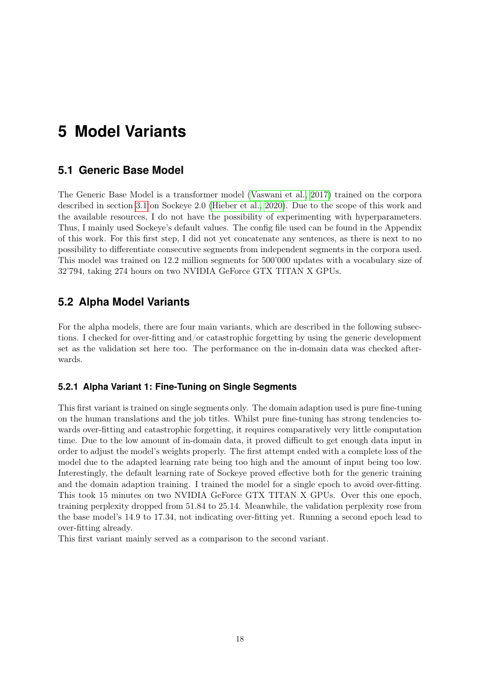## <span id="page-25-0"></span>**5 Model Variants**

## <span id="page-25-1"></span>**5.1 Generic Base Model**

The Generic Base Model is a transformer model [\(Vaswani et al., 2017\)](#page-46-8) trained on the corpora described in section [3.1](#page-11-1) on Sockeye 2.0 [\(Hieber et al., 2020\)](#page-45-11). Due to the scope of this work and the available resources, I do not have the possibility of experimenting with hyperparameters. Thus, I mainly used Sockeye's default values. The config file used can be found in the Appendix of this work. For this first step, I did not yet concatenate any sentences, as there is next to no possibility to differentiate consecutive segments from independent segments in the corpora used. This model was trained on 12.2 million segments for 500'000 updates with a vocabulary size of 32'794, taking 274 hours on two NVIDIA GeForce GTX TITAN X GPUs.

## <span id="page-25-2"></span>**5.2 Alpha Model Variants**

For the alpha models, there are four main variants, which are described in the following subsections. I checked for over-fitting and/or catastrophic forgetting by using the generic development set as the validation set here too. The performance on the in-domain data was checked afterwards.

#### <span id="page-25-3"></span>**5.2.1 Alpha Variant 1: Fine-Tuning on Single Segments**

This first variant is trained on single segments only. The domain adaption used is pure fine-tuning on the human translations and the job titles. Whilst pure fine-tuning has strong tendencies towards over-fitting and catastrophic forgetting, it requires comparatively very little computation time. Due to the low amount of in-domain data, it proved difficult to get enough data input in order to adjust the model's weights properly. The first attempt ended with a complete loss of the model due to the adapted learning rate being too high and the amount of input being too low. Interestingly, the default learning rate of Sockeye proved effective both for the generic training and the domain adaption training. I trained the model for a single epoch to avoid over-fitting. This took 15 minutes on two NVIDIA GeForce GTX TITAN X GPUs. Over this one epoch, training perplexity dropped from 51.84 to 25.14. Meanwhile, the validation perplexity rose from the base model's 14.9 to 17.34, not indicating over-fitting yet. Running a second epoch lead to over-fitting already.

This first variant mainly served as a comparison to the second variant.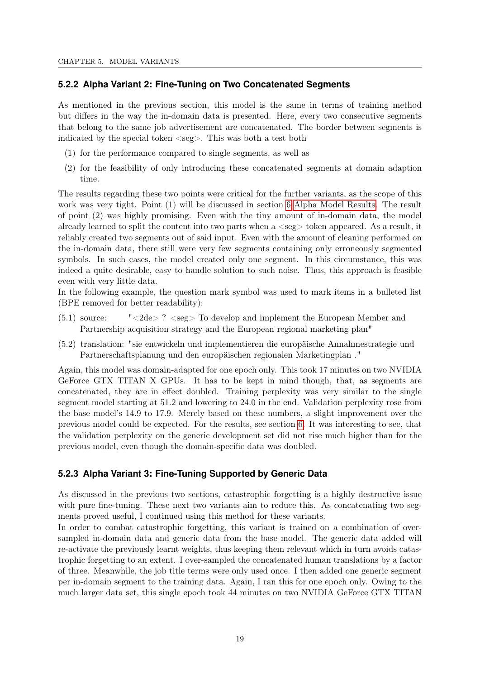#### <span id="page-26-0"></span>**5.2.2 Alpha Variant 2: Fine-Tuning on Two Concatenated Segments**

As mentioned in the previous section, this model is the same in terms of training method but differs in the way the in-domain data is presented. Here, every two consecutive segments that belong to the same job advertisement are concatenated. The border between segments is indicated by the special token  $\langle \text{seg}\rangle$ . This was both a test both

- (1) for the performance compared to single segments, as well as
- (2) for the feasibility of only introducing these concatenated segments at domain adaption time.

The results regarding these two points were critical for the further variants, as the scope of this work was very tight. Point (1) will be discussed in section [6 Alpha Model Results.](#page-28-0) The result of point (2) was highly promising. Even with the tiny amount of in-domain data, the model already learned to split the content into two parts when  $a \leq s$ eg $>$  token appeared. As a result, it reliably created two segments out of said input. Even with the amount of cleaning performed on the in-domain data, there still were very few segments containing only erroneously segmented symbols. In such cases, the model created only one segment. In this circumstance, this was indeed a quite desirable, easy to handle solution to such noise. Thus, this approach is feasible even with very little data.

In the following example, the question mark symbol was used to mark items in a bulleted list (BPE removed for better readability):

- (5.1) source: "<2de> ? <seg> To develop and implement the European Member and Partnership acquisition strategy and the European regional marketing plan"
- (5.2) translation: "sie entwickeln und implementieren die europäische Annahmestrategie und Partnerschaftsplanung und den europäischen regionalen Marketingplan ."

Again, this model was domain-adapted for one epoch only. This took 17 minutes on two NVIDIA GeForce GTX TITAN X GPUs. It has to be kept in mind though, that, as segments are concatenated, they are in effect doubled. Training perplexity was very similar to the single segment model starting at 51.2 and lowering to 24.0 in the end. Validation perplexity rose from the base model's 14.9 to 17.9. Merely based on these numbers, a slight improvement over the previous model could be expected. For the results, see section [6.](#page-28-0) It was interesting to see, that the validation perplexity on the generic development set did not rise much higher than for the previous model, even though the domain-specific data was doubled.

#### <span id="page-26-1"></span>**5.2.3 Alpha Variant 3: Fine-Tuning Supported by Generic Data**

As discussed in the previous two sections, catastrophic forgetting is a highly destructive issue with pure fine-tuning. These next two variants aim to reduce this. As concatenating two segments proved useful, I continued using this method for these variants.

In order to combat catastrophic forgetting, this variant is trained on a combination of oversampled in-domain data and generic data from the base model. The generic data added will re-activate the previously learnt weights, thus keeping them relevant which in turn avoids catastrophic forgetting to an extent. I over-sampled the concatenated human translations by a factor of three. Meanwhile, the job title terms were only used once. I then added one generic segment per in-domain segment to the training data. Again, I ran this for one epoch only. Owing to the much larger data set, this single epoch took 44 minutes on two NVIDIA GeForce GTX TITAN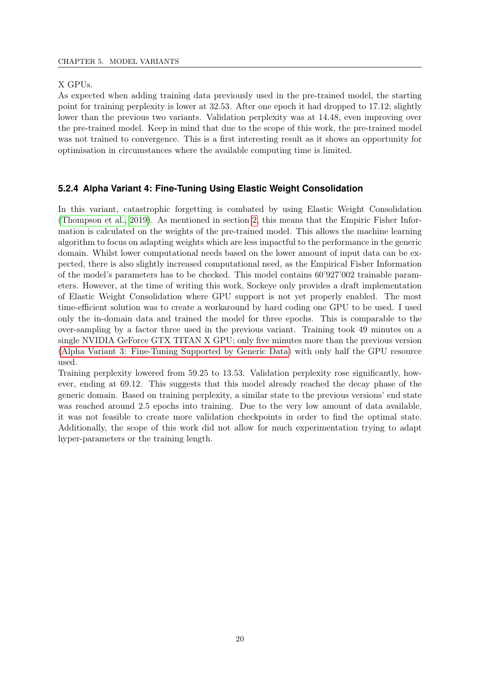#### X GPUs.

As expected when adding training data previously used in the pre-trained model, the starting point for training perplexity is lower at 32.53. After one epoch it had dropped to 17.12; slightly lower than the previous two variants. Validation perplexity was at 14.48, even improving over the pre-trained model. Keep in mind that due to the scope of this work, the pre-trained model was not trained to convergence. This is a first interesting result as it shows an opportunity for optimisation in circumstances where the available computing time is limited.

#### <span id="page-27-0"></span>**5.2.4 Alpha Variant 4: Fine-Tuning Using Elastic Weight Consolidation**

In this variant, catastrophic forgetting is combated by using Elastic Weight Consolidation [\(Thompson et al., 2019\)](#page-46-2). As mentioned in section [2,](#page-9-0) this means that the Empiric Fisher Information is calculated on the weights of the pre-trained model. This allows the machine learning algorithm to focus on adapting weights which are less impactful to the performance in the generic domain. Whilst lower computational needs based on the lower amount of input data can be expected, there is also slightly increased computational need, as the Empirical Fisher Information of the model's parameters has to be checked. This model contains 60'927'002 trainable parameters. However, at the time of writing this work, Sockeye only provides a draft implementation of Elastic Weight Consolidation where GPU support is not yet properly enabled. The most time-efficient solution was to create a workaround by hard coding one GPU to be used. I used only the in-domain data and trained the model for three epochs. This is comparable to the over-sampling by a factor three used in the previous variant. Training took 49 minutes on a single NVIDIA GeForce GTX TITAN X GPU; only five minutes more than the previous version [\(Alpha Variant 3: Fine-Tuning Supported by Generic Data\)](#page-26-1) with only half the GPU resource used.

Training perplexity lowered from 59.25 to 13.53. Validation perplexity rose significantly, however, ending at 69.12. This suggests that this model already reached the decay phase of the generic domain. Based on training perplexity, a similar state to the previous versions' end state was reached around 2.5 epochs into training. Due to the very low amount of data available, it was not feasible to create more validation checkpoints in order to find the optimal state. Additionally, the scope of this work did not allow for much experimentation trying to adapt hyper-parameters or the training length.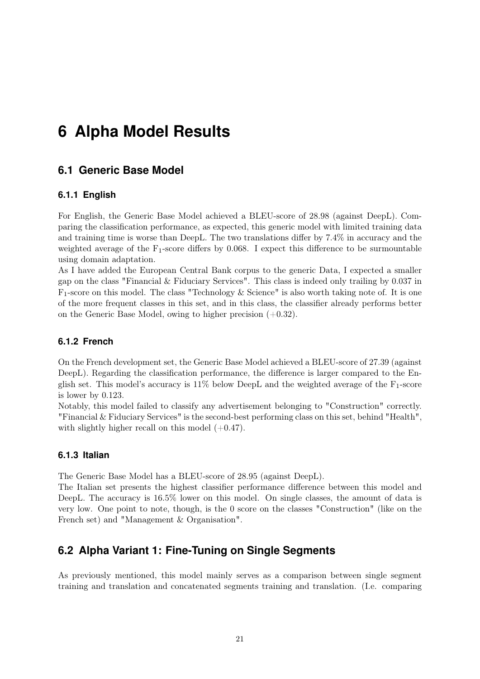## <span id="page-28-0"></span>**6 Alpha Model Results**

## <span id="page-28-1"></span>**6.1 Generic Base Model**

#### <span id="page-28-2"></span>**6.1.1 English**

For English, the Generic Base Model achieved a BLEU-score of 28.98 (against DeepL). Comparing the classification performance, as expected, this generic model with limited training data and training time is worse than DeepL. The two translations differ by 7.4% in accuracy and the weighted average of the  $F_1$ -score differs by 0.068. I expect this difference to be surmountable using domain adaptation.

As I have added the European Central Bank corpus to the generic Data, I expected a smaller gap on the class "Financial  $&$  Fiduciary Services". This class is indeed only trailing by 0.037 in  $F_1$ -score on this model. The class "Technology & Science" is also worth taking note of. It is one of the more frequent classes in this set, and in this class, the classifier already performs better on the Generic Base Model, owing to higher precision  $(+0.32)$ .

#### <span id="page-28-3"></span>**6.1.2 French**

On the French development set, the Generic Base Model achieved a BLEU-score of 27.39 (against DeepL). Regarding the classification performance, the difference is larger compared to the English set. This model's accuracy is  $11\%$  below DeepL and the weighted average of the  $F_1$ -score is lower by 0.123.

Notably, this model failed to classify any advertisement belonging to "Construction" correctly. "Financial & Fiduciary Services" is the second-best performing class on this set, behind "Health", with slightly higher recall on this model  $(+0.47)$ .

#### <span id="page-28-4"></span>**6.1.3 Italian**

The Generic Base Model has a BLEU-score of 28.95 (against DeepL).

The Italian set presents the highest classifier performance difference between this model and DeepL. The accuracy is 16.5% lower on this model. On single classes, the amount of data is very low. One point to note, though, is the 0 score on the classes "Construction" (like on the French set) and "Management & Organisation".

### <span id="page-28-5"></span>**6.2 Alpha Variant 1: Fine-Tuning on Single Segments**

As previously mentioned, this model mainly serves as a comparison between single segment training and translation and concatenated segments training and translation. (I.e. comparing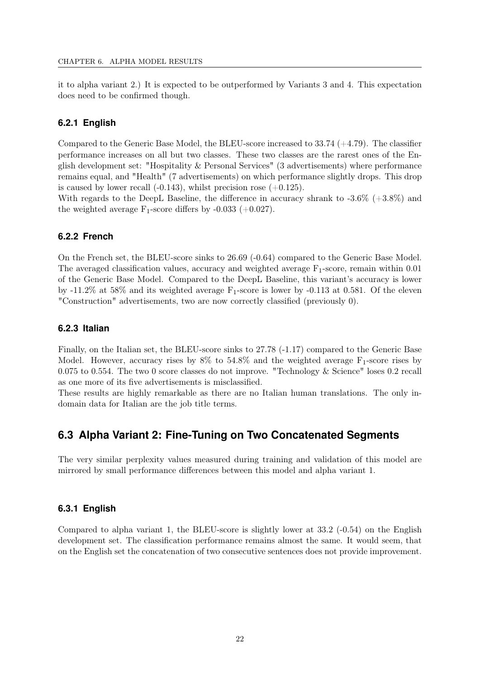it to alpha variant 2.) It is expected to be outperformed by Variants 3 and 4. This expectation does need to be confirmed though.

#### <span id="page-29-0"></span>**6.2.1 English**

Compared to the Generic Base Model, the BLEU-score increased to 33.74 (+4.79). The classifier performance increases on all but two classes. These two classes are the rarest ones of the English development set: "Hospitality & Personal Services" (3 advertisements) where performance remains equal, and "Health" (7 advertisements) on which performance slightly drops. This drop is caused by lower recall  $(-0.143)$ , whilst precision rose  $(+0.125)$ .

With regards to the DeepL Baseline, the difference in accuracy shrank to -3.6% (+3.8%) and the weighted average  $F_1$ -score differs by -0.033 (+0.027).

#### <span id="page-29-1"></span>**6.2.2 French**

On the French set, the BLEU-score sinks to 26.69 (-0.64) compared to the Generic Base Model. The averaged classification values, accuracy and weighted average  $F_1$ -score, remain within 0.01 of the Generic Base Model. Compared to the DeepL Baseline, this variant's accuracy is lower by  $-11.2\%$  at 58% and its weighted average  $F_1$ -score is lower by  $-0.113$  at 0.581. Of the eleven "Construction" advertisements, two are now correctly classified (previously 0).

#### <span id="page-29-2"></span>**6.2.3 Italian**

Finally, on the Italian set, the BLEU-score sinks to 27.78 (-1.17) compared to the Generic Base Model. However, accuracy rises by  $8\%$  to 54.8% and the weighted average  $F_1$ -score rises by 0.075 to 0.554. The two 0 score classes do not improve. "Technology & Science" loses 0.2 recall as one more of its five advertisements is misclassified.

These results are highly remarkable as there are no Italian human translations. The only indomain data for Italian are the job title terms.

### <span id="page-29-3"></span>**6.3 Alpha Variant 2: Fine-Tuning on Two Concatenated Segments**

The very similar perplexity values measured during training and validation of this model are mirrored by small performance differences between this model and alpha variant 1.

#### <span id="page-29-4"></span>**6.3.1 English**

Compared to alpha variant 1, the BLEU-score is slightly lower at 33.2 (-0.54) on the English development set. The classification performance remains almost the same. It would seem, that on the English set the concatenation of two consecutive sentences does not provide improvement.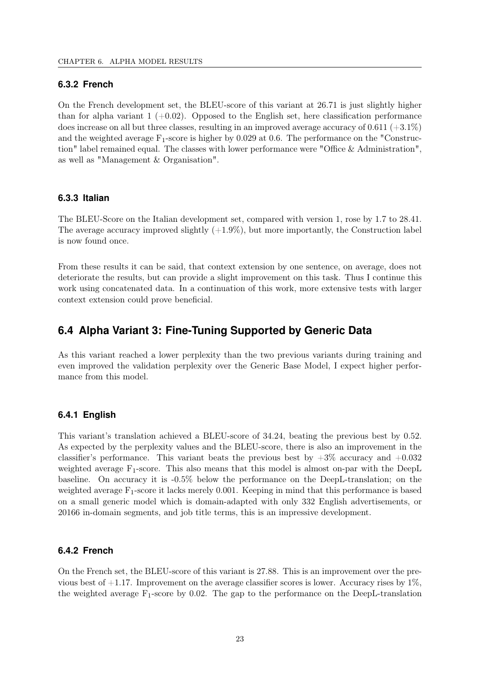#### <span id="page-30-0"></span>**6.3.2 French**

On the French development set, the BLEU-score of this variant at 26.71 is just slightly higher than for alpha variant  $1 (+0.02)$ . Opposed to the English set, here classification performance does increase on all but three classes, resulting in an improved average accuracy of  $0.611 (+3.1\%)$ and the weighted average  $F_1$ -score is higher by 0.029 at 0.6. The performance on the "Construction" label remained equal. The classes with lower performance were "Office & Administration", as well as "Management & Organisation".

#### <span id="page-30-1"></span>**6.3.3 Italian**

The BLEU-Score on the Italian development set, compared with version 1, rose by 1.7 to 28.41. The average accuracy improved slightly  $(+1.9\%)$ , but more importantly, the Construction label is now found once.

From these results it can be said, that context extension by one sentence, on average, does not deteriorate the results, but can provide a slight improvement on this task. Thus I continue this work using concatenated data. In a continuation of this work, more extensive tests with larger context extension could prove beneficial.

## <span id="page-30-2"></span>**6.4 Alpha Variant 3: Fine-Tuning Supported by Generic Data**

As this variant reached a lower perplexity than the two previous variants during training and even improved the validation perplexity over the Generic Base Model, I expect higher performance from this model.

#### <span id="page-30-3"></span>**6.4.1 English**

This variant's translation achieved a BLEU-score of 34.24, beating the previous best by 0.52. As expected by the perplexity values and the BLEU-score, there is also an improvement in the classifier's performance. This variant beats the previous best by  $+3\%$  accuracy and  $+0.032$ weighted average  $F_1$ -score. This also means that this model is almost on-par with the DeepL baseline. On accuracy it is -0.5% below the performance on the DeepL-translation; on the weighted average F1-score it lacks merely 0.001. Keeping in mind that this performance is based on a small generic model which is domain-adapted with only 332 English advertisements, or 20166 in-domain segments, and job title terms, this is an impressive development.

#### <span id="page-30-4"></span>**6.4.2 French**

On the French set, the BLEU-score of this variant is 27.88. This is an improvement over the previous best of  $+1.17$ . Improvement on the average classifier scores is lower. Accuracy rises by  $1\%$ , the weighted average  $F_1$ -score by 0.02. The gap to the performance on the DeepL-translation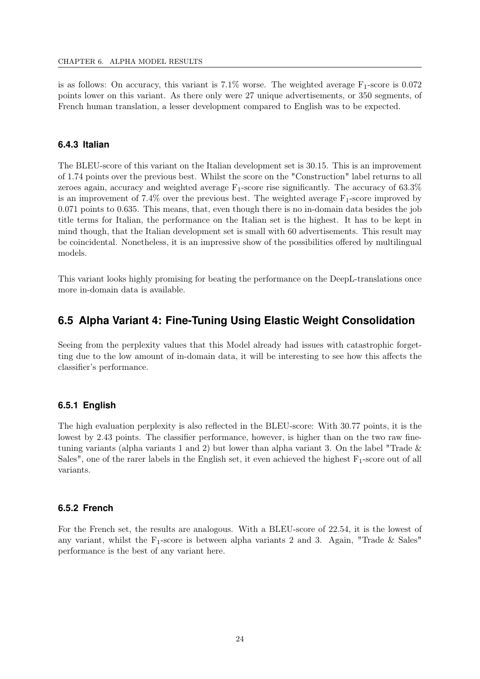is as follows: On accuracy, this variant is  $7.1\%$  worse. The weighted average  $F_1$ -score is 0.072 points lower on this variant. As there only were 27 unique advertisements, or 350 segments, of French human translation, a lesser development compared to English was to be expected.

#### <span id="page-31-0"></span>**6.4.3 Italian**

The BLEU-score of this variant on the Italian development set is 30.15. This is an improvement of 1.74 points over the previous best. Whilst the score on the "Construction" label returns to all zeroes again, accuracy and weighted average  $F_1$ -score rise significantly. The accuracy of 63.3% is an improvement of  $7.4\%$  over the previous best. The weighted average  $F_1$ -score improved by 0.071 points to 0.635. This means, that, even though there is no in-domain data besides the job title terms for Italian, the performance on the Italian set is the highest. It has to be kept in mind though, that the Italian development set is small with 60 advertisements. This result may be coincidental. Nonetheless, it is an impressive show of the possibilities offered by multilingual models.

This variant looks highly promising for beating the performance on the DeepL-translations once more in-domain data is available.

## <span id="page-31-1"></span>**6.5 Alpha Variant 4: Fine-Tuning Using Elastic Weight Consolidation**

Seeing from the perplexity values that this Model already had issues with catastrophic forgetting due to the low amount of in-domain data, it will be interesting to see how this affects the classifier's performance.

#### <span id="page-31-2"></span>**6.5.1 English**

The high evaluation perplexity is also reflected in the BLEU-score: With 30.77 points, it is the lowest by 2.43 points. The classifier performance, however, is higher than on the two raw finetuning variants (alpha variants 1 and 2) but lower than alpha variant 3. On the label "Trade  $\&$ Sales", one of the rarer labels in the English set, it even achieved the highest  $F_1$ -score out of all variants.

#### <span id="page-31-3"></span>**6.5.2 French**

For the French set, the results are analogous. With a BLEU-score of 22.54, it is the lowest of any variant, whilst the  $F_1$ -score is between alpha variants 2 and 3. Again, "Trade & Sales" performance is the best of any variant here.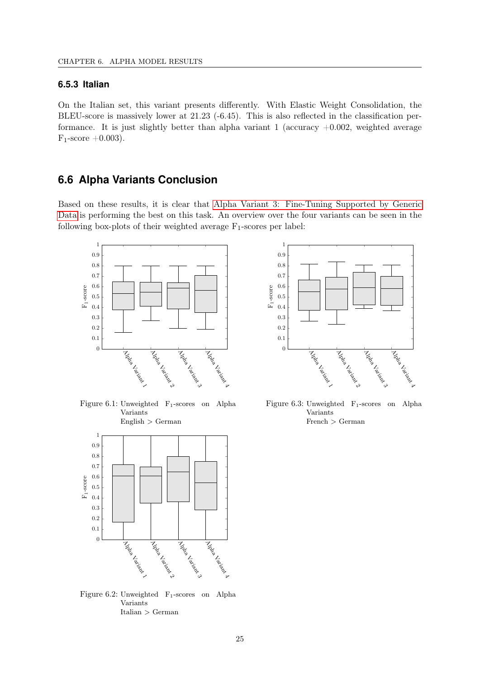#### <span id="page-32-0"></span>**6.5.3 Italian**

On the Italian set, this variant presents differently. With Elastic Weight Consolidation, the BLEU-score is massively lower at 21.23 (-6.45). This is also reflected in the classification performance. It is just slightly better than alpha variant 1 (accuracy  $+0.002$ , weighted average  $F_1$ -score  $+0.003$ ).

## <span id="page-32-1"></span>**6.6 Alpha Variants Conclusion**

Based on these results, it is clear that [Alpha Variant 3: Fine-Tuning Supported by Generic](#page-26-1) [Data](#page-26-1) is performing the best on this task. An overview over the four variants can be seen in the following box-plots of their weighted average  $F_1$ -scores per label:



<span id="page-32-2"></span>Figure 6.1: Unweighted F1-scores on Alpha Variants  $English > German$ 



<span id="page-32-3"></span>Figure 6.2: Unweighted F1-scores on Alpha Variants Italian > German



<span id="page-32-4"></span>Figure 6.3: Unweighted F1-scores on Alpha Variants French > German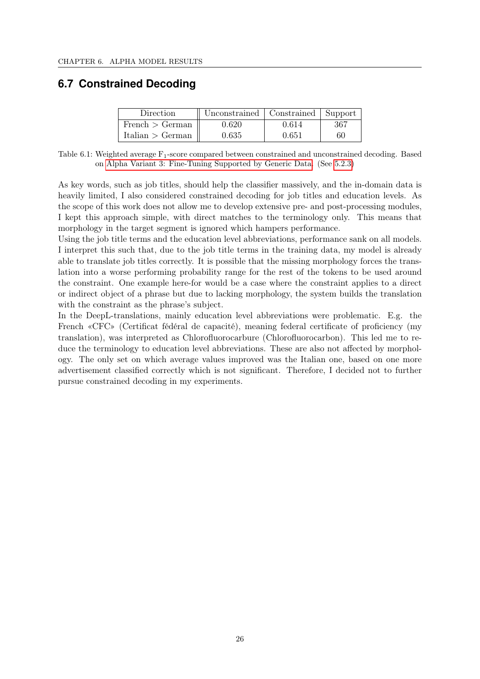## <span id="page-33-1"></span><span id="page-33-0"></span>**6.7 Constrained Decoding**

| Direction        | Unconstrained   Constrained   Support |       |     |
|------------------|---------------------------------------|-------|-----|
| French > German  | 0.620                                 | 0.614 | 367 |
| Italian > German | 0.635                                 | 0.651 | 60  |

Table 6.1: Weighted average  $F_1$ -score compared between constrained and unconstrained decoding. Based on [Alpha Variant 3: Fine-Tuning Supported by Generic Data.](#page-26-1) (See [5.2.3\)](#page-26-1)

As key words, such as job titles, should help the classifier massively, and the in-domain data is heavily limited, I also considered constrained decoding for job titles and education levels. As the scope of this work does not allow me to develop extensive pre- and post-processing modules, I kept this approach simple, with direct matches to the terminology only. This means that morphology in the target segment is ignored which hampers performance.

Using the job title terms and the education level abbreviations, performance sank on all models. I interpret this such that, due to the job title terms in the training data, my model is already able to translate job titles correctly. It is possible that the missing morphology forces the translation into a worse performing probability range for the rest of the tokens to be used around the constraint. One example here-for would be a case where the constraint applies to a direct or indirect object of a phrase but due to lacking morphology, the system builds the translation with the constraint as the phrase's subject.

In the DeepL-translations, mainly education level abbreviations were problematic. E.g. the French «CFC» (Certificat fédéral de capacité), meaning federal certificate of proficiency (my translation), was interpreted as Chlorofluorocarbure (Chlorofluorocarbon). This led me to reduce the terminology to education level abbreviations. These are also not affected by morphology. The only set on which average values improved was the Italian one, based on one more advertisement classified correctly which is not significant. Therefore, I decided not to further pursue constrained decoding in my experiments.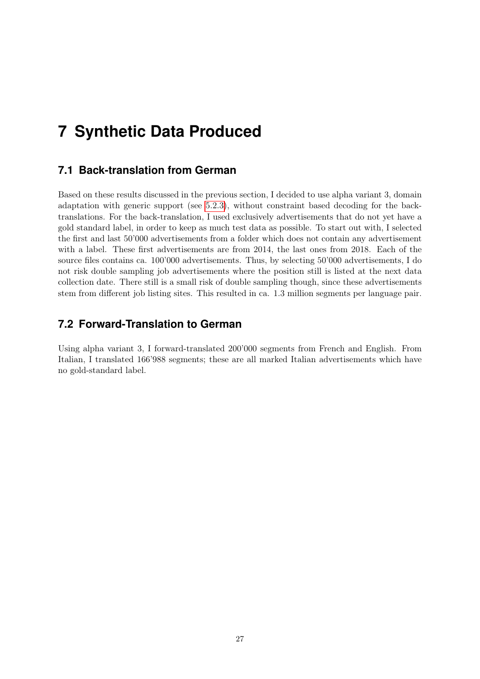## <span id="page-34-0"></span>**7 Synthetic Data Produced**

## <span id="page-34-1"></span>**7.1 Back-translation from German**

Based on these results discussed in the previous section, I decided to use alpha variant 3, domain adaptation with generic support (see [5.2.3\)](#page-26-1), without constraint based decoding for the backtranslations. For the back-translation, I used exclusively advertisements that do not yet have a gold standard label, in order to keep as much test data as possible. To start out with, I selected the first and last 50'000 advertisements from a folder which does not contain any advertisement with a label. These first advertisements are from 2014, the last ones from 2018. Each of the source files contains ca. 100'000 advertisements. Thus, by selecting 50'000 advertisements, I do not risk double sampling job advertisements where the position still is listed at the next data collection date. There still is a small risk of double sampling though, since these advertisements stem from different job listing sites. This resulted in ca. 1.3 million segments per language pair.

## <span id="page-34-2"></span>**7.2 Forward-Translation to German**

Using alpha variant 3, I forward-translated 200'000 segments from French and English. From Italian, I translated 166'988 segments; these are all marked Italian advertisements which have no gold-standard label.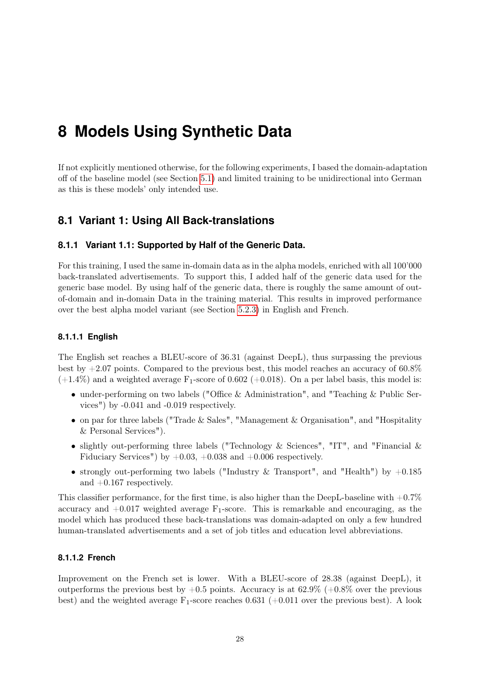## <span id="page-35-0"></span>**8 Models Using Synthetic Data**

If not explicitly mentioned otherwise, for the following experiments, I based the domain-adaptation off of the baseline model (see Section [5.1\)](#page-25-1) and limited training to be unidirectional into German as this is these models' only intended use.

## <span id="page-35-1"></span>**8.1 Variant 1: Using All Back-translations**

#### <span id="page-35-2"></span>**8.1.1 Variant 1.1: Supported by Half of the Generic Data.**

For this training, I used the same in-domain data as in the alpha models, enriched with all 100'000 back-translated advertisements. To support this, I added half of the generic data used for the generic base model. By using half of the generic data, there is roughly the same amount of outof-domain and in-domain Data in the training material. This results in improved performance over the best alpha model variant (see Section [5.2.3\)](#page-26-1) in English and French.

#### <span id="page-35-3"></span>**8.1.1.1 English**

The English set reaches a BLEU-score of 36.31 (against DeepL), thus surpassing the previous best by  $+2.07$  points. Compared to the previous best, this model reaches an accuracy of 60.8%  $(+1.4\%)$  and a weighted average F<sub>1</sub>-score of 0.602 (+0.018). On a per label basis, this model is:

- under-performing on two labels ("Office & Administration", and "Teaching & Public Services") by -0.041 and -0.019 respectively.
- on par for three labels ("Trade & Sales", "Management & Organisation", and "Hospitality & Personal Services").
- slightly out-performing three labels ("Technology & Sciences", "IT", and "Financial  $\&$ Fiduciary Services") by  $+0.03, +0.038$  and  $+0.006$  respectively.
- strongly out-performing two labels ("Industry & Transport", and "Health") by  $+0.185$ and +0.167 respectively.

This classifier performance, for the first time, is also higher than the DeepL-baseline with  $+0.7\%$ accuracy and  $+0.017$  weighted average  $F_1$ -score. This is remarkable and encouraging, as the model which has produced these back-translations was domain-adapted on only a few hundred human-translated advertisements and a set of job titles and education level abbreviations.

#### <span id="page-35-4"></span>**8.1.1.2 French**

Improvement on the French set is lower. With a BLEU-score of 28.38 (against DeepL), it outperforms the previous best by  $+0.5$  points. Accuracy is at 62.9% ( $+0.8\%$  over the previous best) and the weighted average  $F_1$ -score reaches 0.631 (+0.011 over the previous best). A look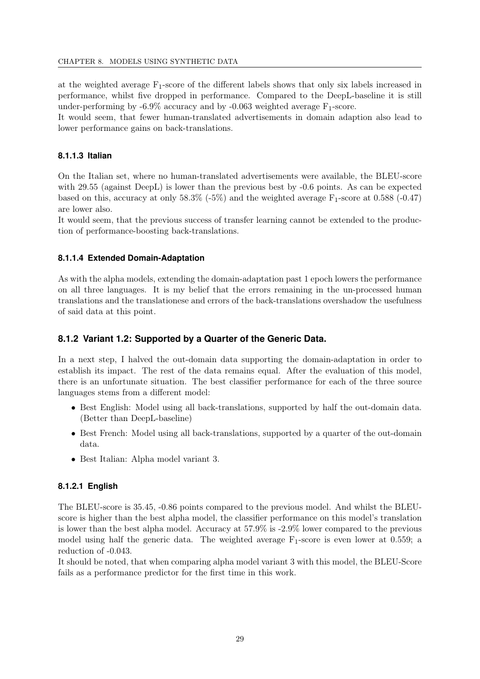at the weighted average  $F_1$ -score of the different labels shows that only six labels increased in performance, whilst five dropped in performance. Compared to the DeepL-baseline it is still under-performing by  $-6.9\%$  accuracy and by  $-0.063$  weighted average  $F_1$ -score.

It would seem, that fewer human-translated advertisements in domain adaption also lead to lower performance gains on back-translations.

### **8.1.1.3 Italian**

On the Italian set, where no human-translated advertisements were available, the BLEU-score with 29.55 (against DeepL) is lower than the previous best by -0.6 points. As can be expected based on this, accuracy at only  $58.3\%$  (-5%) and the weighted average F<sub>1</sub>-score at 0.588 (-0.47) are lower also.

It would seem, that the previous success of transfer learning cannot be extended to the production of performance-boosting back-translations.

#### **8.1.1.4 Extended Domain-Adaptation**

As with the alpha models, extending the domain-adaptation past 1 epoch lowers the performance on all three languages. It is my belief that the errors remaining in the un-processed human translations and the translationese and errors of the back-translations overshadow the usefulness of said data at this point.

### **8.1.2 Variant 1.2: Supported by a Quarter of the Generic Data.**

In a next step, I halved the out-domain data supporting the domain-adaptation in order to establish its impact. The rest of the data remains equal. After the evaluation of this model, there is an unfortunate situation. The best classifier performance for each of the three source languages stems from a different model:

- Best English: Model using all back-translations, supported by half the out-domain data. (Better than DeepL-baseline)
- Best French: Model using all back-translations, supported by a quarter of the out-domain data.
- Best Italian: Alpha model variant 3.

#### **8.1.2.1 English**

The BLEU-score is 35.45, -0.86 points compared to the previous model. And whilst the BLEUscore is higher than the best alpha model, the classifier performance on this model's translation is lower than the best alpha model. Accuracy at 57.9% is -2.9% lower compared to the previous model using half the generic data. The weighted average  $F_1$ -score is even lower at 0.559; a reduction of -0.043.

It should be noted, that when comparing alpha model variant 3 with this model, the BLEU-Score fails as a performance predictor for the first time in this work.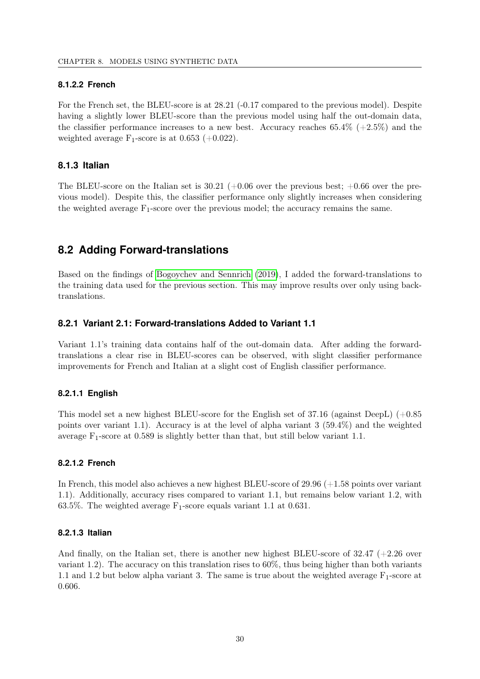### **8.1.2.2 French**

For the French set, the BLEU-score is at  $28.21$  (-0.17 compared to the previous model). Despite having a slightly lower BLEU-score than the previous model using half the out-domain data, the classifier performance increases to a new best. Accuracy reaches  $65.4\%$  (+2.5%) and the weighted average  $F_1$ -score is at 0.653 (+0.022).

### **8.1.3 Italian**

The BLEU-score on the Italian set is  $30.21$  (+0.06 over the previous best; +0.66 over the previous model). Despite this, the classifier performance only slightly increases when considering the weighted average  $F_1$ -score over the previous model; the accuracy remains the same.

## **8.2 Adding Forward-translations**

Based on the findings of [Bogoychev and Sennrich](#page-45-0) [\(2019\)](#page-45-0), I added the forward-translations to the training data used for the previous section. This may improve results over only using backtranslations.

### **8.2.1 Variant 2.1: Forward-translations Added to Variant 1.1**

Variant 1.1's training data contains half of the out-domain data. After adding the forwardtranslations a clear rise in BLEU-scores can be observed, with slight classifier performance improvements for French and Italian at a slight cost of English classifier performance.

### **8.2.1.1 English**

This model set a new highest BLEU-score for the English set of 37.16 (against DeepL) (+0.85 points over variant 1.1). Accuracy is at the level of alpha variant 3 (59.4%) and the weighted average  $F_1$ -score at 0.589 is slightly better than that, but still below variant 1.1.

#### **8.2.1.2 French**

In French, this model also achieves a new highest BLEU-score of 29.96 (+1.58 points over variant 1.1). Additionally, accuracy rises compared to variant 1.1, but remains below variant 1.2, with 63.5%. The weighted average  $F_1$ -score equals variant 1.1 at 0.631.

#### **8.2.1.3 Italian**

And finally, on the Italian set, there is another new highest BLEU-score of  $32.47$  (+2.26 over variant 1.2). The accuracy on this translation rises to 60%, thus being higher than both variants 1.1 and 1.2 but below alpha variant 3. The same is true about the weighted average  $F_1$ -score at 0.606.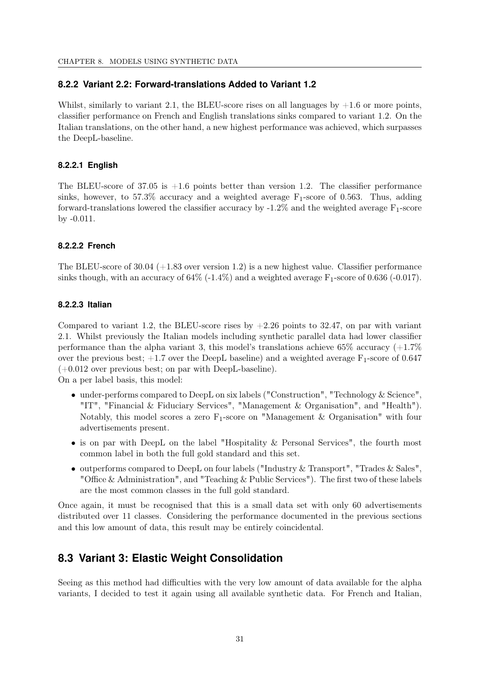### **8.2.2 Variant 2.2: Forward-translations Added to Variant 1.2**

Whilst, similarly to variant 2.1, the BLEU-score rises on all languages by  $+1.6$  or more points, classifier performance on French and English translations sinks compared to variant 1.2. On the Italian translations, on the other hand, a new highest performance was achieved, which surpasses the DeepL-baseline.

### **8.2.2.1 English**

The BLEU-score of 37.05 is  $+1.6$  points better than version 1.2. The classifier performance sinks, however, to 57.3% accuracy and a weighted average  $F_1$ -score of 0.563. Thus, adding forward-translations lowered the classifier accuracy by  $-1.2\%$  and the weighted average  $F_1$ -score by -0.011.

### **8.2.2.2 French**

The BLEU-score of  $30.04$  (+1.83 over version 1.2) is a new highest value. Classifier performance sinks though, with an accuracy of  $64\%$  (-1.4%) and a weighted average  $F_1$ -score of 0.636 (-0.017).

### **8.2.2.3 Italian**

Compared to variant 1.2, the BLEU-score rises by  $+2.26$  points to 32.47, on par with variant 2.1. Whilst previously the Italian models including synthetic parallel data had lower classifier performance than the alpha variant 3, this model's translations achieve 65% accuracy  $(+1.7\%)$ over the previous best;  $+1.7$  over the DeepL baseline) and a weighted average  $F_1$ -score of 0.647  $(+0.012$  over previous best; on par with DeepL-baseline).

On a per label basis, this model:

- under-performs compared to DeepL on six labels ("Construction", "Technology & Science", "IT", "Financial & Fiduciary Services", "Management & Organisation", and "Health"). Notably, this model scores a zero  $F_1$ -score on "Management & Organisation" with four advertisements present.
- is on par with DeepL on the label "Hospitality & Personal Services", the fourth most common label in both the full gold standard and this set.
- outperforms compared to DeepL on four labels ("Industry & Transport", "Trades & Sales", "Office & Administration", and "Teaching & Public Services"). The first two of these labels are the most common classes in the full gold standard.

Once again, it must be recognised that this is a small data set with only 60 advertisements distributed over 11 classes. Considering the performance documented in the previous sections and this low amount of data, this result may be entirely coincidental.

## **8.3 Variant 3: Elastic Weight Consolidation**

Seeing as this method had difficulties with the very low amount of data available for the alpha variants, I decided to test it again using all available synthetic data. For French and Italian,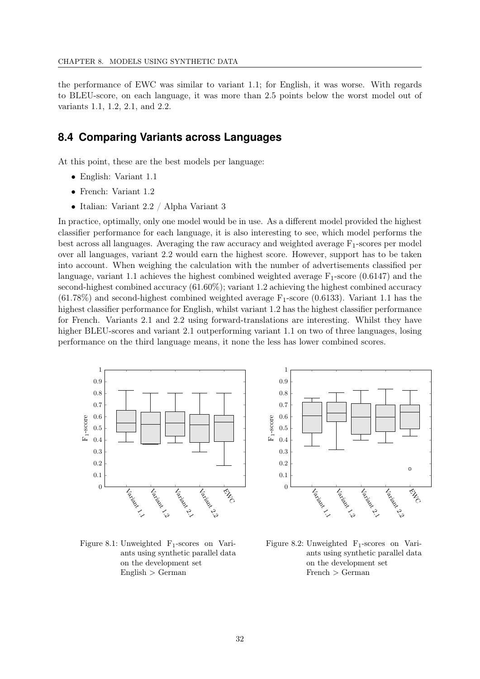the performance of EWC was similar to variant 1.1; for English, it was worse. With regards to BLEU-score, on each language, it was more than 2.5 points below the worst model out of variants 1.1, 1.2, 2.1, and 2.2.

### **8.4 Comparing Variants across Languages**

At this point, these are the best models per language:

- English: Variant 1.1
- French: Variant 1.2
- Italian: Variant 2.2 / Alpha Variant 3

In practice, optimally, only one model would be in use. As a different model provided the highest classifier performance for each language, it is also interesting to see, which model performs the best across all languages. Averaging the raw accuracy and weighted average  $F_1$ -scores per model over all languages, variant 2.2 would earn the highest score. However, support has to be taken into account. When weighing the calculation with the number of advertisements classified per language, variant 1.1 achieves the highest combined weighted average  $F_1$ -score (0.6147) and the second-highest combined accuracy (61.60%); variant 1.2 achieving the highest combined accuracy  $(61.78\%)$  and second-highest combined weighted average  $F_1$ -score  $(0.6133)$ . Variant 1.1 has the highest classifier performance for English, whilst variant 1.2 has the highest classifier performance for French. Variants 2.1 and 2.2 using forward-translations are interesting. Whilst they have higher BLEU-scores and variant 2.1 outperforming variant 1.1 on two of three languages, losing performance on the third language means, it none the less has lower combined scores.



Figure 8.1: Unweighted F1-scores on Variants using synthetic parallel data on the development set  $English > German$ 



Figure 8.2: Unweighted F<sub>1</sub>-scores on Variants using synthetic parallel data on the development set French > German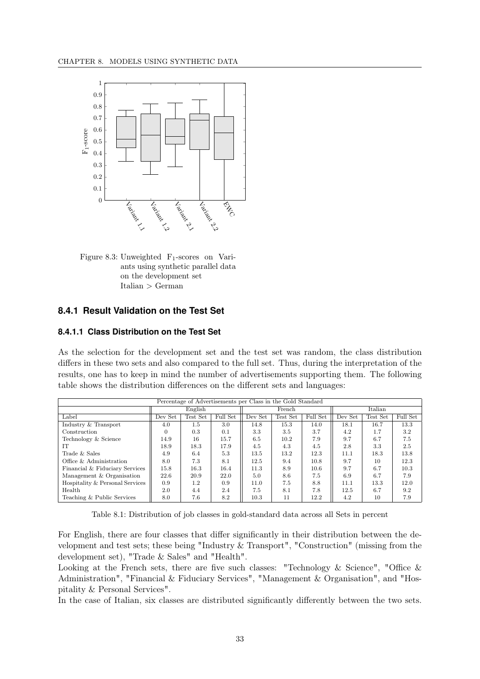

Figure 8.3: Unweighted  $F_1$ -scores on Variants using synthetic parallel data on the development set Italian > German

### **8.4.1 Result Validation on the Test Set**

### **8.4.1.1 Class Distribution on the Test Set**

As the selection for the development set and the test set was random, the class distribution differs in these two sets and also compared to the full set. Thus, during the interpretation of the results, one has to keep in mind the number of advertisements supporting them. The following table shows the distribution differences on the different sets and languages:

| Percentage of Advertisements per Class in the Gold Standard |          |          |          |         |          |          |         |          |          |
|-------------------------------------------------------------|----------|----------|----------|---------|----------|----------|---------|----------|----------|
|                                                             | English  |          |          |         | French   |          | Italian |          |          |
| Label                                                       | Dev Set  | Test Set | Full Set | Dev Set | Test Set | Full Set | Dev Set | Test Set | Full Set |
| Industry & Transport                                        | 4.0      | 1.5      | 3.0      | 14.8    | 15.3     | 14.0     | 18.1    | 16.7     | 13.3     |
| Construction                                                | $\Omega$ | 0.3      | 0.1      | 3.3     | 3.5      | 3.7      | 4.2     | 1.7      | 3.2      |
| Technology & Science                                        | 14.9     | 16       | 15.7     | 6.5     | 10.2     | 7.9      | 9.7     | 6.7      | 7.5      |
| IТ                                                          | 18.9     | 18.3     | 17.9     | 4.5     | 4.3      | 4.5      | 2.8     | 3.3      | 2.5      |
| Trade & Sales                                               | 4.9      | 6.4      | 5.3      | 13.5    | 13.2     | 12.3     | 11.1    | 18.3     | 13.8     |
| Office & Administration                                     | 8.0      | 7.3      | 8.1      | 12.5    | 9.4      | 10.8     | 9.7     | 10       | 12.3     |
| Financial & Fiduciary Services                              | 15.8     | 16.3     | 16.4     | 11.3    | 8.9      | 10.6     | 9.7     | 6.7      | 10.3     |
| Management & Organisation                                   | 22.6     | 20.9     | 22.0     | 5.0     | 8.6      | 7.5      | 6.9     | 6.7      | 7.9      |
| Hospitality & Personal Services                             | 0.9      | 1.2      | 0.9      | 11.0    | 7.5      | 8.8      | 11.1    | 13.3     | 12.0     |
| Health                                                      | 2.0      | 4.4      | 2.4      | 7.5     | 8.1      | 7.8      | 12.5    | 6.7      | 9.2      |
| Teaching & Public Services                                  | 8.0      | 7.6      | 8.2      | 10.3    | 11       | 12.2     | 4.2     | 10       | 7.9      |

Table 8.1: Distribution of job classes in gold-standard data across all Sets in percent

For English, there are four classes that differ significantly in their distribution between the development and test sets; these being "Industry & Transport", "Construction" (missing from the development set), "Trade & Sales" and "Health".

Looking at the French sets, there are five such classes: "Technology & Science", "Office  $\&$ Administration", "Financial & Fiduciary Services", "Management & Organisation", and "Hospitality & Personal Services".

In the case of Italian, six classes are distributed significantly differently between the two sets.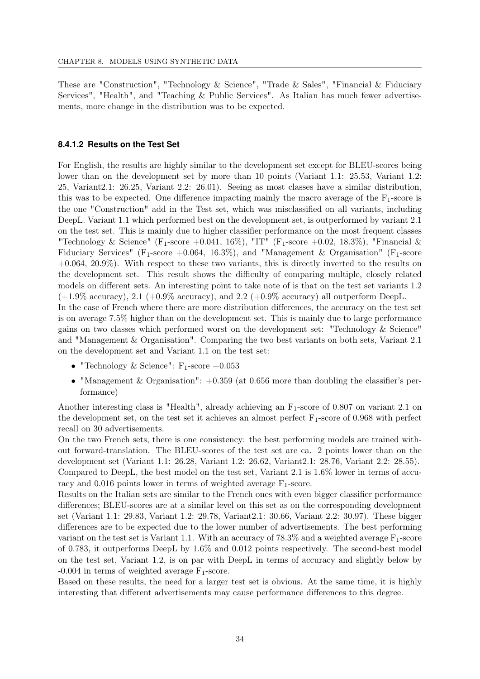These are "Construction", "Technology & Science", "Trade & Sales", "Financial & Fiduciary Services", "Health", and "Teaching & Public Services". As Italian has much fewer advertisements, more change in the distribution was to be expected.

### <span id="page-41-0"></span>**8.4.1.2 Results on the Test Set**

For English, the results are highly similar to the development set except for BLEU-scores being lower than on the development set by more than 10 points (Variant 1.1: 25.53, Variant 1.2: 25, Variant2.1: 26.25, Variant 2.2: 26.01). Seeing as most classes have a similar distribution, this was to be expected. One difference impacting mainly the macro average of the  $F_1$ -score is the one "Construction" add in the Test set, which was misclassified on all variants, including DeepL. Variant 1.1 which performed best on the development set, is outperformed by variant 2.1 on the test set. This is mainly due to higher classifier performance on the most frequent classes "Technology & Science" (F<sub>1</sub>-score +0.041, 16%), "IT" (F<sub>1</sub>-score +0.02, 18.3%), "Financial & Fiduciary Services" (F<sub>1</sub>-score +0.064, 16.3%), and "Management & Organisation" (F<sub>1</sub>-score  $+0.064, 20.9\%$ ). With respect to these two variants, this is directly inverted to the results on the development set. This result shows the difficulty of comparing multiple, closely related models on different sets. An interesting point to take note of is that on the test set variants 1.2  $(+1.9\% \text{ accuracy})$ , 2.1  $(+0.9\% \text{ accuracy})$ , and 2.2  $(+0.9\% \text{ accuracy})$  all outperform DeepL. In the case of French where there are more distribution differences, the accuracy on the test set

is on average 7.5% higher than on the development set. This is mainly due to large performance gains on two classes which performed worst on the development set: "Technology & Science" and "Management & Organisation". Comparing the two best variants on both sets, Variant 2.1 on the development set and Variant 1.1 on the test set:

- "Technology & Science":  $F_1$ -score  $+0.053$
- "Management & Organisation":  $+0.359$  (at 0.656 more than doubling the classifier's performance)

Another interesting class is "Health", already achieving an  $F_1$ -score of 0.807 on variant 2.1 on the development set, on the test set it achieves an almost perfect  $F_1$ -score of 0.968 with perfect recall on 30 advertisements.

On the two French sets, there is one consistency: the best performing models are trained without forward-translation. The BLEU-scores of the test set are ca. 2 points lower than on the development set (Variant 1.1: 26.28, Variant 1.2: 26.62, Variant2.1: 28.76, Variant 2.2: 28.55). Compared to DeepL, the best model on the test set, Variant 2.1 is 1.6% lower in terms of accuracy and 0.016 points lower in terms of weighted average  $F_1$ -score.

Results on the Italian sets are similar to the French ones with even bigger classifier performance differences; BLEU-scores are at a similar level on this set as on the corresponding development set (Variant 1.1: 29.83, Variant 1.2: 29.78, Variant2.1: 30.66, Variant 2.2: 30.97). These bigger differences are to be expected due to the lower number of advertisements. The best performing variant on the test set is Variant 1.1. With an accuracy of  $78.3\%$  and a weighted average  $F_1$ -score of 0.783, it outperforms DeepL by 1.6% and 0.012 points respectively. The second-best model on the test set, Variant 1.2, is on par with DeepL in terms of accuracy and slightly below by  $-0.004$  in terms of weighted average  $F_1$ -score.

Based on these results, the need for a larger test set is obvious. At the same time, it is highly interesting that different advertisements may cause performance differences to this degree.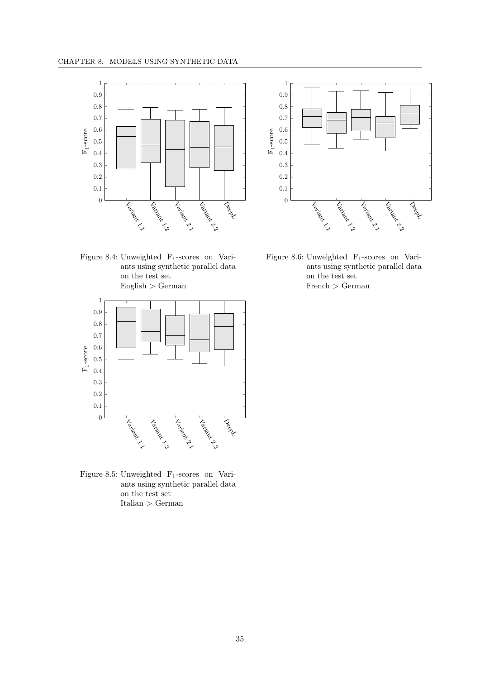



Figure 8.4: Unweighted  $F_1$ -scores on Variants using synthetic parallel data on the test set English > German



Figure 8.5: Unweighted  $F_1$ -scores on Variants using synthetic parallel data on the test set Italian > German

Figure 8.6: Unweighted  $F_1$ -scores on Variants using synthetic parallel data on the test set French > German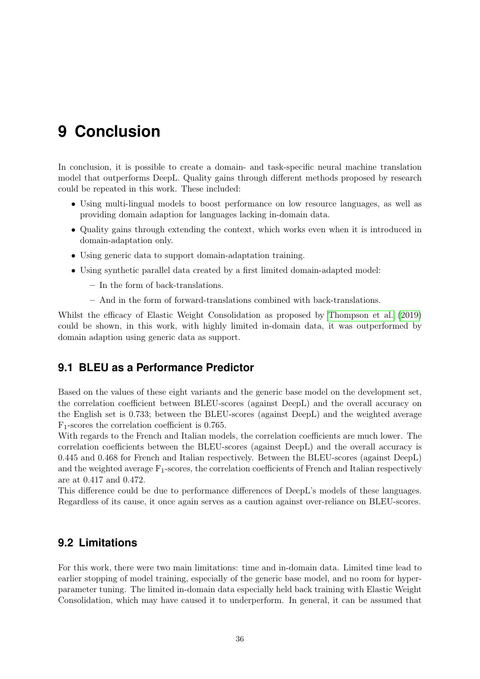# **9 Conclusion**

In conclusion, it is possible to create a domain- and task-specific neural machine translation model that outperforms DeepL. Quality gains through different methods proposed by research could be repeated in this work. These included:

- Using multi-lingual models to boost performance on low resource languages, as well as providing domain adaption for languages lacking in-domain data.
- Quality gains through extending the context, which works even when it is introduced in domain-adaptation only.
- Using generic data to support domain-adaptation training.
- Using synthetic parallel data created by a first limited domain-adapted model:
	- In the form of back-translations.
	- And in the form of forward-translations combined with back-translations.

Whilst the efficacy of Elastic Weight Consolidation as proposed by [Thompson et al.](#page-46-0) [\(2019\)](#page-46-0) could be shown, in this work, with highly limited in-domain data, it was outperformed by domain adaption using generic data as support.

## **9.1 BLEU as a Performance Predictor**

Based on the values of these eight variants and the generic base model on the development set, the correlation coefficient between BLEU-scores (against DeepL) and the overall accuracy on the English set is 0.733; between the BLEU-scores (against DeepL) and the weighted average F1-scores the correlation coefficient is 0.765.

With regards to the French and Italian models, the correlation coefficients are much lower. The correlation coefficients between the BLEU-scores (against DeepL) and the overall accuracy is 0.445 and 0.468 for French and Italian respectively. Between the BLEU-scores (against DeepL) and the weighted average  $F_1$ -scores, the correlation coefficients of French and Italian respectively are at 0.417 and 0.472.

This difference could be due to performance differences of DeepL's models of these languages. Regardless of its cause, it once again serves as a caution against over-reliance on BLEU-scores.

## **9.2 Limitations**

For this work, there were two main limitations: time and in-domain data. Limited time lead to earlier stopping of model training, especially of the generic base model, and no room for hyperparameter tuning. The limited in-domain data especially held back training with Elastic Weight Consolidation, which may have caused it to underperform. In general, it can be assumed that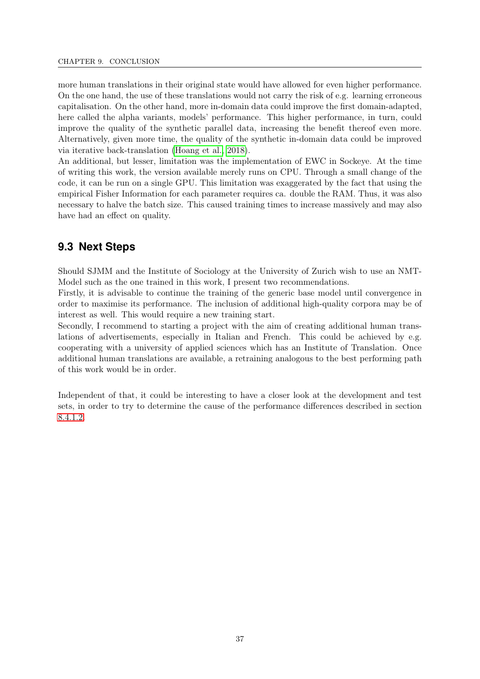more human translations in their original state would have allowed for even higher performance. On the one hand, the use of these translations would not carry the risk of e.g. learning erroneous capitalisation. On the other hand, more in-domain data could improve the first domain-adapted, here called the alpha variants, models' performance. This higher performance, in turn, could improve the quality of the synthetic parallel data, increasing the benefit thereof even more. Alternatively, given more time, the quality of the synthetic in-domain data could be improved via iterative back-translation [\(Hoang et al., 2018\)](#page-45-1).

An additional, but lesser, limitation was the implementation of EWC in Sockeye. At the time of writing this work, the version available merely runs on CPU. Through a small change of the code, it can be run on a single GPU. This limitation was exaggerated by the fact that using the empirical Fisher Information for each parameter requires ca. double the RAM. Thus, it was also necessary to halve the batch size. This caused training times to increase massively and may also have had an effect on quality.

## **9.3 Next Steps**

Should SJMM and the Institute of Sociology at the University of Zurich wish to use an NMT-Model such as the one trained in this work, I present two recommendations.

Firstly, it is advisable to continue the training of the generic base model until convergence in order to maximise its performance. The inclusion of additional high-quality corpora may be of interest as well. This would require a new training start.

Secondly, I recommend to starting a project with the aim of creating additional human translations of advertisements, especially in Italian and French. This could be achieved by e.g. cooperating with a university of applied sciences which has an Institute of Translation. Once additional human translations are available, a retraining analogous to the best performing path of this work would be in order.

Independent of that, it could be interesting to have a closer look at the development and test sets, in order to try to determine the cause of the performance differences described in section [8.4.1.2.](#page-41-0)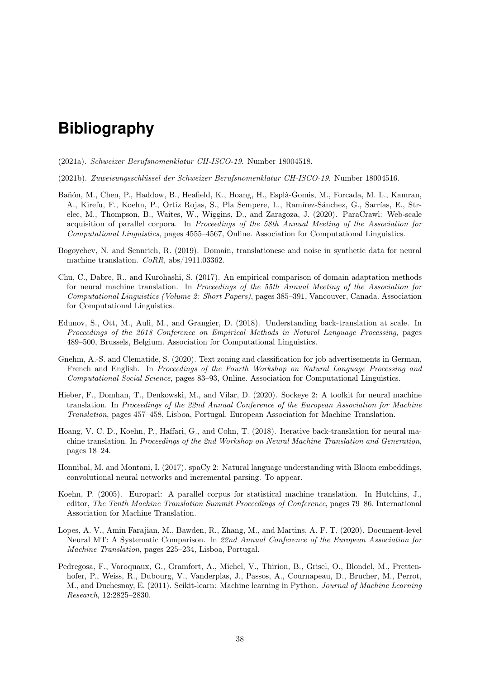# **Bibliography**

- (2021a). Schweizer Berufsnomenklatur CH-ISCO-19. Number 18004518.
- (2021b). Zuweisungsschlüssel der Schweizer Berufsnomenklatur CH-ISCO-19. Number 18004516.
- Bañón, M., Chen, P., Haddow, B., Heafield, K., Hoang, H., Esplà-Gomis, M., Forcada, M. L., Kamran, A., Kirefu, F., Koehn, P., Ortiz Rojas, S., Pla Sempere, L., Ramírez-Sánchez, G., Sarrías, E., Strelec, M., Thompson, B., Waites, W., Wiggins, D., and Zaragoza, J. (2020). ParaCrawl: Web-scale acquisition of parallel corpora. In Proceedings of the 58th Annual Meeting of the Association for Computational Linguistics, pages 4555–4567, Online. Association for Computational Linguistics.
- <span id="page-45-0"></span>Bogoychev, N. and Sennrich, R. (2019). Domain, translationese and noise in synthetic data for neural machine translation. CoRR, abs/1911.03362.
- Chu, C., Dabre, R., and Kurohashi, S. (2017). An empirical comparison of domain adaptation methods for neural machine translation. In Proceedings of the 55th Annual Meeting of the Association for Computational Linguistics (Volume 2: Short Papers), pages 385–391, Vancouver, Canada. Association for Computational Linguistics.
- Edunov, S., Ott, M., Auli, M., and Grangier, D. (2018). Understanding back-translation at scale. In Proceedings of the 2018 Conference on Empirical Methods in Natural Language Processing, pages 489–500, Brussels, Belgium. Association for Computational Linguistics.
- Gnehm, A.-S. and Clematide, S. (2020). Text zoning and classification for job advertisements in German, French and English. In Proceedings of the Fourth Workshop on Natural Language Processing and Computational Social Science, pages 83–93, Online. Association for Computational Linguistics.
- Hieber, F., Domhan, T., Denkowski, M., and Vilar, D. (2020). Sockeye 2: A toolkit for neural machine translation. In Proceedings of the 22nd Annual Conference of the European Association for Machine Translation, pages 457–458, Lisboa, Portugal. European Association for Machine Translation.
- <span id="page-45-1"></span>Hoang, V. C. D., Koehn, P., Haffari, G., and Cohn, T. (2018). Iterative back-translation for neural machine translation. In Proceedings of the 2nd Workshop on Neural Machine Translation and Generation, pages 18–24.
- Honnibal, M. and Montani, I. (2017). spaCy 2: Natural language understanding with Bloom embeddings, convolutional neural networks and incremental parsing. To appear.
- Koehn, P. (2005). Europarl: A parallel corpus for statistical machine translation. In Hutchins, J., editor, The Tenth Machine Translation Summit Proceedings of Conference, pages 79–86. International Association for Machine Translation.
- Lopes, A. V., Amin Farajian, M., Bawden, R., Zhang, M., and Martins, A. F. T. (2020). Document-level Neural MT: A Systematic Comparison. In 22nd Annual Conference of the European Association for Machine Translation, pages 225–234, Lisboa, Portugal.
- Pedregosa, F., Varoquaux, G., Gramfort, A., Michel, V., Thirion, B., Grisel, O., Blondel, M., Prettenhofer, P., Weiss, R., Dubourg, V., Vanderplas, J., Passos, A., Cournapeau, D., Brucher, M., Perrot, M., and Duchesnay, E. (2011). Scikit-learn: Machine learning in Python. Journal of Machine Learning Research, 12:2825–2830.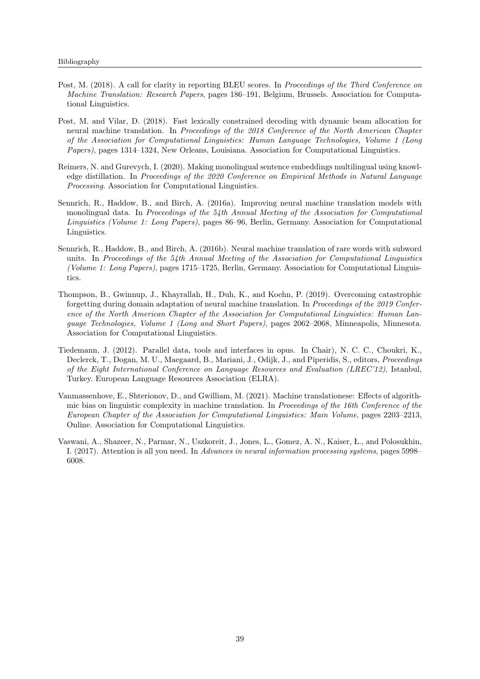- Post, M. (2018). A call for clarity in reporting BLEU scores. In Proceedings of the Third Conference on Machine Translation: Research Papers, pages 186–191, Belgium, Brussels. Association for Computational Linguistics.
- Post, M. and Vilar, D. (2018). Fast lexically constrained decoding with dynamic beam allocation for neural machine translation. In Proceedings of the 2018 Conference of the North American Chapter of the Association for Computational Linguistics: Human Language Technologies, Volume 1 (Long Papers), pages 1314–1324, New Orleans, Louisiana. Association for Computational Linguistics.
- Reimers, N. and Gurevych, I. (2020). Making monolingual sentence embeddings multilingual using knowledge distillation. In Proceedings of the 2020 Conference on Empirical Methods in Natural Language Processing. Association for Computational Linguistics.
- Sennrich, R., Haddow, B., and Birch, A. (2016a). Improving neural machine translation models with monolingual data. In Proceedings of the 54th Annual Meeting of the Association for Computational Linguistics (Volume 1: Long Papers), pages 86–96, Berlin, Germany. Association for Computational Linguistics.
- Sennrich, R., Haddow, B., and Birch, A. (2016b). Neural machine translation of rare words with subword units. In Proceedings of the  $54th$  Annual Meeting of the Association for Computational Linguistics (Volume 1: Long Papers), pages 1715–1725, Berlin, Germany. Association for Computational Linguistics.
- <span id="page-46-0"></span>Thompson, B., Gwinnup, J., Khayrallah, H., Duh, K., and Koehn, P. (2019). Overcoming catastrophic forgetting during domain adaptation of neural machine translation. In Proceedings of the 2019 Conference of the North American Chapter of the Association for Computational Linguistics: Human Language Technologies, Volume 1 (Long and Short Papers), pages 2062–2068, Minneapolis, Minnesota. Association for Computational Linguistics.
- Tiedemann, J. (2012). Parallel data, tools and interfaces in opus. In Chair), N. C. C., Choukri, K., Declerck, T., Dogan, M. U., Maegaard, B., Mariani, J., Odijk, J., and Piperidis, S., editors, Proceedings of the Eight International Conference on Language Resources and Evaluation (LREC'12), Istanbul, Turkey. European Language Resources Association (ELRA).
- Vanmassenhove, E., Shterionov, D., and Gwilliam, M. (2021). Machine translationese: Effects of algorithmic bias on linguistic complexity in machine translation. In Proceedings of the 16th Conference of the European Chapter of the Association for Computational Linguistics: Main Volume, pages 2203–2213, Online. Association for Computational Linguistics.
- Vaswani, A., Shazeer, N., Parmar, N., Uszkoreit, J., Jones, L., Gomez, A. N., Kaiser, Ł., and Polosukhin, I. (2017). Attention is all you need. In Advances in neural information processing systems, pages 5998– 6008.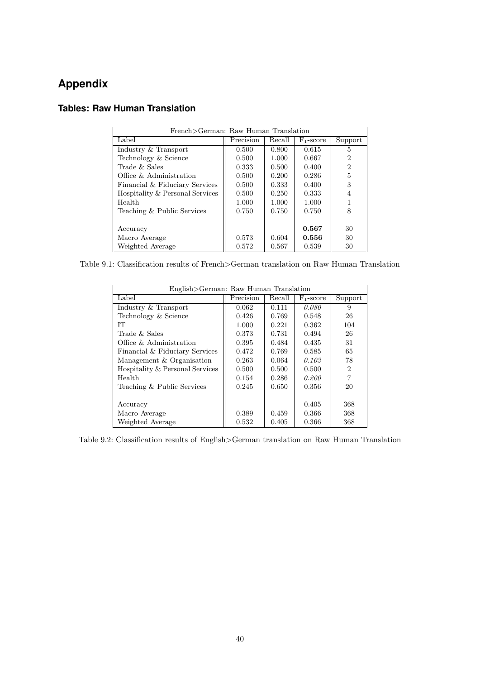| French>German: Raw Human Translation |           |        |              |                |  |
|--------------------------------------|-----------|--------|--------------|----------------|--|
| Label                                | Precision | Recall | $F_1$ -score | Support        |  |
| Industry & Transport                 | 0.500     | 0.800  | 0.615        | 5              |  |
| Technology & Science                 | 0.500     | 1.000  | 0.667        | 2              |  |
| Trade $&$ Sales                      | 0.333     | 0.500  | 0.400        | $\overline{2}$ |  |
| Office $\&$ Administration           | 0.500     | 0.200  | 0.286        | 5              |  |
| Financial & Fiduciary Services       | 0.500     | 0.333  | 0.400        | 3              |  |
| Hospitality & Personal Services      | 0.500     | 0.250  | 0.333        |                |  |
| Health                               | 1.000     | 1.000  | 1.000        |                |  |
| Teaching & Public Services           | 0.750     | 0.750  | 0.750        | 8              |  |
|                                      |           |        |              |                |  |
| Accuracy                             |           |        | 0.567        | 30             |  |
| Macro Average                        | 0.573     | 0.604  | 0.556        | 30             |  |
| Weighted Average                     | 0.572     | 0.567  | 0.539        | 30             |  |

## **Tables: Raw Human Translation**

Table 9.1: Classification results of French>German translation on Raw Human Translation

| English>German: Raw Human Translation |           |        |              |                             |  |
|---------------------------------------|-----------|--------|--------------|-----------------------------|--|
| Label                                 | Precision | Recall | $F_1$ -score | Support                     |  |
| Industry & Transport                  | 0.062     | 0.111  | 0.080        | 9                           |  |
| Technology & Science                  | 0.426     | 0.769  | 0.548        | 26                          |  |
| IТ                                    | 1.000     | 0.221  | 0.362        | 104                         |  |
| Trade & Sales                         | 0.373     | 0.731  | 0.494        | 26                          |  |
| Office $\&$ Administration            | 0.395     | 0.484  | 0.435        | 31                          |  |
| Financial & Fiduciary Services        | 0.472     | 0.769  | 0.585        | 65                          |  |
| Management & Organisation             | 0.263     | 0.064  | 0.103        | 78                          |  |
| Hospitality & Personal Services       | 0.500     | 0.500  | 0.500        | $\mathcal{D}_{\mathcal{L}}$ |  |
| Health                                | 0.154     | 0.286  | 0.200        | $\overline{7}$              |  |
| Teaching & Public Services            | 0.245     | 0.650  | 0.356        | 20                          |  |
|                                       |           |        |              |                             |  |
| Accuracy                              |           |        | 0.405        | 368                         |  |
| Macro Average                         | 0.389     | 0.459  | 0.366        | 368                         |  |
| Weighted Average                      | 0.532     | 0.405  | 0.366        | 368                         |  |

Table 9.2: Classification results of English>German translation on Raw Human Translation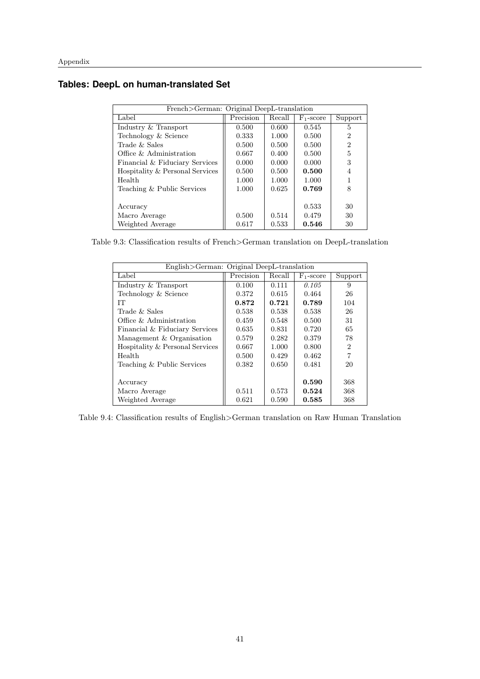### **Tables: DeepL on human-translated Set**

| French>German: Original DeepL-translation |           |        |              |                |  |
|-------------------------------------------|-----------|--------|--------------|----------------|--|
| Label                                     | Precision | Recall | $F_1$ -score | Support        |  |
| Industry & Transport                      | 0.500     | 0.600  | 0.545        | 5              |  |
| Technology & Science                      | 0.333     | 1.000  | 0.500        | $\overline{2}$ |  |
| Trade & Sales                             | 0.500     | 0.500  | 0.500        | 2              |  |
| Office & Administration                   | 0.667     | 0.400  | 0.500        | 5              |  |
| Financial & Fiduciary Services            | 0.000     | 0.000  | 0.000        | 3              |  |
| Hospitality & Personal Services           | 0.500     | 0.500  | 0.500        | 4              |  |
| Health                                    | 1.000     | 1.000  | 1.000        |                |  |
| Teaching & Public Services                | 1.000     | 0.625  | 0.769        | 8              |  |
|                                           |           |        |              |                |  |
| Accuracy                                  |           |        | 0.533        | 30             |  |
| Macro Average                             | 0.500     | 0.514  | 0.479        | 30             |  |
| Weighted Average                          | 0.617     | 0.533  | 0.546        | 30             |  |

Table 9.3: Classification results of French>German translation on DeepL-translation

| English>German: Original DeepL-translation |           |        |              |                             |  |
|--------------------------------------------|-----------|--------|--------------|-----------------------------|--|
| Label                                      | Precision | Recall | $F_1$ -score | Support                     |  |
| Industry & Transport                       | 0.100     | 0.111  | 0.105        | 9                           |  |
| Technology & Science                       | 0.372     | 0.615  | 0.464        | 26                          |  |
| IТ                                         | 0.872     | 0.721  | 0.789        | 104                         |  |
| Trade $&$ Sales                            | 0.538     | 0.538  | 0.538        | 26                          |  |
| Office & Administration                    | 0.459     | 0.548  | 0.500        | 31                          |  |
| Financial & Fiduciary Services             | 0.635     | 0.831  | 0.720        | 65                          |  |
| Management & Organisation                  | 0.579     | 0.282  | 0.379        | 78                          |  |
| Hospitality & Personal Services            | 0.667     | 1.000  | 0.800        | $\mathcal{D}_{\mathcal{L}}$ |  |
| Health                                     | 0.500     | 0.429  | 0.462        | $\overline{7}$              |  |
| Teaching & Public Services                 | 0.382     | 0.650  | 0.481        | 20                          |  |
|                                            |           |        |              |                             |  |
| Accuracy                                   |           |        | 0.590        | 368                         |  |
| Macro Average                              | 0.511     | 0.573  | 0.524        | 368                         |  |
| Weighted Average                           | 0.621     | 0.590  | 0.585        | 368                         |  |

Table 9.4: Classification results of English>German translation on Raw Human Translation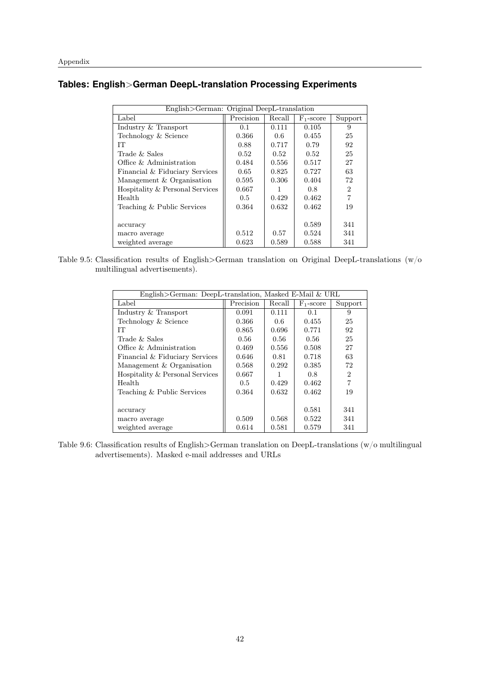## **Tables: English**>**German DeepL-translation Processing Experiments**

| English>German: Original DeepL-translation |               |        |              |                |  |
|--------------------------------------------|---------------|--------|--------------|----------------|--|
| Label                                      | Precision     | Recall | $F_1$ -score | Support        |  |
| Industry & Transport                       | 0.1           | 0.111  | 0.105        | 9              |  |
| Technology & Science                       | 0.366         | 0.6    | 0.455        | 25             |  |
| IТ                                         | 0.88          | 0.717  | 0.79         | 92             |  |
| Trade & Sales                              | 0.52          | 0.52   | 0.52         | 25             |  |
| Office & Administration                    | 0.484         | 0.556  | 0.517        | 27             |  |
| Financial & Fiduciary Services             | 0.65          | 0.825  | 0.727        | 63             |  |
| Management & Organisation                  | 0.595         | 0.306  | 0.404        | 72             |  |
| Hospitality & Personal Services            | 0.667         |        | 0.8          | $\overline{2}$ |  |
| Health                                     | $0.5^{\circ}$ | 0.429  | 0.462        | 7              |  |
| Teaching & Public Services                 | 0.364         | 0.632  | 0.462        | 19             |  |
|                                            |               |        |              |                |  |
| accuracy                                   |               |        | 0.589        | 341            |  |
| macro average                              | 0.512         | 0.57   | 0.524        | 341            |  |
| weighted average                           | 0.623         | 0.589  | 0.588        | 341            |  |

Table 9.5: Classification results of English>German translation on Original DeepL-translations (w/o multilingual advertisements).

| English>German: DeepL-translation, Masked E-Mail & URL |           |        |              |                |  |
|--------------------------------------------------------|-----------|--------|--------------|----------------|--|
| Label                                                  | Precision | Recall | $F_1$ -score | Support        |  |
| Industry & Transport                                   | 0.091     | 0.111  | 0.1          | 9              |  |
| Technology & Science                                   | 0.366     | 0.6    | 0.455        | 25             |  |
| IТ                                                     | 0.865     | 0.696  | 0.771        | 92             |  |
| Trade & Sales                                          | 0.56      | 0.56   | 0.56         | 25             |  |
| Office $\&$ Administration                             | 0.469     | 0.556  | 0.508        | 27             |  |
| Financial & Fiduciary Services                         | 0.646     | 0.81   | 0.718        | 63             |  |
| Management & Organisation                              | 0.568     | 0.292  | 0.385        | 72             |  |
| Hospitality & Personal Services                        | 0.667     |        | 0.8          | $\overline{2}$ |  |
| Health                                                 | 0.5       | 0.429  | 0.462        | $\overline{7}$ |  |
| Teaching & Public Services                             | 0.364     | 0.632  | 0.462        | 19             |  |
|                                                        |           |        |              |                |  |
| accuracy                                               |           |        | 0.581        | 341            |  |
| macro average                                          | 0.509     | 0.568  | 0.522        | 341            |  |
| weighted average                                       | 0.614     | 0.581  | 0.579        | 341            |  |

Table 9.6: Classification results of English>German translation on DeepL-translations (w/o multilingual advertisements). Masked e-mail addresses and URLs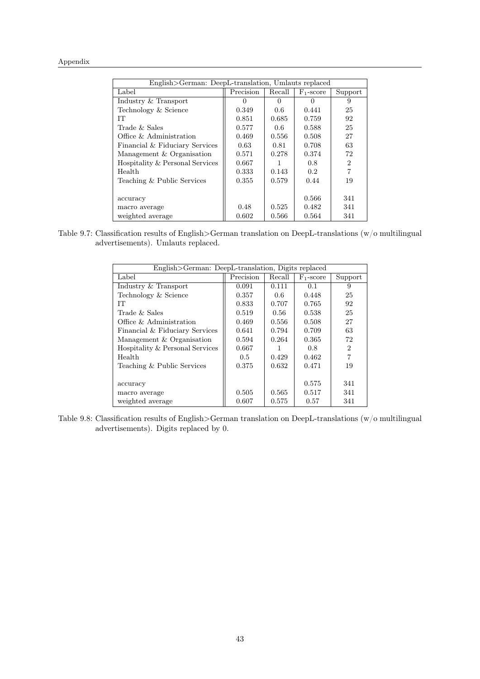| English>German: DeepL-translation, Umlauts replaced |           |        |                  |                |  |
|-----------------------------------------------------|-----------|--------|------------------|----------------|--|
| Label                                               | Precision | Recall | $F_1$ -score     | Support        |  |
| Industry & Transport                                | 0         | ∩      | $\left( \right)$ | 9              |  |
| Technology & Science                                | 0.349     | 0.6    | 0.441            | 25             |  |
| IТ                                                  | 0.851     | 0.685  | 0.759            | 92             |  |
| Trade $&$ Sales                                     | 0.577     | 0.6    | 0.588            | 25             |  |
| Office & Administration                             | 0.469     | 0.556  | 0.508            | 27             |  |
| Financial & Fiduciary Services                      | 0.63      | 0.81   | 0.708            | 63             |  |
| Management & Organisation                           | 0.571     | 0.278  | 0.374            | 72             |  |
| Hospitality & Personal Services                     | 0.667     |        | 0.8              | $\overline{2}$ |  |
| Health                                              | 0.333     | 0.143  | 0.2 <sub>1</sub> | $\overline{7}$ |  |
| Teaching & Public Services                          | 0.355     | 0.579  | 0.44             | 19             |  |
|                                                     |           |        |                  |                |  |
| accuracy                                            |           |        | 0.566            | 341            |  |
| macro average                                       | 0.48      | 0.525  | 0.482            | 341            |  |
| weighted average                                    | 0.602     | 0.566  | 0.564            | 341            |  |

Table 9.7: Classification results of English>German translation on DeepL-translations (w/o multilingual advertisements). Umlauts replaced.

| English>German: DeepL-translation, Digits replaced |           |        |              |                |  |
|----------------------------------------------------|-----------|--------|--------------|----------------|--|
| Label                                              | Precision | Recall | $F_1$ -score | Support        |  |
| Industry & Transport                               | 0.091     | 0.111  | 0.1          | 9              |  |
| Technology & Science                               | 0.357     | 0.6    | 0.448        | 25             |  |
| IТ                                                 | 0.833     | 0.707  | 0.765        | 92             |  |
| Trade & Sales                                      | 0.519     | 0.56   | 0.538        | 25             |  |
| Office $\&$ Administration                         | 0.469     | 0.556  | 0.508        | 27             |  |
| Financial & Fiduciary Services                     | 0.641     | 0.794  | 0.709        | 63             |  |
| Management & Organisation                          | 0.594     | 0.264  | 0.365        | 72             |  |
| Hospitality & Personal Services                    | 0.667     |        | 0.8          | 2              |  |
| Health                                             | 0.5       | 0.429  | 0.462        | $\overline{7}$ |  |
| Teaching & Public Services                         | 0.375     | 0.632  | 0.471        | 19             |  |
|                                                    |           |        |              |                |  |
| accuracy                                           |           |        | 0.575        | 341            |  |
| macro average                                      | 0.505     | 0.565  | 0.517        | 341            |  |
| weighted average                                   | 0.607     | 0.575  | 0.57         | 341            |  |

Table 9.8: Classification results of English>German translation on DeepL-translations (w/o multilingual advertisements). Digits replaced by 0.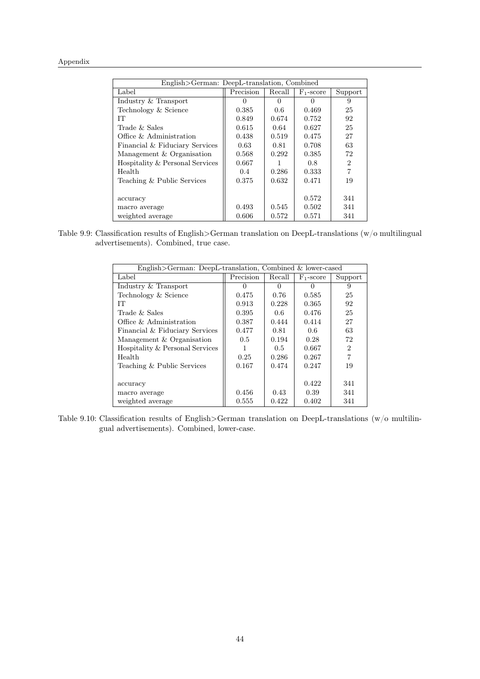| English>German: DeepL-translation, Combined |               |              |              |                |  |
|---------------------------------------------|---------------|--------------|--------------|----------------|--|
| Label                                       | Precision     | Recall       | $F_1$ -score | Support        |  |
| Industry & Transport                        | 0             | $\mathbf{0}$ |              | 9              |  |
| Technology & Science                        | 0.385         | 0.6          | 0.469        | 25             |  |
| IТ                                          | 0.849         | 0.674        | 0.752        | 92             |  |
| Trade & Sales                               | 0.615         | 0.64         | 0.627        | 25             |  |
| Office & Administration                     | 0.438         | 0.519        | 0.475        | 27             |  |
| Financial & Fiduciary Services              | 0.63          | 0.81         | 0.708        | 63             |  |
| Management & Organisation                   | 0.568         | 0.292        | 0.385        | 72             |  |
| Hospitality & Personal Services             | 0.667         |              | 0.8          | 2              |  |
| Health                                      | $0.4^{\circ}$ | 0.286        | 0.333        | $\overline{7}$ |  |
| Teaching & Public Services                  | 0.375         | 0.632        | 0.471        | 19             |  |
|                                             |               |              |              |                |  |
| accuracy                                    |               |              | 0.572        | 341            |  |
| macro average                               | 0.493         | 0.545        | 0.502        | 341            |  |
| weighted average                            | 0.606         | 0.572        | 0.571        | 341            |  |

Table 9.9: Classification results of English>German translation on DeepL-translations (w/o multilingual advertisements). Combined, true case.

| English>German: DeepL-translation, Combined & lower-cased |           |              |              |                |  |
|-----------------------------------------------------------|-----------|--------------|--------------|----------------|--|
| Label                                                     | Precision | Recall       | $F_1$ -score | Support        |  |
| Industry & Transport                                      |           | $\mathbf{0}$ |              | 9              |  |
| Technology & Science                                      | 0.475     | 0.76         | 0.585        | 25             |  |
| IТ                                                        | 0.913     | 0.228        | 0.365        | 92             |  |
| Trade $&$ Sales                                           | 0.395     | 0.6          | 0.476        | 25             |  |
| Office & Administration                                   | 0.387     | 0.444        | 0.414        | 27             |  |
| Financial & Fiduciary Services                            | 0.477     | 0.81         | 0.6          | 63             |  |
| Management & Organisation                                 | 0.5       | 0.194        | 0.28         | 72             |  |
| Hospitality & Personal Services                           |           | 0.5          | 0.667        | 2              |  |
| Health                                                    | 0.25      | 0.286        | 0.267        | $\overline{7}$ |  |
| Teaching & Public Services                                | 0.167     | 0.474        | 0.247        | 19             |  |
|                                                           |           |              |              |                |  |
| accuracy                                                  |           |              | 0.422        | 341            |  |
| macro average                                             | 0.456     | 0.43         | 0.39         | 341            |  |
| weighted average                                          | 0.555     | 0.422        | 0.402        | 341            |  |

Table 9.10: Classification results of English>German translation on DeepL-translations (w/o multilingual advertisements). Combined, lower-case.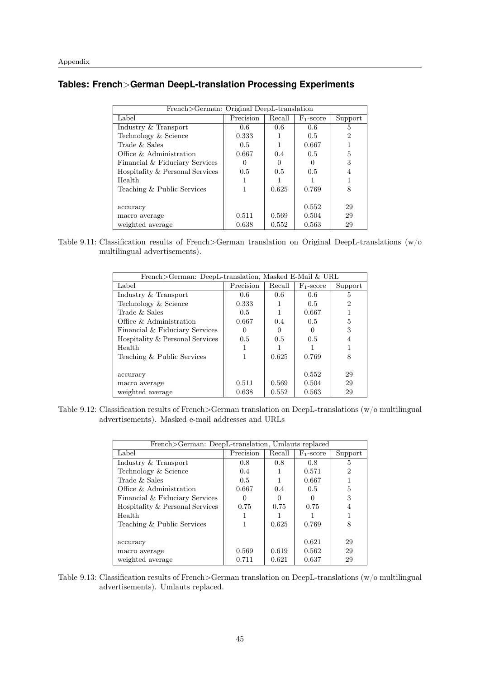## **Tables: French**>**German DeepL-translation Processing Experiments**

| French>German: Original DeepL-translation |               |        |              |         |  |
|-------------------------------------------|---------------|--------|--------------|---------|--|
| Label                                     | Precision     | Recall | $F_1$ -score | Support |  |
| Industry & Transport                      | 0.6           | 0.6    | 0.6          | 5       |  |
| Technology & Science                      | 0.333         |        | 0.5          | 2       |  |
| Trade & Sales                             | $0.5^{\circ}$ |        | 0.667        |         |  |
| Office $\&$ Administration                | 0.667         | 0.4    | 0.5          | 5       |  |
| Financial & Fiduciary Services            |               |        |              | 3       |  |
| Hospitality & Personal Services           | $0.5^{\circ}$ | 0.5    | 0.5          | 4       |  |
| Health                                    |               |        |              |         |  |
| Teaching & Public Services                |               | 0.625  | 0.769        | 8       |  |
|                                           |               |        |              |         |  |
| accuracy                                  |               |        | 0.552        | 29      |  |
| macro average                             | 0.511         | 0.569  | 0.504        | 29      |  |
| weighted average                          | 0.638         | 0.552  | 0.563        | 29      |  |

Table 9.11: Classification results of French>German translation on Original DeepL-translations (w/o multilingual advertisements).

| French>German: DeepL-translation, Masked E-Mail & URL |           |        |              |         |
|-------------------------------------------------------|-----------|--------|--------------|---------|
| Label                                                 | Precision | Recall | $F_1$ -score | Support |
| Industry & Transport                                  | 0.6       | 0.6    | 0.6          | 5       |
| Technology & Science                                  | 0.333     |        | 0.5          | 2       |
| Trade $&$ Sales                                       | 0.5       |        | 0.667        |         |
| Office & Administration                               | 0.667     | 0.4    | 0.5          | 5       |
| Financial & Fiduciary Services                        |           |        |              | 3       |
| Hospitality & Personal Services                       | 0.5       | 0.5    | 0.5          |         |
| Health                                                |           |        |              |         |
| Teaching & Public Services                            |           | 0.625  | 0.769        | 8       |
|                                                       |           |        |              |         |
| accuracy                                              |           |        | 0.552        | 29      |
| macro average                                         | 0.511     | 0.569  | 0.504        | 29      |
| weighted average                                      | 0.638     | 0.552  | 0.563        | 29      |

Table 9.12: Classification results of French>German translation on DeepL-translations (w/o multilingual advertisements). Masked e-mail addresses and URLs

| French>German: DeepL-translation, Umlauts replaced |           |        |              |         |
|----------------------------------------------------|-----------|--------|--------------|---------|
| Label                                              | Precision | Recall | $F_1$ -score | Support |
| Industry & Transport                               | 0.8       | 0.8    | 0.8          | 5       |
| Technology & Science                               | 0.4       |        | 0.571        | 2       |
| Trade & Sales                                      | 0.5       |        | 0.667        |         |
| Office $\&$ Administration                         | 0.667     | 0.4    | 0.5          | 5       |
| Financial & Fiduciary Services                     |           |        |              | 3       |
| Hospitality & Personal Services                    | 0.75      | 0.75   | 0.75         |         |
| Health                                             |           |        |              |         |
| Teaching & Public Services                         |           | 0.625  | 0.769        |         |
|                                                    |           |        |              |         |
| accuracy                                           |           |        | 0.621        | 29      |
| macro average                                      | 0.569     | 0.619  | 0.562        | 29      |
| weighted average                                   | 0.711     | 0.621  | 0.637        | 29      |

Table 9.13: Classification results of French>German translation on DeepL-translations (w/o multilingual advertisements). Umlauts replaced.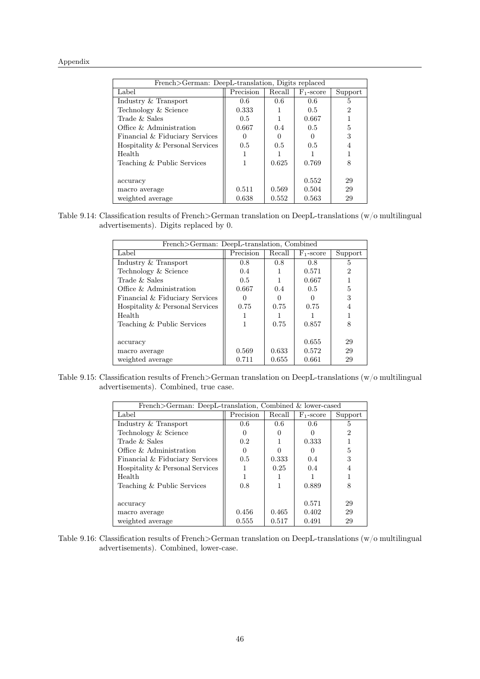| French>German: DeepL-translation, Digits replaced |           |        |              |         |  |
|---------------------------------------------------|-----------|--------|--------------|---------|--|
| Label                                             | Precision | Recall | $F_1$ -score | Support |  |
| Industry & Transport                              | 0.6       | 0.6    | 0.6          | 5       |  |
| Technology & Science                              | 0.333     |        | 0.5          | 2       |  |
| Trade $&$ Sales                                   | 0.5       |        | 0.667        |         |  |
| Office $\&$ Administration                        | 0.667     | 0.4    | 0.5          | 5       |  |
| Financial & Fiduciary Services                    |           |        |              | 3       |  |
| Hospitality & Personal Services                   | 0.5       | 0.5    | 0.5          |         |  |
| Health                                            |           |        |              |         |  |
| Teaching & Public Services                        | 1         | 0.625  | 0.769        | 8       |  |
|                                                   |           |        |              |         |  |
| accuracy                                          |           |        | 0.552        | 29      |  |
| macro average                                     | 0.511     | 0.569  | 0.504        | 29      |  |
| weighted average                                  | 0.638     | 0.552  | 0.563        | 29      |  |

Table 9.14: Classification results of French>German translation on DeepL-translations (w/o multilingual advertisements). Digits replaced by 0.

| French>German: DeepL-translation, Combined |           |        |              |         |
|--------------------------------------------|-----------|--------|--------------|---------|
| Label                                      | Precision | Recall | $F_1$ -score | Support |
| Industry & Transport                       | 0.8       | 0.8    | 0.8          | 5       |
| Technology & Science                       | 0.4       |        | 0.571        | 2       |
| Trade & Sales                              | 0.5       |        | 0.667        |         |
| Office $\&$ Administration                 | 0.667     | 0.4    | 0.5          | 5       |
| Financial & Fiduciary Services             |           |        |              | 3       |
| Hospitality & Personal Services            | 0.75      | 0.75   | 0.75         |         |
| Health                                     |           |        |              |         |
| Teaching & Public Services                 |           | 0.75   | 0.857        | 8       |
|                                            |           |        |              |         |
| accuracy                                   |           |        | 0.655        | 29      |
| macro average                              | 0.569     | 0.633  | 0.572        | 29      |
| weighted average                           | 0.711     | 0.655  | 0.661        | 29      |

Table 9.15: Classification results of French>German translation on DeepL-translations (w/o multilingual advertisements). Combined, true case.

| French>German: DeepL-translation, Combined & lower-cased |           |        |              |         |
|----------------------------------------------------------|-----------|--------|--------------|---------|
| Label                                                    | Precision | Recall | $F_1$ -score | Support |
| Industry & Transport                                     | 0.6       | 0.6    | 0.6          | 5       |
| Technology & Science                                     |           |        |              | 2       |
| Trade & Sales                                            | 0.2       |        | 0.333        |         |
| Office & Administration                                  |           |        |              | 5       |
| Financial & Fiduciary Services                           | 0.5       | 0.333  | 0.4          | 3       |
| Hospitality & Personal Services                          |           | 0.25   | 0.4          |         |
| Health                                                   |           |        |              |         |
| Teaching & Public Services                               | 0.8       |        | 0.889        | 8       |
|                                                          |           |        |              |         |
| accuracy                                                 |           |        | 0.571        | 29      |
| macro average                                            | 0.456     | 0.465  | 0.402        | 29      |
| weighted average                                         | 0.555     | 0.517  | 0.491        | 29      |

Table 9.16: Classification results of French>German translation on DeepL-translations (w/o multilingual advertisements). Combined, lower-case.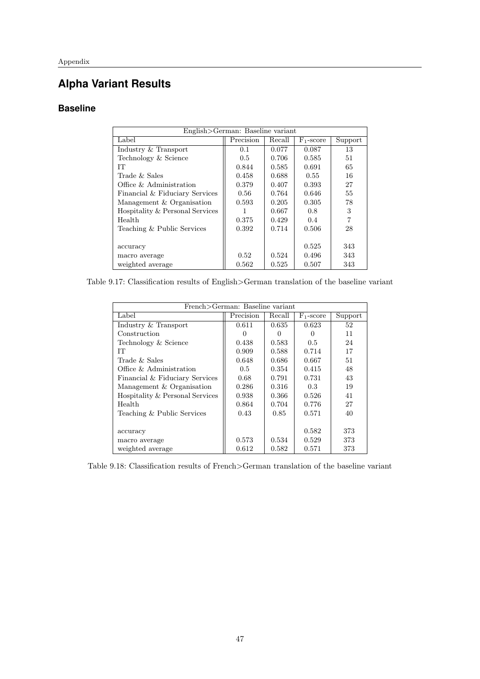## **Alpha Variant Results**

## **Baseline**

| English>German: Baseline variant |           |        |              |         |
|----------------------------------|-----------|--------|--------------|---------|
| Label                            | Precision | Recall | $F_1$ -score | Support |
| Industry & Transport             | 0.1       | 0.077  | 0.087        | 13      |
| Technology & Science             | 0.5       | 0.706  | 0.585        | 51      |
| IТ                               | 0.844     | 0.585  | 0.691        | 65      |
| Trade $&$ Sales                  | 0.458     | 0.688  | 0.55         | 16      |
| Office & Administration          | 0.379     | 0.407  | 0.393        | 27      |
| Financial & Fiduciary Services   | 0.56      | 0.764  | 0.646        | 55      |
| Management & Organisation        | 0.593     | 0.205  | 0.305        | 78      |
| Hospitality & Personal Services  |           | 0.667  | 0.8          | 3       |
| Health                           | 0.375     | 0.429  | 0.4          | 7       |
| Teaching & Public Services       | 0.392     | 0.714  | 0.506        | 28      |
|                                  |           |        |              |         |
| accuracy                         |           |        | 0.525        | 343     |
| macro average                    | 0.52      | 0.524  | 0.496        | 343     |
| weighted average                 | 0.562     | 0.525  | 0.507        | 343     |

Table 9.17: Classification results of English>German translation of the baseline variant

| French>German: Baseline variant |               |              |                       |         |
|---------------------------------|---------------|--------------|-----------------------|---------|
|                                 |               |              |                       |         |
| Label                           | Precision     | Recall       | F <sub>1</sub> -score | Support |
| Industry & Transport            | 0.611         | 0.635        | 0.623                 | 52      |
| Construction                    | 0             | $\mathbf{0}$ | $\left( \right)$      | 11      |
| Technology & Science            | 0.438         | 0.583        | 0.5                   | 24      |
| TТ                              | 0.909         | 0.588        | 0.714                 | 17      |
| Trade $&$ Sales                 | 0.648         | 0.686        | 0.667                 | 51      |
| Office & Administration         | $0.5^{\circ}$ | 0.354        | 0.415                 | 48      |
| Financial & Fiduciary Services  | 0.68          | 0.791        | 0.731                 | 43      |
| Management & Organisation       | 0.286         | 0.316        | 0.3                   | 19      |
| Hospitality & Personal Services | 0.938         | 0.366        | 0.526                 | 41      |
| Health                          | 0.864         | 0.704        | 0.776                 | 27      |
| Teaching & Public Services      | 0.43          | 0.85         | 0.571                 | 40      |
|                                 |               |              |                       |         |
| accuracy                        |               |              | 0.582                 | 373     |
| macro average                   | 0.573         | 0.534        | 0.529                 | 373     |
| weighted average                | 0.612         | 0.582        | 0.571                 | 373     |

Table 9.18: Classification results of French>German translation of the baseline variant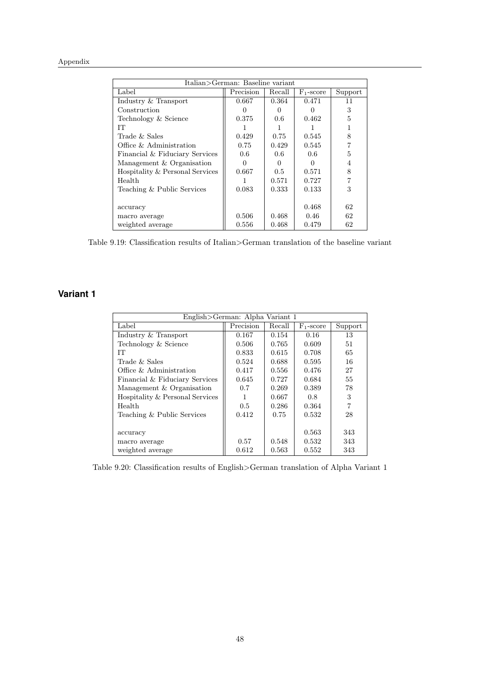| Italian>German: Baseline variant |           |              |              |         |
|----------------------------------|-----------|--------------|--------------|---------|
| Label                            | Precision | Recall       | $F_1$ -score | Support |
| Industry & Transport             | 0.667     | 0.364        | 0.471        | 11      |
| Construction                     |           | $\mathbf{0}$ |              | 3       |
| Technology & Science             | 0.375     | 0.6          | 0.462        | 5       |
| TТ                               |           |              |              |         |
| Trade & Sales                    | 0.429     | 0.75         | 0.545        | 8       |
| Office & Administration          | 0.75      | 0.429        | 0.545        |         |
| Financial & Fiduciary Services   | 0.6       | 0.6          | 0.6          | 5       |
| Management & Organisation        | 0         | 0            | $\mathbf{0}$ | 4       |
| Hospitality & Personal Services  | 0.667     | 0.5          | 0.571        | 8       |
| Health                           |           | 0.571        | 0.727        |         |
| Teaching & Public Services       | 0.083     | 0.333        | 0.133        | 3       |
|                                  |           |              |              |         |
| accuracy                         |           |              | 0.468        | 62      |
| macro average                    | 0.506     | 0.468        | 0.46         | 62      |
| weighted average                 | 0.556     | 0.468        | 0.479        | 62      |

Table 9.19: Classification results of Italian>German translation of the baseline variant

## **Variant 1**

| English>German: Alpha Variant 1 |               |        |              |         |
|---------------------------------|---------------|--------|--------------|---------|
| Label                           | Precision     | Recall | $F_1$ -score | Support |
| Industry & Transport            | 0.167         | 0.154  | 0.16         | 13      |
| Technology & Science            | 0.506         | 0.765  | 0.609        | 51      |
| IТ                              | 0.833         | 0.615  | 0.708        | 65      |
| Trade & Sales                   | 0.524         | 0.688  | 0.595        | 16      |
| Office $\&$ Administration      | 0.417         | 0.556  | 0.476        | 27      |
| Financial & Fiduciary Services  | 0.645         | 0.727  | 0.684        | 55      |
| Management & Organisation       | 0.7           | 0.269  | 0.389        | 78      |
| Hospitality & Personal Services | 1             | 0.667  | 0.8          | 3       |
| Health                          | $0.5^{\circ}$ | 0.286  | 0.364        | 7       |
| Teaching & Public Services      | 0.412         | 0.75   | 0.532        | 28      |
|                                 |               |        |              |         |
| accuracy                        |               |        | 0.563        | 343     |
| macro average                   | 0.57          | 0.548  | 0.532        | 343     |
| weighted average                | 0.612         | 0.563  | 0.552        | 343     |

Table 9.20: Classification results of English>German translation of Alpha Variant 1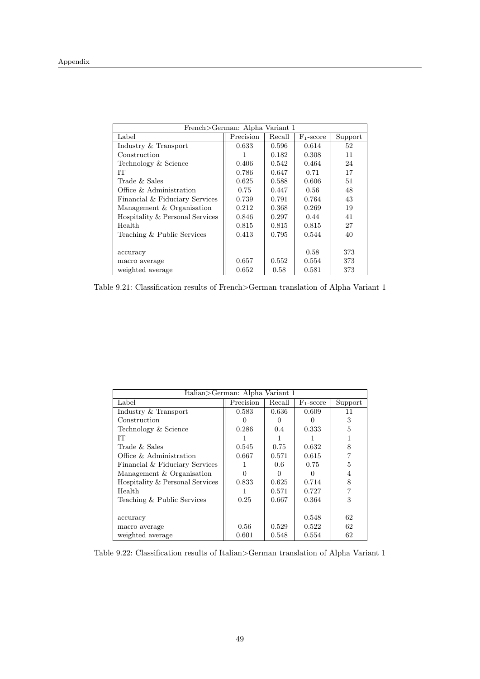| French>German: Alpha Variant 1  |           |        |                       |         |
|---------------------------------|-----------|--------|-----------------------|---------|
| Label                           | Precision | Recall | F <sub>1</sub> -score | Support |
| Industry & Transport            | 0.633     | 0.596  | 0.614                 | 52      |
| Construction                    | 1         | 0.182  | 0.308                 | 11      |
| Technology & Science            | 0.406     | 0.542  | 0.464                 | 24      |
| IТ                              | 0.786     | 0.647  | 0.71                  | 17      |
| Trade & Sales                   | 0.625     | 0.588  | 0.606                 | 51      |
| Office & Administration         | 0.75      | 0.447  | 0.56                  | 48      |
| Financial & Fiduciary Services  | 0.739     | 0.791  | 0.764                 | 43      |
| Management & Organisation       | 0.212     | 0.368  | 0.269                 | 19      |
| Hospitality & Personal Services | 0.846     | 0.297  | 0.44                  | 41      |
| Health                          | 0.815     | 0.815  | 0.815                 | 27      |
| Teaching & Public Services      | 0.413     | 0.795  | 0.544                 | 40      |
|                                 |           |        |                       |         |
| accuracy                        |           |        | 0.58                  | 373     |
| macro average                   | 0.657     | 0.552  | 0.554                 | 373     |
| weighted average                | 0.652     | 0.58   | 0.581                 | 373     |

Table 9.21: Classification results of French>German translation of Alpha Variant 1

|                                 | Italian>German: Alpha Variant 1 |               |              |         |  |
|---------------------------------|---------------------------------|---------------|--------------|---------|--|
| Label                           | Precision                       | Recall        | $F_1$ -score | Support |  |
| Industry & Transport            | 0.583                           | 0.636         | 0.609        | 11      |  |
| Construction                    |                                 | $\mathbf{0}$  |              | 3       |  |
| Technology & Science            | 0.286                           | $0.4^{\circ}$ | 0.333        | 5       |  |
| IТ                              |                                 |               |              |         |  |
| Trade & Sales                   | 0.545                           | 0.75          | 0.632        | 8       |  |
| Office & Administration         | 0.667                           | 0.571         | 0.615        |         |  |
| Financial & Fiduciary Services  |                                 | 0.6           | 0.75         | 5       |  |
| Management & Organisation       |                                 |               |              |         |  |
| Hospitality & Personal Services | 0.833                           | 0.625         | 0.714        | 8       |  |
| Health                          |                                 | 0.571         | 0.727        |         |  |
| Teaching & Public Services      | 0.25                            | 0.667         | 0.364        | 3       |  |
|                                 |                                 |               |              |         |  |
| accuracy                        |                                 |               | 0.548        | 62      |  |
| macro average                   | 0.56                            | 0.529         | 0.522        | 62      |  |
| weighted average                | 0.601                           | 0.548         | 0.554        | 62      |  |

Table 9.22: Classification results of Italian>German translation of Alpha Variant 1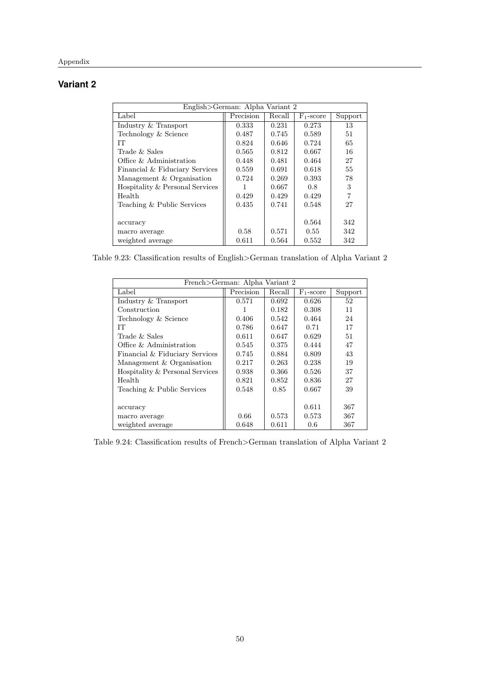## **Variant 2**

| English>German: Alpha Variant 2 |           |        |              |         |
|---------------------------------|-----------|--------|--------------|---------|
| Label                           | Precision | Recall | $F_1$ -score | Support |
| Industry & Transport            | 0.333     | 0.231  | 0.273        | 13      |
| Technology & Science            | 0.487     | 0.745  | 0.589        | 51      |
| IТ                              | 0.824     | 0.646  | 0.724        | 65      |
| Trade $&$ Sales                 | 0.565     | 0.812  | 0.667        | 16      |
| Office $\&$ Administration      | 0.448     | 0.481  | 0.464        | 27      |
| Financial & Fiduciary Services  | 0.559     | 0.691  | 0.618        | 55      |
| Management & Organisation       | 0.724     | 0.269  | 0.393        | 78      |
| Hospitality & Personal Services |           | 0.667  | 0.8          | 3       |
| Health                          | 0.429     | 0.429  | 0.429        | 7       |
| Teaching & Public Services      | 0.435     | 0.741  | 0.548        | 27      |
|                                 |           |        |              |         |
| accuracy                        |           |        | 0.564        | 342     |
| macro average                   | 0.58      | 0.571  | 0.55         | 342     |
| weighted average                | 0.611     | 0.564  | 0.552        | 342     |

Table 9.23: Classification results of English>German translation of Alpha Variant 2

| French>German: Alpha Variant 2  |           |        |              |         |
|---------------------------------|-----------|--------|--------------|---------|
| Label                           | Precision | Recall | $F_1$ -score | Support |
| Industry & Transport            | 0.571     | 0.692  | 0.626        | 52      |
| Construction                    |           | 0.182  | 0.308        | 11      |
| Technology & Science            | 0.406     | 0.542  | 0.464        | 24      |
| IТ                              | 0.786     | 0.647  | 0.71         | 17      |
| Trade & Sales                   | 0.611     | 0.647  | 0.629        | 51      |
| Office & Administration         | 0.545     | 0.375  | 0.444        | 47      |
| Financial & Fiduciary Services  | 0.745     | 0.884  | 0.809        | 43      |
| Management & Organisation       | 0.217     | 0.263  | 0.238        | 19      |
| Hospitality & Personal Services | 0.938     | 0.366  | 0.526        | 37      |
| Health                          | 0.821     | 0.852  | 0.836        | 27      |
| Teaching & Public Services      | 0.548     | 0.85   | 0.667        | 39      |
|                                 |           |        |              |         |
| accuracy                        |           |        | 0.611        | 367     |
| macro average                   | 0.66      | 0.573  | 0.573        | 367     |
| weighted average                | 0.648     | 0.611  | 0.6          | 367     |

Table 9.24: Classification results of French>German translation of Alpha Variant 2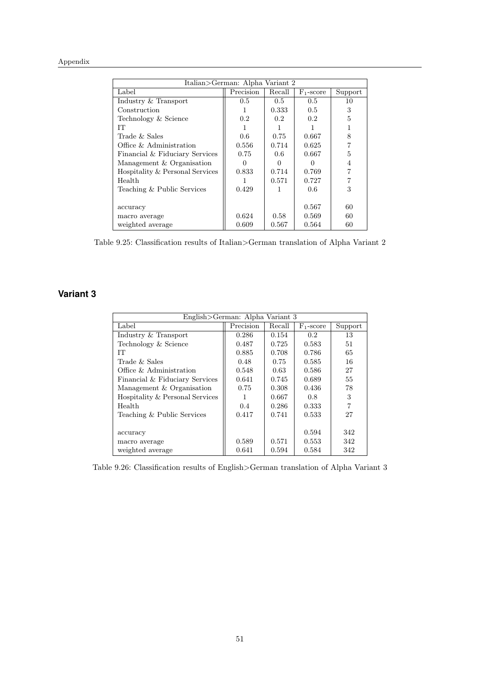| Italian>German: Alpha Variant 2 |           |        |              |         |
|---------------------------------|-----------|--------|--------------|---------|
| Label                           | Precision | Recall | $F_1$ -score | Support |
| Industry & Transport            | 0.5       | 0.5    | 0.5          | 10      |
| Construction                    | 1         | 0.333  | 0.5          | 3       |
| Technology & Science            | 0.2       | 0.2    | 0.2          | 5       |
| TТ                              |           |        |              |         |
| Trade & Sales                   | 0.6       | 0.75   | 0.667        | 8       |
| Office & Administration         | 0.556     | 0.714  | 0.625        |         |
| Financial & Fiduciary Services  | 0.75      | 0.6    | 0.667        | 5       |
| Management & Organisation       | 0         | 0      | 0            | 4       |
| Hospitality & Personal Services | 0.833     | 0.714  | 0.769        |         |
| Health                          |           | 0.571  | 0.727        |         |
| Teaching & Public Services      | 0.429     | 1      | 0.6          | 3       |
|                                 |           |        |              |         |
| accuracy                        |           |        | 0.567        | 60      |
| macro average                   | 0.624     | 0.58   | 0.569        | 60      |
| weighted average                | 0.609     | 0.567  | 0.564        | 60      |

Table 9.25: Classification results of Italian>German translation of Alpha Variant 2

## **Variant 3**

| English>German: Alpha Variant 3 |           |        |                  |                |
|---------------------------------|-----------|--------|------------------|----------------|
| Label                           | Precision | Recall | $F_1$ -score     | Support        |
| Industry & Transport            | 0.286     | 0.154  | 0.2 <sup>°</sup> | 13             |
| Technology & Science            | 0.487     | 0.725  | 0.583            | 51             |
| IТ                              | 0.885     | 0.708  | 0.786            | 65             |
| Trade $&$ Sales                 | 0.48      | 0.75   | 0.585            | 16             |
| Office & Administration         | 0.548     | 0.63   | 0.586            | 27             |
| Financial & Fiduciary Services  | 0.641     | 0.745  | 0.689            | 55             |
| Management & Organisation       | 0.75      | 0.308  | 0.436            | 78             |
| Hospitality & Personal Services | 1         | 0.667  | 0.8              | 3              |
| Health                          | 0.4       | 0.286  | 0.333            | $\overline{7}$ |
| Teaching & Public Services      | 0.417     | 0.741  | 0.533            | 27             |
|                                 |           |        |                  |                |
| accuracy                        |           |        | 0.594            | 342            |
| macro average                   | 0.589     | 0.571  | 0.553            | 342            |
| weighted average                | 0.641     | 0.594  | 0.584            | 342            |

Table 9.26: Classification results of English>German translation of Alpha Variant 3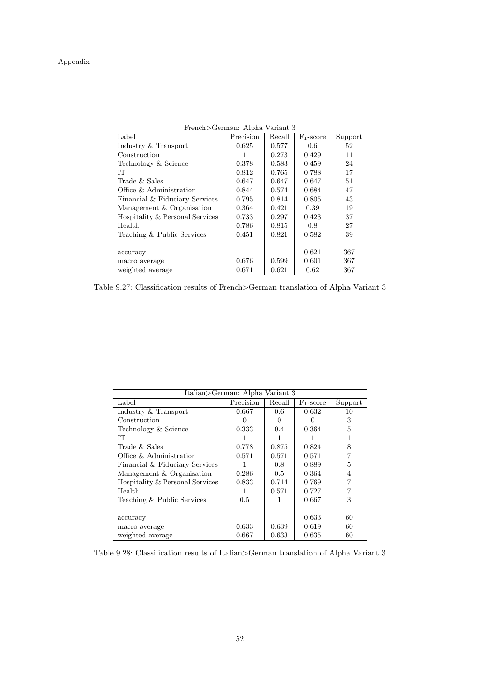| French>German: Alpha Variant 3  |           |        |              |         |
|---------------------------------|-----------|--------|--------------|---------|
| Label                           | Precision | Recall | $F_1$ -score | Support |
| Industry & Transport            | 0.625     | 0.577  | 0.6          | 52      |
| Construction                    | 1         | 0.273  | 0.429        | 11      |
| Technology & Science            | 0.378     | 0.583  | 0.459        | 24      |
| IТ                              | 0.812     | 0.765  | 0.788        | 17      |
| Trade $&$ Sales                 | 0.647     | 0.647  | 0.647        | 51      |
| Office & Administration         | 0.844     | 0.574  | 0.684        | 47      |
| Financial & Fiduciary Services  | 0.795     | 0.814  | 0.805        | 43      |
| Management & Organisation       | 0.364     | 0.421  | 0.39         | 19      |
| Hospitality & Personal Services | 0.733     | 0.297  | 0.423        | 37      |
| Health                          | 0.786     | 0.815  | 0.8          | 27      |
| Teaching & Public Services      | 0.451     | 0.821  | 0.582        | 39      |
|                                 |           |        |              |         |
| accuracy                        |           |        | 0.621        | 367     |
| macro average                   | 0.676     | 0.599  | 0.601        | 367     |
| weighted average                | 0.671     | 0.621  | 0.62         | 367     |

Table 9.27: Classification results of French>German translation of Alpha Variant 3

| Italian>German: Alpha Variant 3 |           |               |                  |         |
|---------------------------------|-----------|---------------|------------------|---------|
| Label                           | Precision | Recall        | $F_1$ -score     | Support |
| Industry & Transport            | 0.667     | 0.6           | 0.632            | 10      |
| Construction                    |           | $\mathbf{0}$  | $\left( \right)$ | 3       |
| Technology & Science            | 0.333     | $0.4^{\circ}$ | 0.364            | 5       |
| IТ                              |           |               |                  |         |
| Trade & Sales                   | 0.778     | 0.875         | 0.824            | 8       |
| Office & Administration         | 0.571     | 0.571         | 0.571            | 7       |
| Financial & Fiduciary Services  |           | 0.8           | 0.889            | 5       |
| Management & Organisation       | 0.286     | $0.5^{\circ}$ | 0.364            | 4       |
| Hospitality & Personal Services | 0.833     | 0.714         | 0.769            |         |
| Health                          |           | 0.571         | 0.727            |         |
| Teaching & Public Services      | 0.5       |               | 0.667            | 3       |
|                                 |           |               |                  |         |
| accuracy                        |           |               | 0.633            | 60      |
| macro average                   | 0.633     | 0.639         | 0.619            | 60      |
| weighted average                | 0.667     | 0.633         | 0.635            | 60      |

Table 9.28: Classification results of Italian>German translation of Alpha Variant 3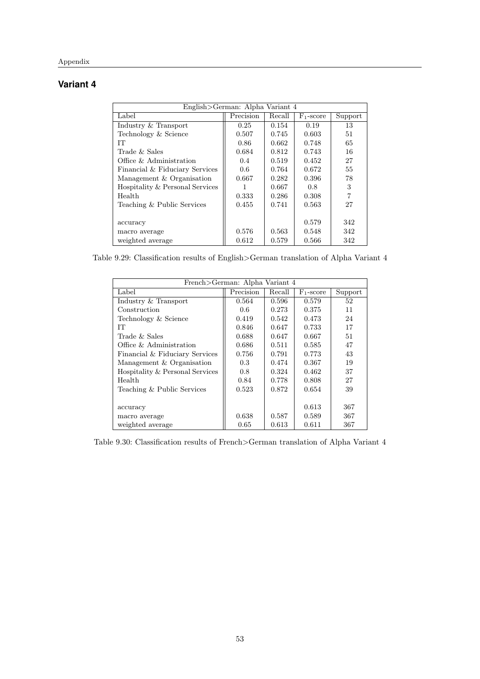## **Variant 4**

| English>German: Alpha Variant 4 |           |        |              |         |
|---------------------------------|-----------|--------|--------------|---------|
| Label                           | Precision | Recall | $F_1$ -score | Support |
| Industry & Transport            | 0.25      | 0.154  | 0.19         | 13      |
| Technology & Science            | 0.507     | 0.745  | 0.603        | 51      |
| IТ                              | 0.86      | 0.662  | 0.748        | 65      |
| Trade $&$ Sales                 | 0.684     | 0.812  | 0.743        | 16      |
| Office $\&$ Administration      | 0.4       | 0.519  | 0.452        | 27      |
| Financial & Fiduciary Services  | 0.6       | 0.764  | 0.672        | 55      |
| Management & Organisation       | 0.667     | 0.282  | 0.396        | 78      |
| Hospitality & Personal Services |           | 0.667  | 0.8          | 3       |
| Health                          | 0.333     | 0.286  | 0.308        | 7       |
| Teaching & Public Services      | 0.455     | 0.741  | 0.563        | 27      |
|                                 |           |        |              |         |
| accuracy                        |           |        | 0.579        | 342     |
| macro average                   | 0.576     | 0.563  | 0.548        | 342     |
| weighted average                | 0.612     | 0.579  | 0.566        | 342     |

Table 9.29: Classification results of English>German translation of Alpha Variant 4

| French>German: Alpha Variant 4  |           |        |              |         |
|---------------------------------|-----------|--------|--------------|---------|
| Label                           | Precision | Recall | $F_1$ -score | Support |
| Industry & Transport            | 0.564     | 0.596  | 0.579        | 52      |
| Construction                    | 0.6       | 0.273  | 0.375        | 11      |
| Technology & Science            | 0.419     | 0.542  | 0.473        | 24      |
| IТ                              | 0.846     | 0.647  | 0.733        | 17      |
| Trade & Sales                   | 0.688     | 0.647  | 0.667        | 51      |
| Office & Administration         | 0.686     | 0.511  | 0.585        | 47      |
| Financial & Fiduciary Services  | 0.756     | 0.791  | 0.773        | 43      |
| Management & Organisation       | 0.3       | 0.474  | 0.367        | 19      |
| Hospitality & Personal Services | 0.8       | 0.324  | 0.462        | 37      |
| Health                          | 0.84      | 0.778  | 0.808        | 27      |
| Teaching & Public Services      | 0.523     | 0.872  | 0.654        | 39      |
|                                 |           |        |              |         |
| accuracy                        |           |        | 0.613        | 367     |
| macro average                   | 0.638     | 0.587  | 0.589        | 367     |
| weighted average                | 0.65      | 0.613  | 0.611        | 367     |

Table 9.30: Classification results of French>German translation of Alpha Variant 4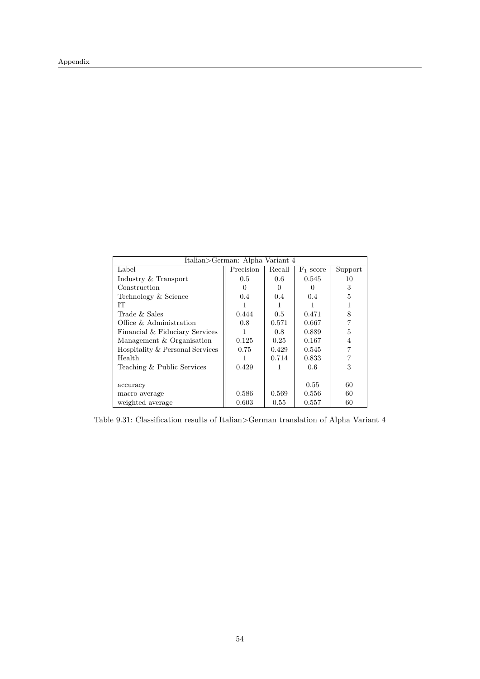| Italian>German: Alpha Variant 4 |           |        |              |         |
|---------------------------------|-----------|--------|--------------|---------|
| Label                           | Precision | Recall | $F_1$ -score | Support |
| Industry & Transport            | 0.5       | 0.6    | 0.545        | 10      |
| Construction                    |           |        |              | 3       |
| Technology & Science            | 0.4       | 0.4    | 0.4          | 5       |
| IТ                              |           |        |              |         |
| Trade & Sales                   | 0.444     | 0.5    | 0.471        | 8       |
| Office & Administration         | 0.8       | 0.571  | 0.667        |         |
| Financial & Fiduciary Services  |           | 0.8    | 0.889        | 5       |
| Management & Organisation       | 0.125     | 0.25   | 0.167        | 4       |
| Hospitality & Personal Services | 0.75      | 0.429  | 0.545        |         |
| Health                          |           | 0.714  | 0.833        |         |
| Teaching & Public Services      | 0.429     |        | 0.6          | 3       |
|                                 |           |        |              |         |
| accuracy                        |           |        | 0.55         | 60      |
| macro average                   | 0.586     | 0.569  | 0.556        | 60      |
| weighted average                | 0.603     | 0.55   | 0.557        | 60      |

Table 9.31: Classification results of Italian>German translation of Alpha Variant 4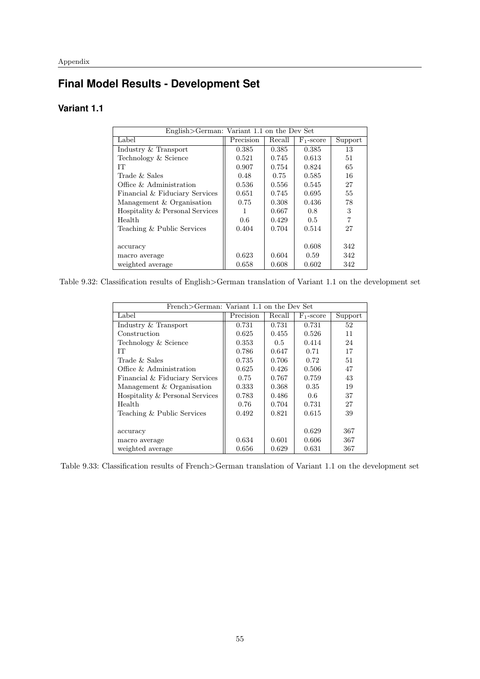## **Final Model Results - Development Set**

## **Variant 1.1**

| English>German: Variant 1.1 on the Dev Set |           |        |              |         |
|--------------------------------------------|-----------|--------|--------------|---------|
| Label                                      | Precision | Recall | $F_1$ -score | Support |
| Industry & Transport                       | 0.385     | 0.385  | 0.385        | 13      |
| Technology & Science                       | 0.521     | 0.745  | 0.613        | 51      |
| IТ                                         | 0.907     | 0.754  | 0.824        | 65      |
| Trade $&$ Sales                            | 0.48      | 0.75   | 0.585        | 16      |
| Office & Administration                    | 0.536     | 0.556  | 0.545        | 27      |
| Financial & Fiduciary Services             | 0.651     | 0.745  | 0.695        | 55      |
| Management & Organisation                  | 0.75      | 0.308  | 0.436        | 78      |
| Hospitality & Personal Services            |           | 0.667  | 0.8          | 3       |
| Health                                     | 0.6       | 0.429  | 0.5          | 7       |
| Teaching & Public Services                 | 0.404     | 0.704  | 0.514        | 27      |
|                                            |           |        |              |         |
| accuracy                                   |           |        | 0.608        | 342     |
| macro average                              | 0.623     | 0.604  | 0.59         | 342     |
| weighted average                           | 0.658     | 0.608  | 0.602        | 342     |

Table 9.32: Classification results of English>German translation of Variant 1.1 on the development set

| French>German: Variant 1.1 on the Dev Set |           |        |                       |         |
|-------------------------------------------|-----------|--------|-----------------------|---------|
| Label                                     | Precision | Recall | F <sub>1</sub> -score | Support |
| Industry & Transport                      | 0.731     | 0.731  | 0.731                 | 52      |
| Construction                              | 0.625     | 0.455  | 0.526                 | 11      |
| Technology & Science                      | 0.353     | 0.5    | 0.414                 | 24      |
| TТ                                        | 0.786     | 0.647  | 0.71                  | 17      |
| Trade & Sales                             | 0.735     | 0.706  | 0.72                  | 51      |
| Office & Administration                   | 0.625     | 0.426  | 0.506                 | 47      |
| Financial & Fiduciary Services            | 0.75      | 0.767  | 0.759                 | 43      |
| Management & Organisation                 | 0.333     | 0.368  | 0.35                  | 19      |
| Hospitality & Personal Services           | 0.783     | 0.486  | 0.6                   | 37      |
| Health                                    | 0.76      | 0.704  | 0.731                 | 27      |
| Teaching & Public Services                | 0.492     | 0.821  | 0.615                 | 39      |
|                                           |           |        |                       |         |
| accuracy                                  |           |        | 0.629                 | 367     |
| macro average                             | 0.634     | 0.601  | 0.606                 | 367     |
| weighted average                          | 0.656     | 0.629  | 0.631                 | 367     |

Table 9.33: Classification results of French>German translation of Variant 1.1 on the development set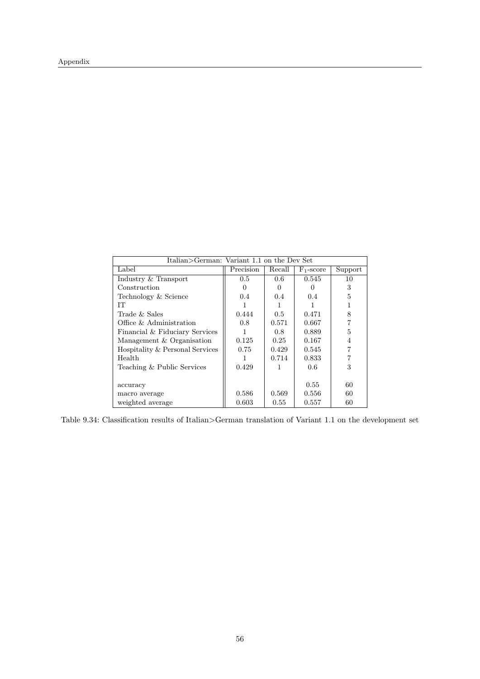| Italian>German: Variant 1.1 on the Dev Set |           |        |              |                |
|--------------------------------------------|-----------|--------|--------------|----------------|
| Label                                      | Precision | Recall | $F_1$ -score | Support        |
| Industry & Transport                       | 0.5       | 0.6    | 0.545        | 10             |
| Construction                               |           |        |              | 3              |
| Technology & Science                       | 0.4       | 0.4    | 0.4          | 5              |
| IТ                                         |           |        |              |                |
| Trade & Sales                              | 0.444     | 0.5    | 0.471        | 8              |
| Office & Administration                    | 0.8       | 0.571  | 0.667        | 7              |
| Financial & Fiduciary Services             |           | 0.8    | 0.889        | 5              |
| Management & Organisation                  | 0.125     | 0.25   | 0.167        | $\overline{4}$ |
| Hospitality & Personal Services            | 0.75      | 0.429  | 0.545        |                |
| Health                                     |           | 0.714  | 0.833        |                |
| Teaching & Public Services                 | 0.429     | L      | 0.6          | 3              |
|                                            |           |        |              |                |
| accuracy                                   |           |        | 0.55         | 60             |
| macro average                              | 0.586     | 0.569  | 0.556        | 60             |
| weighted average                           | 0.603     | 0.55   | 0.557        | 60             |

Table 9.34: Classification results of Italian>German translation of Variant 1.1 on the development set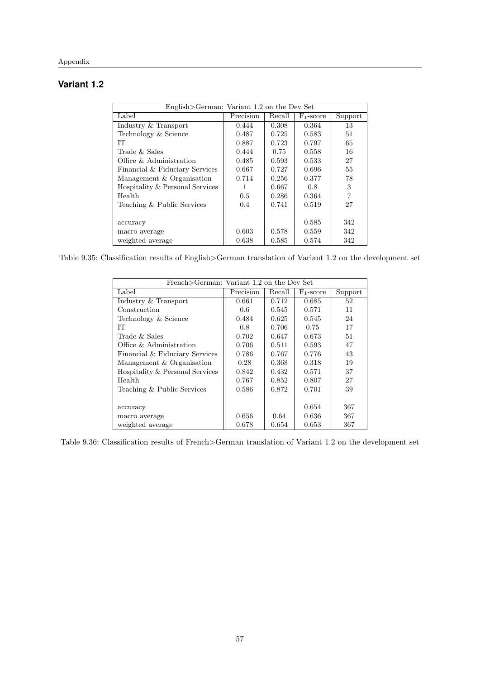## **Variant 1.2**

| English>German: Variant 1.2 on the Dev Set |           |        |              |                |
|--------------------------------------------|-----------|--------|--------------|----------------|
| Label                                      | Precision | Recall | $F_1$ -score | Support        |
| Industry & Transport                       | 0.444     | 0.308  | 0.364        | 13             |
| Technology & Science                       | 0.487     | 0.725  | 0.583        | 51             |
| IТ                                         | 0.887     | 0.723  | 0.797        | 65             |
| Trade & Sales                              | 0.444     | 0.75   | 0.558        | 16             |
| Office $\&$ Administration                 | 0.485     | 0.593  | 0.533        | 27             |
| Financial & Fiduciary Services             | 0.667     | 0.727  | 0.696        | 55             |
| Management & Organisation                  | 0.714     | 0.256  | 0.377        | 78             |
| Hospitality & Personal Services            |           | 0.667  | 0.8          | 3              |
| Health                                     | 0.5       | 0.286  | 0.364        | $\overline{7}$ |
| Teaching & Public Services                 | 0.4       | 0.741  | 0.519        | 27             |
|                                            |           |        |              |                |
| accuracy                                   |           |        | 0.585        | 342            |
| macro average                              | 0.603     | 0.578  | 0.559        | 342            |
| weighted average                           | 0.638     | 0.585  | 0.574        | 342            |

Table 9.35: Classification results of English>German translation of Variant 1.2 on the development set

| French>German: Variant 1.2 on the Dev Set |           |        |              |         |
|-------------------------------------------|-----------|--------|--------------|---------|
| Label                                     | Precision | Recall | $F_1$ -score | Support |
| Industry & Transport                      | 0.661     | 0.712  | 0.685        | 52      |
| Construction                              | 0.6       | 0.545  | 0.571        | 11      |
| Technology & Science                      | 0.484     | 0.625  | 0.545        | 24      |
| IТ                                        | 0.8       | 0.706  | 0.75         | 17      |
| Trade & Sales                             | 0.702     | 0.647  | 0.673        | 51      |
| Office & Administration                   | 0.706     | 0.511  | 0.593        | 47      |
| Financial & Fiduciary Services            | 0.786     | 0.767  | 0.776        | 43      |
| Management & Organisation                 | 0.28      | 0.368  | 0.318        | 19      |
| Hospitality & Personal Services           | 0.842     | 0.432  | 0.571        | 37      |
| Health                                    | 0.767     | 0.852  | 0.807        | 27      |
| Teaching & Public Services                | 0.586     | 0.872  | 0.701        | 39      |
|                                           |           |        |              |         |
| accuracy                                  |           |        | 0.654        | 367     |
| macro average                             | 0.656     | 0.64   | 0.636        | 367     |
| weighted average                          | 0.678     | 0.654  | 0.653        | 367     |

Table 9.36: Classification results of French>German translation of Variant 1.2 on the development set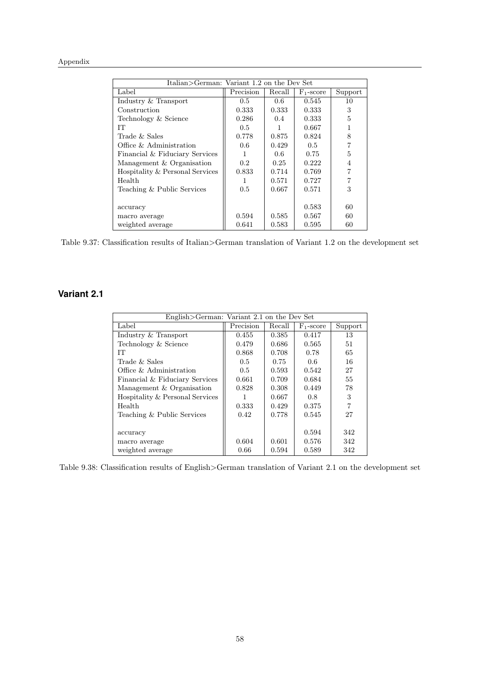| Italian>German: Variant 1.2 on the Dev Set |           |        |              |         |
|--------------------------------------------|-----------|--------|--------------|---------|
| Label                                      | Precision | Recall | $F_1$ -score | Support |
| Industry & Transport                       | 0.5       | 0.6    | 0.545        | 10      |
| Construction                               | 0.333     | 0.333  | 0.333        | 3       |
| Technology & Science                       | 0.286     | 0.4    | 0.333        | 5       |
| TТ                                         | 0.5       |        | 0.667        |         |
| Trade & Sales                              | 0.778     | 0.875  | 0.824        | 8       |
| Office & Administration                    | 0.6       | 0.429  | 0.5          |         |
| Financial & Fiduciary Services             | 1         | 0.6    | 0.75         | 5       |
| Management & Organisation                  | 0.2       | 0.25   | 0.222        | 4       |
| Hospitality & Personal Services            | 0.833     | 0.714  | 0.769        |         |
| Health                                     |           | 0.571  | 0.727        |         |
| Teaching & Public Services                 | 0.5       | 0.667  | 0.571        | 3       |
|                                            |           |        |              |         |
| accuracy                                   |           |        | 0.583        | 60      |
| macro average                              | 0.594     | 0.585  | 0.567        | 60      |
| weighted average                           | 0.641     | 0.583  | 0.595        | 60      |

Table 9.37: Classification results of Italian>German translation of Variant 1.2 on the development set

### **Variant 2.1**

| English>German: Variant 2.1 on the Dev Set |           |        |              |                |
|--------------------------------------------|-----------|--------|--------------|----------------|
|                                            |           |        |              |                |
| Label                                      | Precision | Recall | $F_1$ -score | Support        |
| Industry & Transport                       | 0.455     | 0.385  | 0.417        | 13             |
| Technology & Science                       | 0.479     | 0.686  | 0.565        | 51             |
| IТ                                         | 0.868     | 0.708  | 0.78         | 65             |
| Trade & Sales                              | 0.5       | 0.75   | 0.6          | 16             |
| Office & Administration                    | 0.5       | 0.593  | 0.542        | 27             |
| Financial & Fiduciary Services             | 0.661     | 0.709  | 0.684        | 55             |
| Management & Organisation                  | 0.828     | 0.308  | 0.449        | 78             |
| Hospitality & Personal Services            | 1         | 0.667  | 0.8          | 3              |
| Health                                     | 0.333     | 0.429  | 0.375        | $\overline{7}$ |
| Teaching & Public Services                 | 0.42      | 0.778  | 0.545        | 27             |
|                                            |           |        |              |                |
| accuracy                                   |           |        | 0.594        | 342            |
| macro average                              | 0.604     | 0.601  | 0.576        | 342            |
| weighted average                           | 0.66      | 0.594  | 0.589        | 342            |

Table 9.38: Classification results of English>German translation of Variant 2.1 on the development set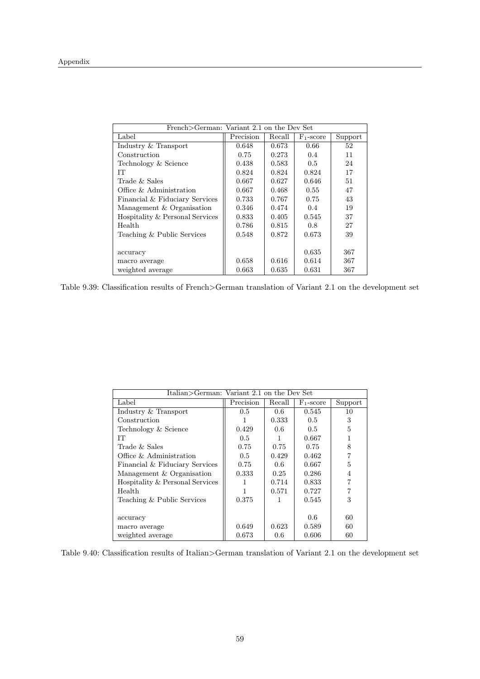| French>German: Variant 2.1 on the Dev Set |           |        |                       |         |
|-------------------------------------------|-----------|--------|-----------------------|---------|
| Label                                     | Precision | Recall | F <sub>1</sub> -score | Support |
| Industry & Transport                      | 0.648     | 0.673  | 0.66                  | 52      |
| Construction                              | 0.75      | 0.273  | 0.4                   | 11      |
| Technology & Science                      | 0.438     | 0.583  | $0.5^{\circ}$         | 24      |
| IТ                                        | 0.824     | 0.824  | 0.824                 | 17      |
| Trade & Sales                             | 0.667     | 0.627  | 0.646                 | 51      |
| Office & Administration                   | 0.667     | 0.468  | 0.55                  | 47      |
| Financial & Fiduciary Services            | 0.733     | 0.767  | 0.75                  | 43      |
| Management & Organisation                 | 0.346     | 0.474  | 0.4                   | 19      |
| Hospitality & Personal Services           | 0.833     | 0.405  | 0.545                 | 37      |
| Health                                    | 0.786     | 0.815  | 0.8                   | 27      |
| Teaching & Public Services                | 0.548     | 0.872  | 0.673                 | 39      |
|                                           |           |        |                       |         |
| accuracy                                  |           |        | 0.635                 | 367     |
| macro average                             | 0.658     | 0.616  | 0.614                 | 367     |
| weighted average                          | 0.663     | 0.635  | 0.631                 | 367     |

Table 9.39: Classification results of French>German translation of Variant 2.1 on the development set

|                                 | Italian>German: Variant 2.1 on the Dev Set |        |               |         |
|---------------------------------|--------------------------------------------|--------|---------------|---------|
| Label                           | Precision                                  | Recall | $F_1$ -score  | Support |
| Industry & Transport            | $0.5^{\circ}$                              | 0.6    | 0.545         | 10      |
| Construction                    |                                            | 0.333  | $0.5^{\circ}$ | 3       |
| Technology & Science            | 0.429                                      | 0.6    | 0.5           | 5       |
| IТ                              | 0.5                                        |        | 0.667         |         |
| Trade & Sales                   | 0.75                                       | 0.75   | 0.75          | 8       |
| Office & Administration         | 0.5                                        | 0.429  | 0.462         |         |
| Financial & Fiduciary Services  | 0.75                                       | 0.6    | 0.667         | 5       |
| Management & Organisation       | 0.333                                      | 0.25   | 0.286         | 4       |
| Hospitality & Personal Services |                                            | 0.714  | 0.833         |         |
| Health                          |                                            | 0.571  | 0.727         |         |
| Teaching & Public Services      | 0.375                                      |        | 0.545         | 3       |
|                                 |                                            |        |               |         |
| accuracy                        |                                            |        | 0.6           | 60      |
| macro average                   | 0.649                                      | 0.623  | 0.589         | 60      |
| weighted average                | 0.673                                      | 0.6    | 0.606         | 60      |

Table 9.40: Classification results of Italian>German translation of Variant 2.1 on the development set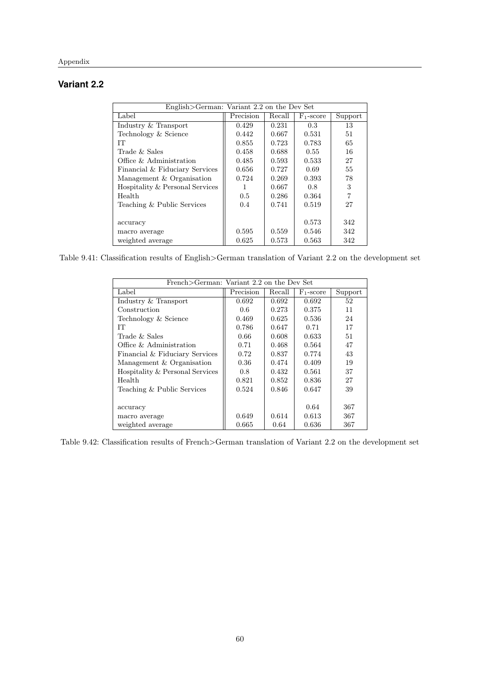### **Variant 2.2**

| English>German: Variant 2.2 on the Dev Set |               |        |              |         |
|--------------------------------------------|---------------|--------|--------------|---------|
| Label                                      | Precision     | Recall | $F_1$ -score | Support |
| Industry & Transport                       | 0.429         | 0.231  | 0.3          | 13      |
| Technology & Science                       | 0.442         | 0.667  | 0.531        | 51      |
| IТ                                         | 0.855         | 0.723  | 0.783        | 65      |
| Trade $&$ Sales                            | 0.458         | 0.688  | 0.55         | 16      |
| Office $\&$ Administration                 | 0.485         | 0.593  | 0.533        | 27      |
| Financial & Fiduciary Services             | 0.656         | 0.727  | 0.69         | 55      |
| Management & Organisation                  | 0.724         | 0.269  | 0.393        | 78      |
| Hospitality & Personal Services            |               | 0.667  | 0.8          | 3       |
| Health                                     | $0.5^{\circ}$ | 0.286  | 0.364        | 7       |
| Teaching & Public Services                 | 0.4           | 0.741  | 0.519        | 27      |
|                                            |               |        |              |         |
| accuracy                                   |               |        | 0.573        | 342     |
| macro average                              | 0.595         | 0.559  | 0.546        | 342     |
| weighted average                           | 0.625         | 0.573  | 0.563        | 342     |

Table 9.41: Classification results of English>German translation of Variant 2.2 on the development set

| French > German: Variant 2.2 on the Dev Set |           |        |              |         |
|---------------------------------------------|-----------|--------|--------------|---------|
| Label                                       | Precision | Recall | $F_1$ -score | Support |
| Industry & Transport                        | 0.692     | 0.692  | 0.692        | 52      |
| Construction                                | 0.6       | 0.273  | 0.375        | 11      |
| Technology & Science                        | 0.469     | 0.625  | 0.536        | 24      |
| IТ                                          | 0.786     | 0.647  | 0.71         | 17      |
| Trade & Sales                               | 0.66      | 0.608  | 0.633        | 51      |
| Office & Administration                     | 0.71      | 0.468  | 0.564        | 47      |
| Financial & Fiduciary Services              | 0.72      | 0.837  | 0.774        | 43      |
| Management & Organisation                   | 0.36      | 0.474  | 0.409        | 19      |
| Hospitality & Personal Services             | 0.8       | 0.432  | 0.561        | 37      |
| Health                                      | 0.821     | 0.852  | 0.836        | 27      |
| Teaching & Public Services                  | 0.524     | 0.846  | 0.647        | 39      |
|                                             |           |        |              |         |
| accuracy                                    |           |        | 0.64         | 367     |
| macro average                               | 0.649     | 0.614  | 0.613        | 367     |
| weighted average                            | 0.665     | 0.64   | 0.636        | 367     |

Table 9.42: Classification results of French>German translation of Variant 2.2 on the development set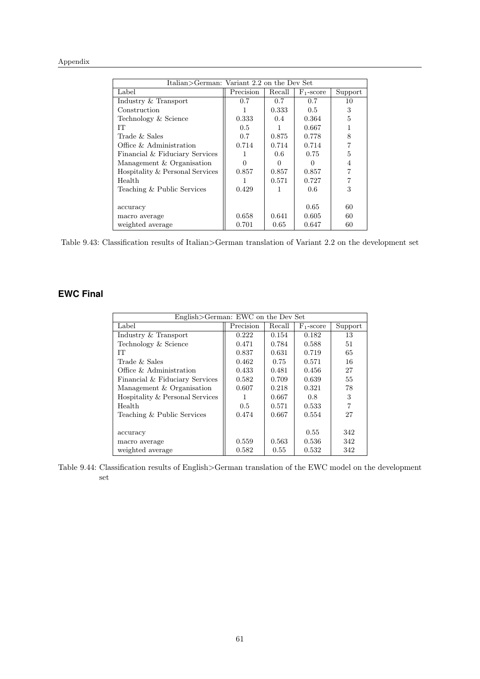| Italian>German: Variant 2.2 on the Dev Set |           |        |              |         |
|--------------------------------------------|-----------|--------|--------------|---------|
| Label                                      | Precision | Recall | $F_1$ -score | Support |
| Industry & Transport                       | 0.7       | 0.7    | 0.7          | 10      |
| Construction                               | 1         | 0.333  | 0.5          | 3       |
| Technology & Science                       | 0.333     | 0.4    | 0.364        | 5       |
| TТ                                         | 0.5       |        | 0.667        |         |
| Trade & Sales                              | 0.7       | 0.875  | 0.778        | 8       |
| Office & Administration                    | 0.714     | 0.714  | 0.714        |         |
| Financial & Fiduciary Services             | 1         | 0.6    | 0.75         | 5       |
| Management & Organisation                  | ∩         | 0      | 0            | 4       |
| Hospitality & Personal Services            | 0.857     | 0.857  | 0.857        |         |
| Health                                     |           | 0.571  | 0.727        |         |
| Teaching & Public Services                 | 0.429     |        | 0.6          | 3       |
|                                            |           |        |              |         |
| accuracy                                   |           |        | 0.65         | 60      |
| macro average                              | 0.658     | 0.641  | 0.605        | 60      |
| weighted average                           | 0.701     | 0.65   | 0.647        | 60      |

Table 9.43: Classification results of Italian>German translation of Variant 2.2 on the development set

## **EWC Final**

| English>German: EWC on the Dev Set |           |        |              |         |
|------------------------------------|-----------|--------|--------------|---------|
| Label                              | Precision | Recall | $F_1$ -score | Support |
| Industry & Transport               | 0.222     | 0.154  | 0.182        | 13      |
| Technology & Science               | 0.471     | 0.784  | 0.588        | 51      |
| IТ                                 | 0.837     | 0.631  | 0.719        | 65      |
| Trade $&$ Sales                    | 0.462     | 0.75   | 0.571        | 16      |
| Office $\&$ Administration         | 0.433     | 0.481  | 0.456        | 27      |
| Financial & Fiduciary Services     | 0.582     | 0.709  | 0.639        | 55      |
| Management & Organisation          | 0.607     | 0.218  | 0.321        | 78      |
| Hospitality & Personal Services    | 1         | 0.667  | 0.8          | 3       |
| Health                             | 0.5       | 0.571  | 0.533        | 7       |
| Teaching & Public Services         | 0.474     | 0.667  | 0.554        | 27      |
|                                    |           |        |              |         |
| accuracy                           |           |        | 0.55         | 342     |
| macro average                      | 0.559     | 0.563  | 0.536        | 342     |
| weighted average                   | 0.582     | 0.55   | 0.532        | 342     |

Table 9.44: Classification results of English>German translation of the EWC model on the development set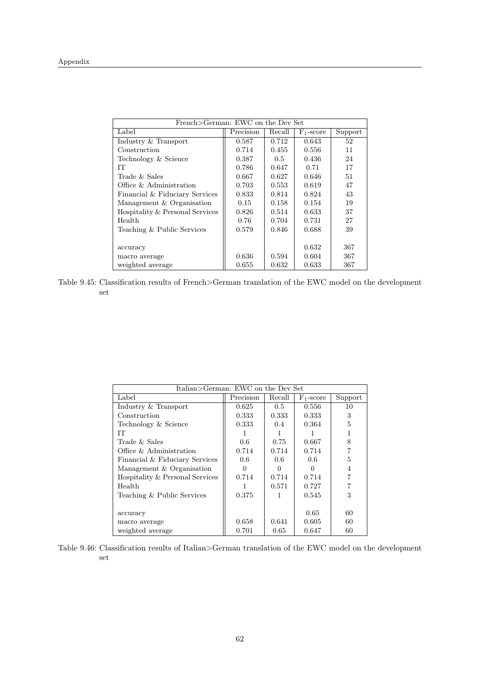| French>German: EWC on the Dev Set |           |               |              |         |
|-----------------------------------|-----------|---------------|--------------|---------|
| Label                             | Precision | Recall        | $F_1$ -score | Support |
| Industry & Transport              | 0.587     | 0.712         | 0.643        | 52      |
| Construction                      | 0.714     | 0.455         | 0.556        | 11      |
| Technology & Science              | 0.387     | $0.5^{\circ}$ | 0.436        | 24      |
| IТ                                | 0.786     | 0.647         | 0.71         | 17      |
| Trade $&$ Sales                   | 0.667     | 0.627         | 0.646        | 51      |
| Office & Administration           | 0.703     | 0.553         | 0.619        | 47      |
| Financial & Fiduciary Services    | 0.833     | 0.814         | 0.824        | 43      |
| Management & Organisation         | 0.15      | 0.158         | 0.154        | 19      |
| Hospitality & Personal Services   | 0.826     | 0.514         | 0.633        | 37      |
| Health                            | 0.76      | 0.704         | 0.731        | 27      |
| Teaching & Public Services        | 0.579     | 0.846         | 0.688        | 39      |
|                                   |           |               |              |         |
| accuracy                          |           |               | 0.632        | 367     |
| macro average                     | 0.636     | 0.594         | 0.604        | 367     |
| weighted average                  | 0.655     | 0.632         | 0.633        | 367     |

Table 9.45: Classification results of French>German translation of the EWC model on the development set

| Italian>German: EWC on the Dev Set |           |               |              |         |
|------------------------------------|-----------|---------------|--------------|---------|
| Label                              | Precision | Recall        | $F_1$ -score | Support |
| Industry & Transport               | 0.625     | 0.5           | 0.556        | 10      |
| Construction                       | 0.333     | 0.333         | 0.333        | 3       |
| Technology & Science               | 0.333     | $0.4^{\circ}$ | 0.364        | 5       |
| IТ                                 |           |               |              |         |
| Trade & Sales                      | 0.6       | 0.75          | 0.667        | 8       |
| Office & Administration            | 0.714     | 0.714         | 0.714        |         |
| Financial & Fiduciary Services     | 0.6       | 0.6           | 0.6          | 5       |
| Management & Organisation          | ∩         | 0             | $\mathbf{0}$ | 4       |
| Hospitality & Personal Services    | 0.714     | 0.714         | 0.714        |         |
| Health                             |           | 0.571         | 0.727        |         |
| Teaching & Public Services         | 0.375     |               | 0.545        | 3       |
|                                    |           |               |              |         |
| accuracy                           |           |               | 0.65         | 60      |
| macro average                      | 0.658     | 0.641         | 0.605        | 60      |
| weighted average                   | 0.701     | 0.65          | 0.647        | 60      |

Table 9.46: Classification results of Italian>German translation of the EWC model on the development set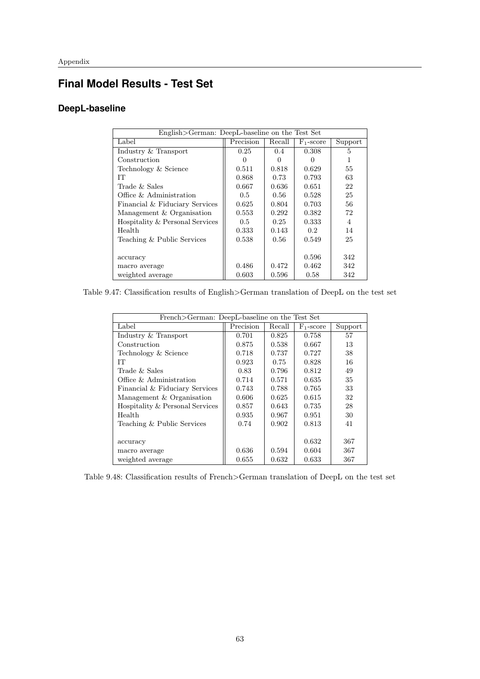## **Final Model Results - Test Set**

## **DeepL-baseline**

| English>German: DeepL-baseline on the Test Set |              |               |                  |         |
|------------------------------------------------|--------------|---------------|------------------|---------|
| Label                                          | Precision    | Recall        | $F_1$ -score     | Support |
| Industry & Transport                           | 0.25         | $0.4^{\circ}$ | 0.308            | 5       |
| Construction                                   | $\mathbf{0}$ |               | $\cup$           |         |
| Technology & Science                           | 0.511        | 0.818         | 0.629            | 55      |
| IТ                                             | 0.868        | 0.73          | 0.793            | 63      |
| Trade & Sales                                  | 0.667        | 0.636         | 0.651            | 22      |
| Office & Administration                        | 0.5          | 0.56          | 0.528            | 25      |
| Financial & Fiduciary Services                 | 0.625        | 0.804         | 0.703            | 56      |
| Management & Organisation                      | 0.553        | 0.292         | 0.382            | 72      |
| Hospitality & Personal Services                | 0.5          | 0.25          | 0.333            | 4       |
| Health                                         | 0.333        | 0.143         | 0.2 <sup>°</sup> | 14      |
| Teaching & Public Services                     | 0.538        | 0.56          | 0.549            | 25      |
|                                                |              |               |                  |         |
| accuracy                                       |              |               | 0.596            | 342     |
| macro average                                  | 0.486        | 0.472         | 0.462            | 342     |
| weighted average                               | 0.603        | 0.596         | 0.58             | 342     |

Table 9.47: Classification results of English>German translation of DeepL on the test set

| French>German: DeepL-baseline on the Test Set |           |        |                       |         |  |  |
|-----------------------------------------------|-----------|--------|-----------------------|---------|--|--|
| Label                                         | Precision | Recall | F <sub>1</sub> -score | Support |  |  |
| Industry & Transport                          | 0.701     | 0.825  | 0.758                 | 57      |  |  |
| Construction                                  | 0.875     | 0.538  | 0.667                 | 13      |  |  |
| Technology & Science                          | 0.718     | 0.737  | 0.727                 | 38      |  |  |
| IТ                                            | 0.923     | 0.75   | 0.828                 | 16      |  |  |
| Trade & Sales                                 | 0.83      | 0.796  | 0.812                 | 49      |  |  |
| Office & Administration                       | 0.714     | 0.571  | 0.635                 | 35      |  |  |
| Financial & Fiduciary Services                | 0.743     | 0.788  | 0.765                 | 33      |  |  |
| Management & Organisation                     | 0.606     | 0.625  | 0.615                 | 32      |  |  |
| Hospitality & Personal Services               | 0.857     | 0.643  | 0.735                 | 28      |  |  |
| Health                                        | 0.935     | 0.967  | 0.951                 | 30      |  |  |
| Teaching & Public Services                    | 0.74      | 0.902  | 0.813                 | 41      |  |  |
|                                               |           |        |                       |         |  |  |
| accuracy                                      |           |        | 0.632                 | 367     |  |  |
| macro average                                 | 0.636     | 0.594  | 0.604                 | 367     |  |  |
| weighted average                              | 0.655     | 0.632  | 0.633                 | 367     |  |  |

Table 9.48: Classification results of French>German translation of DeepL on the test set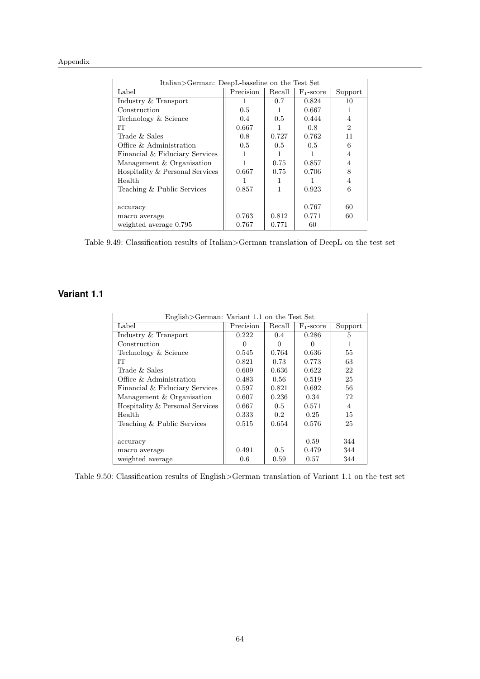| Italian>German: DeepL-baseline on the Test Set |           |        |              |                             |  |  |
|------------------------------------------------|-----------|--------|--------------|-----------------------------|--|--|
| Label                                          | Precision | Recall | $F_1$ -score | Support                     |  |  |
| Industry & Transport                           |           | 0.7    | 0.824        | 10                          |  |  |
| Construction                                   | 0.5       | 1      | 0.667        |                             |  |  |
| Technology & Science                           | 0.4       | 0.5    | 0.444        | 4                           |  |  |
| IТ                                             | 0.667     |        | 0.8          | $\mathcal{D}_{\mathcal{L}}$ |  |  |
| Trade $&$ Sales                                | 0.8       | 0.727  | 0.762        | 11                          |  |  |
| Office & Administration                        | 0.5       | 0.5    | 0.5          | 6                           |  |  |
| Financial & Fiduciary Services                 |           | 1      |              | 4                           |  |  |
| Management & Organisation                      |           | 0.75   | 0.857        | 4                           |  |  |
| Hospitality & Personal Services                | 0.667     | 0.75   | 0.706        | 8                           |  |  |
| Health                                         |           |        |              | 4                           |  |  |
| Teaching & Public Services                     | 0.857     | 1      | 0.923        | 6                           |  |  |
|                                                |           |        |              |                             |  |  |
| accuracy                                       |           |        | 0.767        | 60                          |  |  |
| macro average                                  | 0.763     | 0.812  | 0.771        | 60                          |  |  |
| weighted average 0.795                         | 0.767     | 0.771  | 60           |                             |  |  |

Table 9.49: Classification results of Italian>German translation of DeepL on the test set

## **Variant 1.1**

| English>German: Variant 1.1 on the Test Set |           |               |              |                |  |  |
|---------------------------------------------|-----------|---------------|--------------|----------------|--|--|
| Label                                       | Precision | Recall        | $F_1$ -score | Support        |  |  |
| Industry & Transport                        | 0.222     | $0.4^{\circ}$ | 0.286        | 5              |  |  |
| Construction                                | $\Omega$  | $\Omega$      | 0            | 1              |  |  |
| Technology & Science                        | 0.545     | 0.764         | 0.636        | 55             |  |  |
| IТ                                          | 0.821     | 0.73          | 0.773        | 63             |  |  |
| Trade $&$ Sales                             | 0.609     | 0.636         | 0.622        | 22             |  |  |
| Office & Administration                     | 0.483     | 0.56          | 0.519        | 25             |  |  |
| Financial & Fiduciary Services              | 0.597     | 0.821         | 0.692        | 56             |  |  |
| Management & Organisation                   | 0.607     | 0.236         | 0.34         | 72             |  |  |
| Hospitality & Personal Services             | 0.667     | $0.5^{\circ}$ | 0.571        | $\overline{4}$ |  |  |
| Health                                      | 0.333     | 0.2           | 0.25         | 15             |  |  |
| Teaching & Public Services                  | 0.515     | 0.654         | 0.576        | 25             |  |  |
|                                             |           |               |              |                |  |  |
| accuracy                                    |           |               | 0.59         | 344            |  |  |
| macro average                               | 0.491     | $0.5^{\circ}$ | 0.479        | 344            |  |  |
| weighted average                            | 0.6       | 0.59          | 0.57         | 344            |  |  |

Table 9.50: Classification results of English>German translation of Variant 1.1 on the test set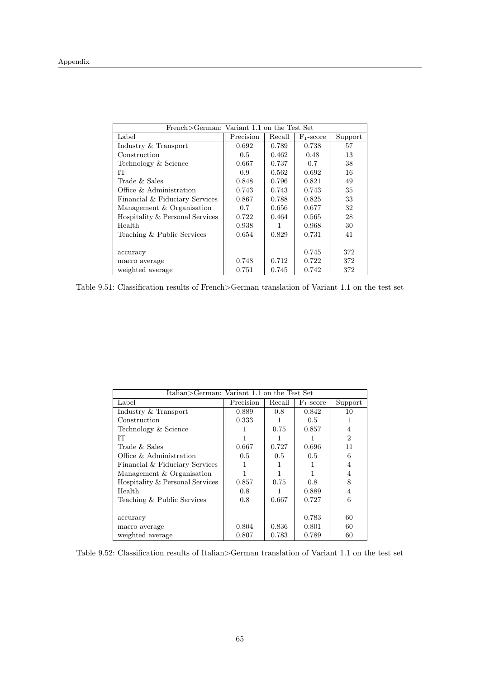| French > German: Variant 1.1 on the Test Set |               |        |              |         |
|----------------------------------------------|---------------|--------|--------------|---------|
| Label                                        | Precision     | Recall | $F_1$ -score | Support |
| Industry & Transport                         | 0.692         | 0.789  | 0.738        | 57      |
| Construction                                 | $0.5^{\circ}$ | 0.462  | 0.48         | 13      |
| Technology & Science                         | 0.667         | 0.737  | 0.7          | 38      |
| IТ                                           | 0.9           | 0.562  | 0.692        | 16      |
| Trade $&$ Sales                              | 0.848         | 0.796  | 0.821        | 49      |
| Office & Administration                      | 0.743         | 0.743  | 0.743        | 35      |
| Financial & Fiduciary Services               | 0.867         | 0.788  | 0.825        | 33      |
| Management & Organisation                    | 0.7           | 0.656  | 0.677        | 32      |
| Hospitality & Personal Services              | 0.722         | 0.464  | 0.565        | 28      |
| Health                                       | 0.938         |        | 0.968        | 30      |
| Teaching & Public Services                   | 0.654         | 0.829  | 0.731        | 41      |
|                                              |               |        |              |         |
| accuracy                                     |               |        | 0.745        | 372     |
| macro average                                | 0.748         | 0.712  | 0.722        | 372     |
| weighted average                             | 0.751         | 0.745  | 0.742        | 372     |

Table 9.51: Classification results of French>German translation of Variant 1.1 on the test set

|                                 | Italian>German: Variant 1.1 on the Test Set |        |               |                |  |
|---------------------------------|---------------------------------------------|--------|---------------|----------------|--|
| Label                           | Precision                                   | Recall | $F_1$ -score  | Support        |  |
| Industry & Transport            | 0.889                                       | 0.8    | 0.842         | 10             |  |
| Construction                    | 0.333                                       |        | $0.5^{\circ}$ |                |  |
| Technology & Science            |                                             | 0.75   | 0.857         | 4              |  |
| IТ                              |                                             |        |               | $\mathfrak{D}$ |  |
| Trade & Sales                   | 0.667                                       | 0.727  | 0.696         | 11             |  |
| Office & Administration         | 0.5                                         | 0.5    | 0.5           | 6              |  |
| Financial & Fiduciary Services  |                                             |        |               | 4              |  |
| Management & Organisation       |                                             |        |               | 4              |  |
| Hospitality & Personal Services | 0.857                                       | 0.75   | 0.8           | 8              |  |
| Health                          | 0.8                                         |        | 0.889         | 4              |  |
| Teaching & Public Services      | 0.8                                         | 0.667  | 0.727         | 6              |  |
|                                 |                                             |        |               |                |  |
| accuracy                        |                                             |        | 0.783         | 60             |  |
| macro average                   | 0.804                                       | 0.836  | 0.801         | 60             |  |
| weighted average                | 0.807                                       | 0.783  | 0.789         | 60             |  |

Table 9.52: Classification results of Italian>German translation of Variant 1.1 on the test set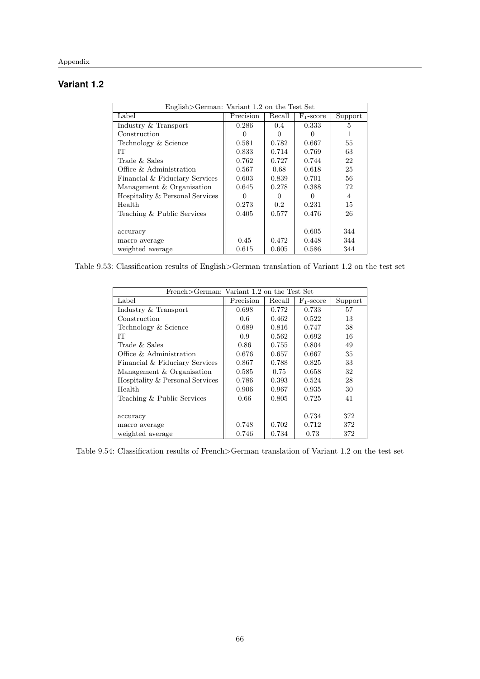# **Variant 1.2**

| English>German: Variant 1.2 on the Test Set |                  |               |                  |         |
|---------------------------------------------|------------------|---------------|------------------|---------|
| Label                                       | Precision        | Recall        | $F_1$ -score     | Support |
| Industry & Transport                        | 0.286            | $0.4^{\circ}$ | 0.333            | 5       |
| Construction                                |                  |               | $\left( \right)$ |         |
| Technology & Science                        | 0.581            | 0.782         | 0.667            | 55      |
| TТ                                          | 0.833            | 0.714         | 0.769            | 63      |
| Trade & Sales                               | 0.762            | 0.727         | 0.744            | 22      |
| Office & Administration                     | 0.567            | 0.68          | 0.618            | 25      |
| Financial & Fiduciary Services              | 0.603            | 0.839         | 0.701            | 56      |
| Management & Organisation                   | 0.645            | 0.278         | 0.388            | 72      |
| Hospitality & Personal Services             | $\left( \right)$ | $\cup$        | ∩                | 4       |
| Health                                      | 0.273            | 0.2           | 0.231            | 15      |
| Teaching & Public Services                  | 0.405            | 0.577         | 0.476            | 26      |
|                                             |                  |               |                  |         |
| accuracy                                    |                  |               | 0.605            | 344     |
| macro average                               | 0.45             | 0.472         | 0.448            | 344     |
| weighted average                            | 0.615            | 0.605         | 0.586            | 344     |

Table 9.53: Classification results of English>German translation of Variant 1.2 on the test set

| French>German: Variant 1.2 on the Test Set |           |        |              |         |
|--------------------------------------------|-----------|--------|--------------|---------|
| Label                                      | Precision | Recall | $F_1$ -score | Support |
| Industry & Transport                       | 0.698     | 0.772  | 0.733        | 57      |
| Construction                               | 0.6       | 0.462  | 0.522        | 13      |
| Technology & Science                       | 0.689     | 0.816  | 0.747        | 38      |
| IТ                                         | 0.9       | 0.562  | 0.692        | 16      |
| Trade & Sales                              | 0.86      | 0.755  | 0.804        | 49      |
| Office & Administration                    | 0.676     | 0.657  | 0.667        | 35      |
| Financial & Fiduciary Services             | 0.867     | 0.788  | 0.825        | 33      |
| Management & Organisation                  | 0.585     | 0.75   | 0.658        | 32      |
| Hospitality & Personal Services            | 0.786     | 0.393  | 0.524        | 28      |
| Health                                     | 0.906     | 0.967  | 0.935        | 30      |
| Teaching & Public Services                 | 0.66      | 0.805  | 0.725        | 41      |
|                                            |           |        |              |         |
| accuracy                                   |           |        | 0.734        | 372     |
| macro average                              | 0.748     | 0.702  | 0.712        | 372     |
| weighted average                           | 0.746     | 0.734  | 0.73         | 372     |

Table 9.54: Classification results of French>German translation of Variant 1.2 on the test set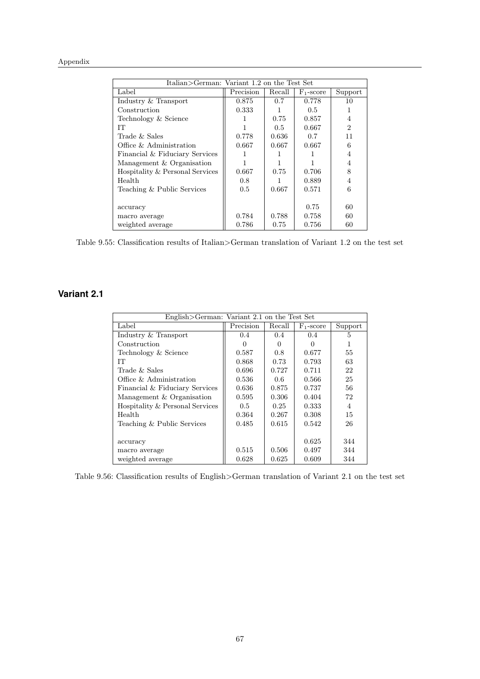#### Appendix

| Italian>German: Variant 1.2 on the Test Set |           |        |              |                |
|---------------------------------------------|-----------|--------|--------------|----------------|
| Label                                       | Precision | Recall | $F_1$ -score | Support        |
| Industry & Transport                        | 0.875     | 0.7    | 0.778        | 10             |
| Construction                                | 0.333     |        | 0.5          |                |
| Technology & Science                        |           | 0.75   | 0.857        | 4              |
| TТ                                          |           | 0.5    | 0.667        | $\overline{2}$ |
| Trade & Sales                               | 0.778     | 0.636  | 0.7          | 11             |
| Office & Administration                     | 0.667     | 0.667  | 0.667        | 6              |
| Financial & Fiduciary Services              |           |        |              | 4              |
| Management & Organisation                   |           |        |              | 4              |
| Hospitality & Personal Services             | 0.667     | 0.75   | 0.706        | 8              |
| Health                                      | 0.8       |        | 0.889        | 4              |
| Teaching & Public Services                  | 0.5       | 0.667  | 0.571        | 6              |
|                                             |           |        |              |                |
| accuracy                                    |           |        | 0.75         | 60             |
| macro average                               | 0.784     | 0.788  | 0.758        | 60             |
| weighted average                            | 0.786     | 0.75   | 0.756        | 60             |

Table 9.55: Classification results of Italian>German translation of Variant 1.2 on the test set

#### **Variant 2.1**

| English>German: Variant 2.1 on the Test Set |               |               |              |                |
|---------------------------------------------|---------------|---------------|--------------|----------------|
| Label                                       | Precision     | Recall        | $F_1$ -score | Support        |
| Industry & Transport                        | $0.4^{\circ}$ | $0.4^{\circ}$ | 0.4          | 5              |
| Construction                                | 0             | $\Omega$      | 0            | 1              |
| Technology & Science                        | 0.587         | 0.8           | 0.677        | 55             |
| IТ                                          | 0.868         | 0.73          | 0.793        | 63             |
| Trade $&$ Sales                             | 0.696         | 0.727         | 0.711        | 22             |
| Office & Administration                     | 0.536         | 0.6           | 0.566        | 25             |
| Financial & Fiduciary Services              | 0.636         | 0.875         | 0.737        | 56             |
| Management & Organisation                   | 0.595         | 0.306         | 0.404        | 72             |
| Hospitality & Personal Services             | 0.5           | 0.25          | 0.333        | $\overline{4}$ |
| Health                                      | 0.364         | 0.267         | 0.308        | 15             |
| Teaching & Public Services                  | 0.485         | 0.615         | 0.542        | 26             |
|                                             |               |               |              |                |
| accuracy                                    |               |               | 0.625        | 344            |
| macro average                               | 0.515         | 0.506         | 0.497        | 344            |
| weighted average                            | 0.628         | 0.625         | 0.609        | 344            |

Table 9.56: Classification results of English>German translation of Variant 2.1 on the test set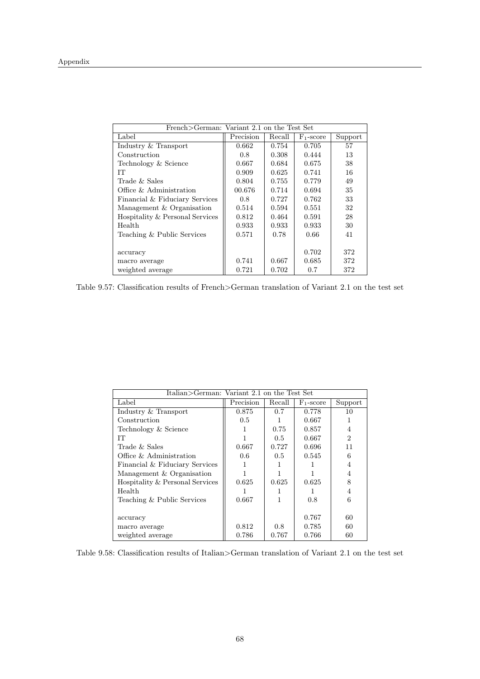| French>German: Variant 2.1 on the Test Set |           |        |                       |         |
|--------------------------------------------|-----------|--------|-----------------------|---------|
| Label                                      | Precision | Recall | F <sub>1</sub> -score | Support |
| Industry & Transport                       | 0.662     | 0.754  | 0.705                 | 57      |
| Construction                               | 0.8       | 0.308  | 0.444                 | 13      |
| Technology & Science                       | 0.667     | 0.684  | 0.675                 | 38      |
| IТ                                         | 0.909     | 0.625  | 0.741                 | 16      |
| Trade $&$ Sales                            | 0.804     | 0.755  | 0.779                 | 49      |
| Office & Administration                    | 00.676    | 0.714  | 0.694                 | 35      |
| Financial & Fiduciary Services             | 0.8       | 0.727  | 0.762                 | 33      |
| Management & Organisation                  | 0.514     | 0.594  | 0.551                 | 32      |
| Hospitality & Personal Services            | 0.812     | 0.464  | 0.591                 | 28      |
| Health                                     | 0.933     | 0.933  | 0.933                 | 30      |
| Teaching & Public Services                 | 0.571     | 0.78   | 0.66                  | 41      |
|                                            |           |        |                       |         |
| accuracy                                   |           |        | 0.702                 | 372     |
| macro average                              | 0.741     | 0.667  | 0.685                 | 372     |
| weighted average                           | 0.721     | 0.702  | 0.7                   | 372     |

Table 9.57: Classification results of French>German translation of Variant 2.1 on the test set

|                                 | Italian>German: Variant 2.1 on the Test Set |               |              |         |  |
|---------------------------------|---------------------------------------------|---------------|--------------|---------|--|
| Label                           | Precision                                   | Recall        | $F_1$ -score | Support |  |
| Industry & Transport            | 0.875                                       | 0.7           | 0.778        | 10      |  |
| Construction                    | 0.5                                         |               | 0.667        |         |  |
| Technology & Science            |                                             | 0.75          | 0.857        | 4       |  |
| IТ                              |                                             | $0.5^{\circ}$ | 0.667        | 2       |  |
| Trade $&$ Sales                 | 0.667                                       | 0.727         | 0.696        | 11      |  |
| Office & Administration         | 0.6                                         | $0.5^{\circ}$ | 0.545        | 6       |  |
| Financial & Fiduciary Services  |                                             |               |              | 4       |  |
| Management & Organisation       |                                             |               |              | 4       |  |
| Hospitality & Personal Services | 0.625                                       | 0.625         | 0.625        | 8       |  |
| Health                          |                                             |               |              | 4       |  |
| Teaching & Public Services      | 0.667                                       |               | 0.8          | 6       |  |
|                                 |                                             |               |              |         |  |
| accuracy                        |                                             |               | 0.767        | 60      |  |
| macro average                   | 0.812                                       | 0.8           | 0.785        | 60      |  |
| weighted average                | 0.786                                       | 0.767         | 0.766        | 60      |  |

Table 9.58: Classification results of Italian>German translation of Variant 2.1 on the test set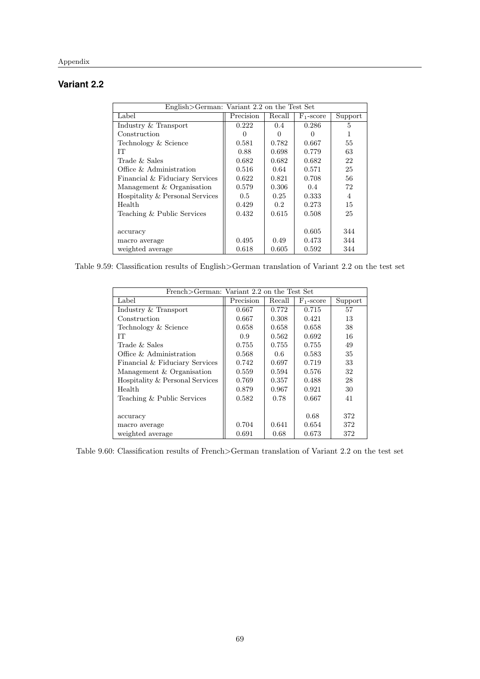## **Variant 2.2**

| English>German: Variant 2.2 on the Test Set |           |               |              |         |
|---------------------------------------------|-----------|---------------|--------------|---------|
| Label                                       | Precision | Recall        | $F_1$ -score | Support |
| Industry & Transport                        | 0.222     | $0.4^{\circ}$ | 0.286        | 5       |
| Construction                                |           |               |              |         |
| Technology & Science                        | 0.581     | 0.782         | 0.667        | 55      |
| IТ                                          | 0.88      | 0.698         | 0.779        | 63      |
| Trade & Sales                               | 0.682     | 0.682         | 0.682        | 22      |
| Office & Administration                     | 0.516     | 0.64          | 0.571        | 25      |
| Financial & Fiduciary Services              | 0.622     | 0.821         | 0.708        | 56      |
| Management & Organisation                   | 0.579     | 0.306         | 0.4          | 72      |
| Hospitality & Personal Services             | 0.5       | 0.25          | 0.333        | 4       |
| Health                                      | 0.429     | $0.2^{\circ}$ | 0.273        | 15      |
| Teaching & Public Services                  | 0.432     | 0.615         | 0.508        | 25      |
|                                             |           |               |              |         |
| accuracy                                    |           |               | 0.605        | 344     |
| macro average                               | 0.495     | 0.49          | 0.473        | 344     |
| weighted average                            | 0.618     | 0.605         | 0.592        | 344     |

Table 9.59: Classification results of English>German translation of Variant 2.2 on the test set

| French>German: Variant 2.2 on the Test Set |           |        |                       |         |
|--------------------------------------------|-----------|--------|-----------------------|---------|
| Label                                      | Precision | Recall | F <sub>1</sub> -score | Support |
| Industry & Transport                       | 0.667     | 0.772  | 0.715                 | 57      |
| Construction                               | 0.667     | 0.308  | 0.421                 | 13      |
| Technology & Science                       | 0.658     | 0.658  | 0.658                 | 38      |
| IТ                                         | 0.9       | 0.562  | 0.692                 | 16      |
| Trade & Sales                              | 0.755     | 0.755  | 0.755                 | 49      |
| Office & Administration                    | 0.568     | 0.6    | 0.583                 | 35      |
| Financial & Fiduciary Services             | 0.742     | 0.697  | 0.719                 | 33      |
| Management & Organisation                  | 0.559     | 0.594  | 0.576                 | 32      |
| Hospitality & Personal Services            | 0.769     | 0.357  | 0.488                 | 28      |
| Health                                     | 0.879     | 0.967  | 0.921                 | 30      |
| Teaching & Public Services                 | 0.582     | 0.78   | 0.667                 | 41      |
|                                            |           |        |                       |         |
| accuracy                                   |           |        | 0.68                  | 372     |
| macro average                              | 0.704     | 0.641  | 0.654                 | 372     |
| weighted average                           | 0.691     | 0.68   | 0.673                 | 372     |

Table 9.60: Classification results of French>German translation of Variant 2.2 on the test set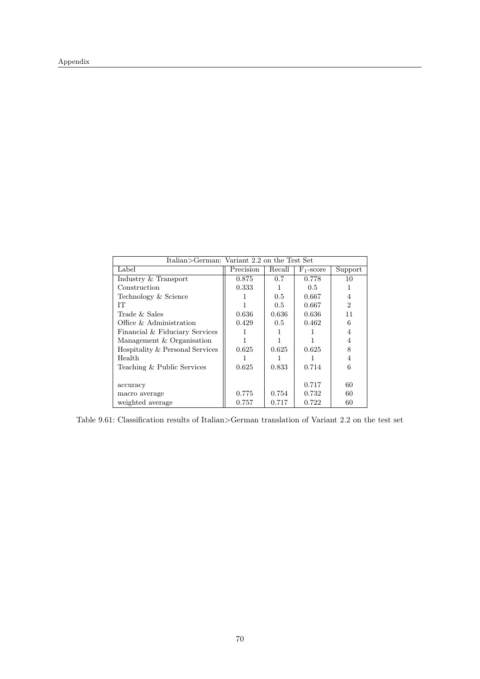| Italian>German: Variant 2.2 on the Test Set |           |        |               |                |
|---------------------------------------------|-----------|--------|---------------|----------------|
| Label                                       | Precision | Recall | $F_1$ -score  | Support        |
| Industry & Transport                        | 0.875     | 0.7    | 0.778         | 10             |
| Construction                                | 0.333     |        | $0.5^{\circ}$ |                |
| Technology & Science                        |           | 0.5    | 0.667         | 4              |
| IТ                                          |           | 0.5    | 0.667         | $\mathfrak{D}$ |
| Trade & Sales                               | 0.636     | 0.636  | 0.636         | 11             |
| Office & Administration                     | 0.429     | 0.5    | 0.462         | 6              |
| Financial & Fiduciary Services              |           |        |               | 4              |
| Management & Organisation                   |           |        |               | 4              |
| Hospitality & Personal Services             | 0.625     | 0.625  | 0.625         | 8              |
| Health                                      |           |        |               | 4              |
| Teaching & Public Services                  | 0.625     | 0.833  | 0.714         | 6              |
|                                             |           |        |               |                |
| accuracy                                    |           |        | 0.717         | 60             |
| macro average                               | 0.775     | 0.754  | 0.732         | 60             |
| weighted average                            | 0.757     | 0.717  | 0.722         | 60             |

Table 9.61: Classification results of Italian>German translation of Variant 2.2 on the test set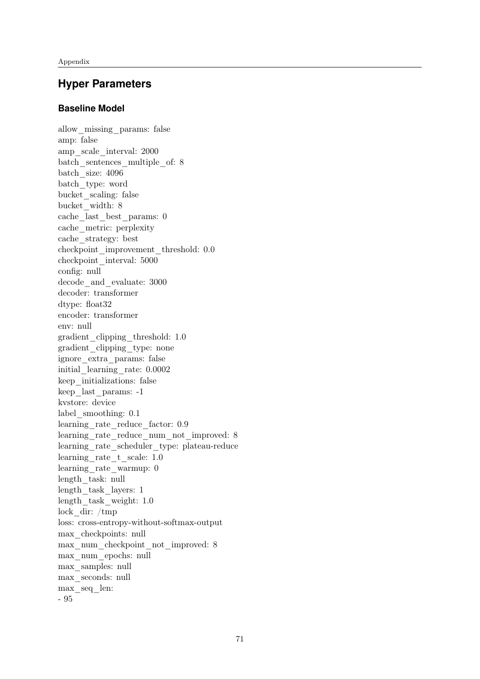## **Hyper Parameters**

#### **Baseline Model**

allow\_missing\_params: false amp: false amp\_scale\_interval: 2000 batch sentences multiple of: 8 batch\_size: 4096 batch\_type: word bucket\_scaling: false bucket\_width: 8 cache\_last\_best\_params: 0 cache\_metric: perplexity cache\_strategy: best checkpoint\_improvement\_threshold: 0.0 checkpoint\_interval: 5000 config: null decode and evaluate: 3000 decoder: transformer dtype: float32 encoder: transformer env: null gradient\_clipping\_threshold: 1.0 gradient\_clipping\_type: none ignore\_extra\_params: false initial\_learning\_rate: 0.0002 keep\_initializations: false keep\_last\_params: -1 kvstore: device label\_smoothing: 0.1 learning\_rate\_reduce\_factor: 0.9 learning rate reduce num not improved: 8 learning rate scheduler type: plateau-reduce learning\_rate\_t\_scale: 1.0 learning\_rate\_warmup: 0 length\_task: null length\_task\_layers: 1 length\_task\_weight: 1.0 lock\_dir: /tmp loss: cross-entropy-without-softmax-output max\_checkpoints: null max\_num\_checkpoint\_not\_improved: 8 max\_num\_epochs: null max\_samples: null max\_seconds: null max\_seq\_len: - 95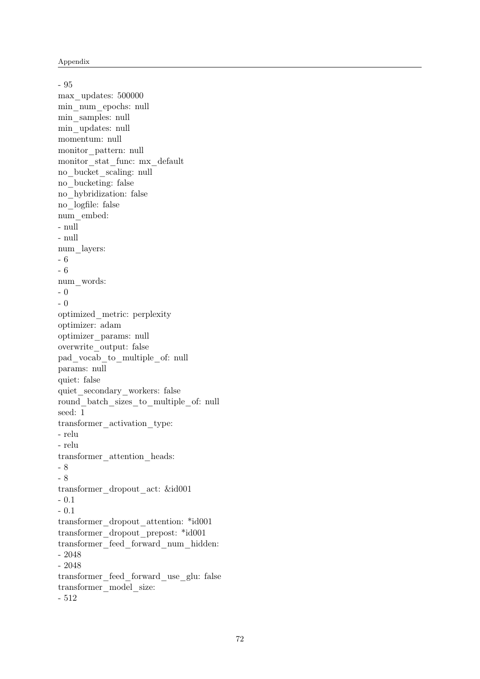- 95 max\_updates: 500000 min\_num\_epochs: null min\_samples: null min\_updates: null momentum: null monitor\_pattern: null monitor\_stat\_func: mx\_default no\_bucket\_scaling: null no\_bucketing: false no\_hybridization: false no\_logfile: false num\_embed: - null - null num\_layers: - 6 - 6 num\_words: - 0 - 0 optimized\_metric: perplexity optimizer: adam optimizer\_params: null overwrite\_output: false pad\_vocab\_to\_multiple\_of: null params: null quiet: false quiet secondary workers: false round batch sizes to multiple of: null seed: 1 transformer\_activation\_type: - relu - relu transformer\_attention\_heads: - 8 - 8 transformer\_dropout\_act: &id001 - 0.1 - 0.1 transformer\_dropout\_attention: \*id001 transformer\_dropout\_prepost: \*id001 transformer\_feed\_forward\_num\_hidden: - 2048 - 2048 transformer\_feed\_forward\_use\_glu: false transformer\_model\_size: - 512